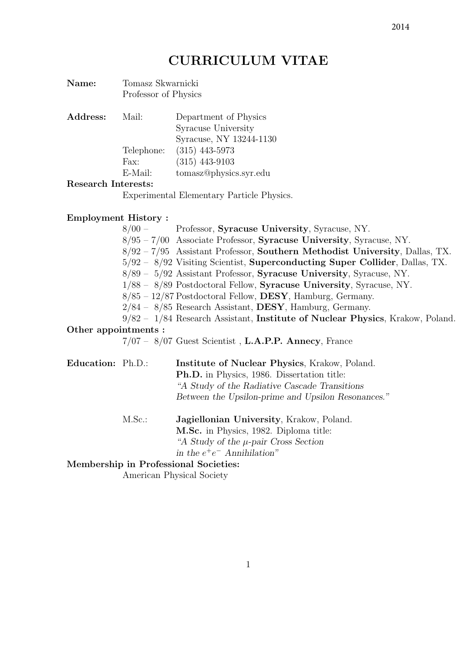| Name:    | Tomasz Skwarnicki<br>Professor of Physics |                                                                         |
|----------|-------------------------------------------|-------------------------------------------------------------------------|
| Address: | Mail:                                     | Department of Physics<br>Syracuse University<br>Syracuse, NY 13244-1130 |
|          | Telephone:                                | $(315)$ 443-5973                                                        |
|          | Fax:                                      | $(315)$ 443-9103                                                        |
|          | E-Mail:                                   | tomasz@physics.syr.edu                                                  |
| <b>D</b> |                                           |                                                                         |

## Research Interests:

Experimental Elementary Particle Physics.

# Employment History :

8/00 – Professor, Syracuse University, Syracuse, NY. 8/95 – 7/00 Associate Professor, Syracuse University, Syracuse, NY. 8/92 – 7/95 Assistant Professor, Southern Methodist University, Dallas, TX. 5/92 – 8/92 Visiting Scientist, Superconducting Super Collider, Dallas, TX. 8/89 – 5/92 Assistant Professor, Syracuse University, Syracuse, NY. 1/88 – 8/89 Postdoctoral Fellow, Syracuse University, Syracuse, NY. 8/85 – 12/87 Postdoctoral Fellow, DESY, Hamburg, Germany.  $2/84 - 8/85$  Research Assistant, **DESY**, Hamburg, Germany. 9/82 – 1/84 Research Assistant, Institute of Nuclear Physics, Krakow, Poland. Other appointments :

7/07 – 8/07 Guest Scientist , L.A.P.P. Annecy, France

Education: Ph.D.: Institute of Nuclear Physics, Krakow, Poland. Ph.D. in Physics, 1986. Dissertation title: "A Study of the Radiative Cascade Transitions

Between the Upsilon-prime and Upsilon Resonances."

M.Sc.: Jagiellonian University, Krakow, Poland. M.Sc. in Physics, 1982. Diploma title: "A Study of the  $\mu$ -pair Cross Section" in the  $e^+e^-$  Annihilation"

## Membership in Professional Societies:

American Physical Society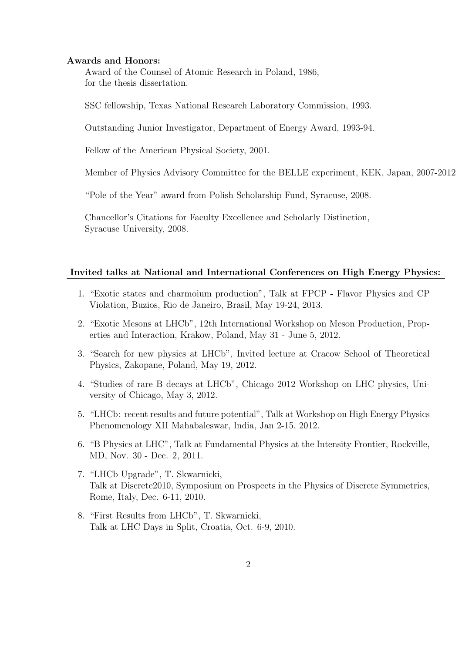### Awards and Honors:

Award of the Counsel of Atomic Research in Poland, 1986, for the thesis dissertation.

SSC fellowship, Texas National Research Laboratory Commission, 1993.

Outstanding Junior Investigator, Department of Energy Award, 1993-94.

Fellow of the American Physical Society, 2001.

Member of Physics Advisory Committee for the BELLE experiment, KEK, Japan, 2007-2012

"Pole of the Year" award from Polish Scholarship Fund, Syracuse, 2008.

Chancellor's Citations for Faculty Excellence and Scholarly Distinction, Syracuse University, 2008.

### Invited talks at National and International Conferences on High Energy Physics:

- 1. "Exotic states and charmoium production", Talk at FPCP Flavor Physics and CP Violation, Buzios, Rio de Janeiro, Brasil, May 19-24, 2013.
- 2. "Exotic Mesons at LHCb", 12th International Workshop on Meson Production, Properties and Interaction, Krakow, Poland, May 31 - June 5, 2012.
- 3. "Search for new physics at LHCb", Invited lecture at Cracow School of Theoretical Physics, Zakopane, Poland, May 19, 2012.
- 4. "Studies of rare B decays at LHCb", Chicago 2012 Workshop on LHC physics, University of Chicago, May 3, 2012.
- 5. "LHCb: recent results and future potential", Talk at Workshop on High Energy Physics Phenomenology XII Mahabaleswar, India, Jan 2-15, 2012.
- 6. "B Physics at LHC", Talk at Fundamental Physics at the Intensity Frontier, Rockville, MD, Nov. 30 - Dec. 2, 2011.
- 7. "LHCb Upgrade", T. Skwarnicki, Talk at Discrete2010, Symposium on Prospects in the Physics of Discrete Symmetries, Rome, Italy, Dec. 6-11, 2010.
- 8. "First Results from LHCb", T. Skwarnicki, Talk at LHC Days in Split, Croatia, Oct. 6-9, 2010.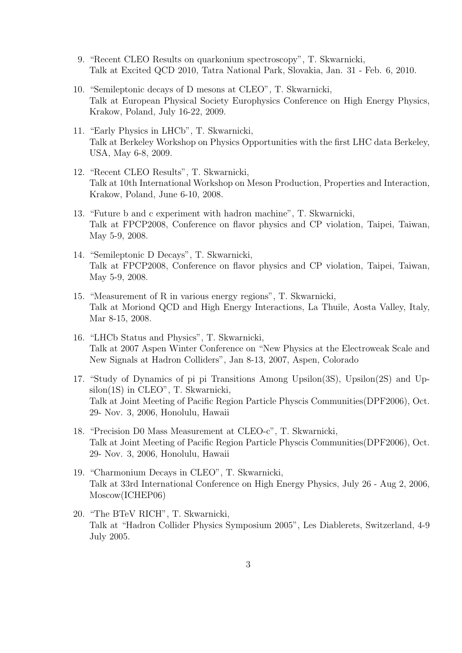- 9. "Recent CLEO Results on quarkonium spectroscopy", T. Skwarnicki, Talk at Excited QCD 2010, Tatra National Park, Slovakia, Jan. 31 - Feb. 6, 2010.
- 10. "Semileptonic decays of D mesons at CLEO", T. Skwarnicki, Talk at European Physical Society Europhysics Conference on High Energy Physics, Krakow, Poland, July 16-22, 2009.
- 11. "Early Physics in LHCb", T. Skwarnicki, Talk at Berkeley Workshop on Physics Opportunities with the first LHC data Berkeley, USA, May 6-8, 2009.
- 12. "Recent CLEO Results", T. Skwarnicki, Talk at 10th International Workshop on Meson Production, Properties and Interaction, Krakow, Poland, June 6-10, 2008.
- 13. "Future b and c experiment with hadron machine", T. Skwarnicki, Talk at FPCP2008, Conference on flavor physics and CP violation, Taipei, Taiwan, May 5-9, 2008.
- 14. "Semileptonic D Decays", T. Skwarnicki, Talk at FPCP2008, Conference on flavor physics and CP violation, Taipei, Taiwan, May 5-9, 2008.
- 15. "Measurement of R in various energy regions", T. Skwarnicki, Talk at Moriond QCD and High Energy Interactions, La Thuile, Aosta Valley, Italy, Mar 8-15, 2008.
- 16. "LHCb Status and Physics", T. Skwarnicki, Talk at 2007 Aspen Winter Conference on "New Physics at the Electroweak Scale and New Signals at Hadron Colliders", Jan 8-13, 2007, Aspen, Colorado
- 17. "Study of Dynamics of pi pi Transitions Among Upsilon(3S), Upsilon(2S) and Upsilon(1S) in CLEO", T. Skwarnicki, Talk at Joint Meeting of Pacific Region Particle Physcis Communities(DPF2006), Oct. 29- Nov. 3, 2006, Honolulu, Hawaii
- 18. "Precision D0 Mass Measurement at CLEO-c", T. Skwarnicki, Talk at Joint Meeting of Pacific Region Particle Physcis Communities(DPF2006), Oct. 29- Nov. 3, 2006, Honolulu, Hawaii
- 19. "Charmonium Decays in CLEO", T. Skwarnicki, Talk at 33rd International Conference on High Energy Physics, July 26 - Aug 2, 2006, Moscow(ICHEP06)
- 20. "The BTeV RICH", T. Skwarnicki, Talk at "Hadron Collider Physics Symposium 2005", Les Diablerets, Switzerland, 4-9 July 2005.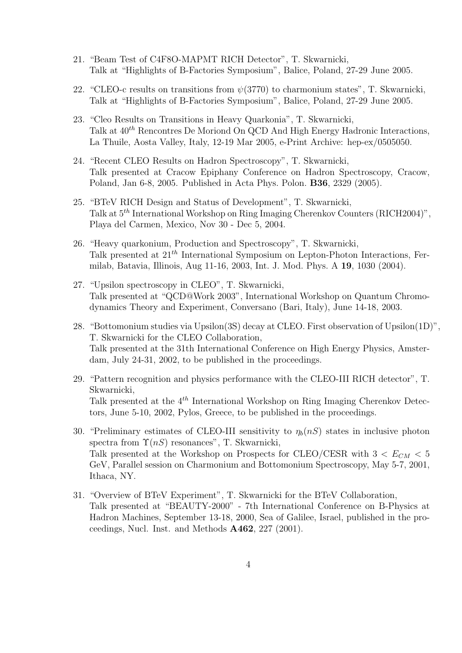- 21. "Beam Test of C4F8O-MAPMT RICH Detector", T. Skwarnicki, Talk at "Highlights of B-Factories Symposium", Balice, Poland, 27-29 June 2005.
- 22. "CLEO-c results on transitions from  $\psi(3770)$  to charmonium states", T. Skwarnicki, Talk at "Highlights of B-Factories Symposium", Balice, Poland, 27-29 June 2005.
- 23. "Cleo Results on Transitions in Heavy Quarkonia", T. Skwarnicki, Talk at  $40^{th}$  Rencontres De Moriond On QCD And High Energy Hadronic Interactions, La Thuile, Aosta Valley, Italy, 12-19 Mar 2005, e-Print Archive: hep-ex/0505050.
- 24. "Recent CLEO Results on Hadron Spectroscopy", T. Skwarnicki, Talk presented at Cracow Epiphany Conference on Hadron Spectroscopy, Cracow, Poland, Jan 6-8, 2005. Published in Acta Phys. Polon. B36, 2329 (2005).
- 25. "BTeV RICH Design and Status of Development", T. Skwarnicki, Talk at 5th International Workshop on Ring Imaging Cherenkov Counters (RICH2004)", Playa del Carmen, Mexico, Nov 30 - Dec 5, 2004.
- 26. "Heavy quarkonium, Production and Spectroscopy", T. Skwarnicki, Talk presented at  $21<sup>th</sup>$  International Symposium on Lepton-Photon Interactions, Fermilab, Batavia, Illinois, Aug 11-16, 2003, Int. J. Mod. Phys. A 19, 1030 (2004).
- 27. "Upsilon spectroscopy in CLEO", T. Skwarnicki, Talk presented at "QCD@Work 2003", International Workshop on Quantum Chromodynamics Theory and Experiment, Conversano (Bari, Italy), June 14-18, 2003.
- 28. "Bottomonium studies via Upsilon(3S) decay at CLEO. First observation of Upsilon(1D)", T. Skwarnicki for the CLEO Collaboration, Talk presented at the 31th International Conference on High Energy Physics, Amsterdam, July 24-31, 2002, to be published in the proceedings.
- 29. "Pattern recognition and physics performance with the CLEO-III RICH detector", T. Skwarnicki, Talk presented at the  $4^{th}$  International Workshop on Ring Imaging Cherenkov Detectors, June 5-10, 2002, Pylos, Greece, to be published in the proceedings.
- 30. "Preliminary estimates of CLEO-III sensitivity to  $\eta_b(nS)$  states in inclusive photon spectra from  $\Upsilon(nS)$  resonances", T. Skwarnicki, Talk presented at the Workshop on Prospects for CLEO/CESR with  $3 < E_{CM} < 5$ GeV, Parallel session on Charmonium and Bottomonium Spectroscopy, May 5-7, 2001, Ithaca, NY.
- 31. "Overview of BTeV Experiment", T. Skwarnicki for the BTeV Collaboration, Talk presented at "BEAUTY-2000" - 7th International Conference on B-Physics at Hadron Machines, September 13-18, 2000, Sea of Galilee, Israel, published in the proceedings, Nucl. Inst. and Methods A462, 227 (2001).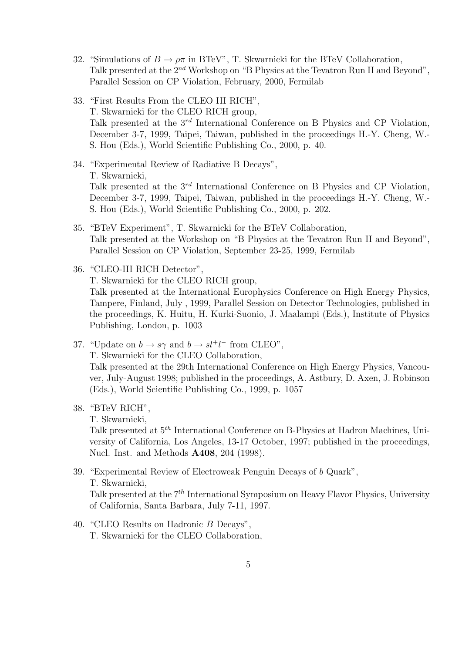- 32. "Simulations of  $B \to \rho \pi$  in BTeV", T. Skwarnicki for the BTeV Collaboration, Talk presented at the  $2^{nd}$  Workshop on "B Physics at the Tevatron Run II and Beyond", Parallel Session on CP Violation, February, 2000, Fermilab
- 33. "First Results From the CLEO III RICH", T. Skwarnicki for the CLEO RICH group, Talk presented at the  $3^{rd}$  International Conference on B Physics and CP Violation, December 3-7, 1999, Taipei, Taiwan, published in the proceedings H.-Y. Cheng, W.- S. Hou (Eds.), World Scientific Publishing Co., 2000, p. 40.
- 34. "Experimental Review of Radiative B Decays", T. Skwarnicki, Talk presented at the  $3^{rd}$  International Conference on B Physics and CP Violation, December 3-7, 1999, Taipei, Taiwan, published in the proceedings H.-Y. Cheng, W.- S. Hou (Eds.), World Scientific Publishing Co., 2000, p. 202.
- 35. "BTeV Experiment", T. Skwarnicki for the BTeV Collaboration, Talk presented at the Workshop on "B Physics at the Tevatron Run II and Beyond", Parallel Session on CP Violation, September 23-25, 1999, Fermilab
- 36. "CLEO-III RICH Detector", T. Skwarnicki for the CLEO RICH group, Talk presented at the International Europhysics Conference on High Energy Physics, Tampere, Finland, July , 1999, Parallel Session on Detector Technologies, published in the proceedings, K. Huitu, H. Kurki-Suonio, J. Maalampi (Eds.), Institute of Physics Publishing, London, p. 1003
- 37. "Update on  $b \to s\gamma$  and  $b \to s l^+ l^-$  from CLEO",

T. Skwarnicki for the CLEO Collaboration,

Talk presented at the 29th International Conference on High Energy Physics, Vancouver, July-August 1998; published in the proceedings, A. Astbury, D. Axen, J. Robinson (Eds.), World Scientific Publishing Co., 1999, p. 1057

38. "BTeV RICH",

T. Skwarnicki,

Talk presented at 5th International Conference on B-Physics at Hadron Machines, University of California, Los Angeles, 13-17 October, 1997; published in the proceedings, Nucl. Inst. and Methods A408, 204 (1998).

- 39. "Experimental Review of Electroweak Penguin Decays of b Quark", T. Skwarnicki, Talk presented at the  $7<sup>th</sup>$  International Symposium on Heavy Flavor Physics, University of California, Santa Barbara, July 7-11, 1997.
- 40. "CLEO Results on Hadronic B Decays", T. Skwarnicki for the CLEO Collaboration,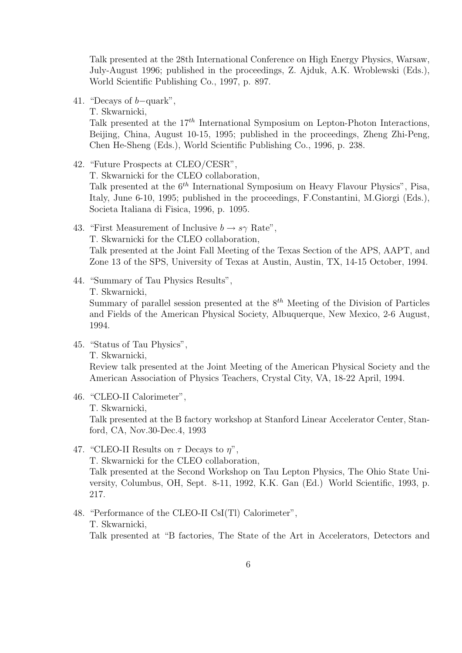Talk presented at the 28th International Conference on High Energy Physics, Warsaw, July-August 1996; published in the proceedings, Z. Ajduk, A.K. Wroblewski (Eds.), World Scientific Publishing Co., 1997, p. 897.

41. "Decays of b−quark",

T. Skwarnicki,

Talk presented at the  $17^{th}$  International Symposium on Lepton-Photon Interactions, Beijing, China, August 10-15, 1995; published in the proceedings, Zheng Zhi-Peng, Chen He-Sheng (Eds.), World Scientific Publishing Co., 1996, p. 238.

42. "Future Prospects at CLEO/CESR",

T. Skwarnicki for the CLEO collaboration,

Talk presented at the  $6<sup>th</sup>$  International Symposium on Heavy Flavour Physics", Pisa, Italy, June 6-10, 1995; published in the proceedings, F.Constantini, M.Giorgi (Eds.), Societa Italiana di Fisica, 1996, p. 1095.

- 43. "First Measurement of Inclusive  $b \rightarrow s\gamma$  Rate", T. Skwarnicki for the CLEO collaboration, Talk presented at the Joint Fall Meeting of the Texas Section of the APS, AAPT, and Zone 13 of the SPS, University of Texas at Austin, Austin, TX, 14-15 October, 1994.
- 44. "Summary of Tau Physics Results",

T. Skwarnicki,

Summary of parallel session presented at the  $8<sup>th</sup>$  Meeting of the Division of Particles and Fields of the American Physical Society, Albuquerque, New Mexico, 2-6 August, 1994.

45. "Status of Tau Physics",

T. Skwarnicki,

Review talk presented at the Joint Meeting of the American Physical Society and the American Association of Physics Teachers, Crystal City, VA, 18-22 April, 1994.

46. "CLEO-II Calorimeter", T. Skwarnicki,

Talk presented at the B factory workshop at Stanford Linear Accelerator Center, Stanford, CA, Nov.30-Dec.4, 1993

47. "CLEO-II Results on  $\tau$  Decays to  $\eta$ ",

T. Skwarnicki for the CLEO collaboration,

Talk presented at the Second Workshop on Tau Lepton Physics, The Ohio State University, Columbus, OH, Sept. 8-11, 1992, K.K. Gan (Ed.) World Scientific, 1993, p. 217.

48. "Performance of the CLEO-II CsI(Tl) Calorimeter", T. Skwarnicki, Talk presented at "B factories, The State of the Art in Accelerators, Detectors and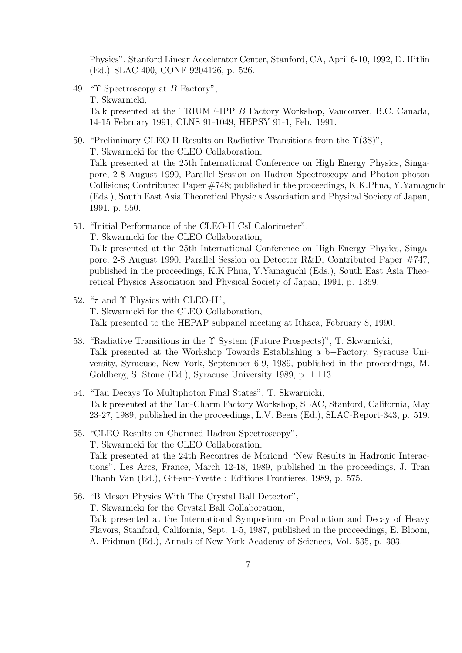Physics", Stanford Linear Accelerator Center, Stanford, CA, April 6-10, 1992, D. Hitlin (Ed.) SLAC-400, CONF-9204126, p. 526.

- 49. "Υ Spectroscopy at B Factory", T. Skwarnicki, Talk presented at the TRIUMF-IPP B Factory Workshop, Vancouver, B.C. Canada, 14-15 February 1991, CLNS 91-1049, HEPSY 91-1, Feb. 1991.
- 50. "Preliminary CLEO-II Results on Radiative Transitions from the  $\Upsilon(3S)$ ", T. Skwarnicki for the CLEO Collaboration, Talk presented at the 25th International Conference on High Energy Physics, Singapore, 2-8 August 1990, Parallel Session on Hadron Spectroscopy and Photon-photon Collisions; Contributed Paper #748; published in the proceedings, K.K.Phua, Y.Yamaguchi (Eds.), South East Asia Theoretical Physic s Association and Physical Society of Japan, 1991, p. 550.
- 51. "Initial Performance of the CLEO-II CsI Calorimeter", T. Skwarnicki for the CLEO Collaboration, Talk presented at the 25th International Conference on High Energy Physics, Singapore, 2-8 August 1990, Parallel Session on Detector R&D; Contributed Paper #747; published in the proceedings, K.K.Phua, Y.Yamaguchi (Eds.), South East Asia Theoretical Physics Association and Physical Society of Japan, 1991, p. 1359.
- 52. " $\tau$  and  $\Upsilon$  Physics with CLEO-II", T. Skwarnicki for the CLEO Collaboration, Talk presented to the HEPAP subpanel meeting at Ithaca, February 8, 1990.
- 53. "Radiative Transitions in the Υ System (Future Prospects)", T. Skwarnicki, Talk presented at the Workshop Towards Establishing a b−Factory, Syracuse University, Syracuse, New York, September 6-9, 1989, published in the proceedings, M. Goldberg, S. Stone (Ed.), Syracuse University 1989, p. 1.113.
- 54. "Tau Decays To Multiphoton Final States", T. Skwarnicki, Talk presented at the Tau-Charm Factory Workshop, SLAC, Stanford, California, May 23-27, 1989, published in the proceedings, L.V. Beers (Ed.), SLAC-Report-343, p. 519.
- 55. "CLEO Results on Charmed Hadron Spectroscopy", T. Skwarnicki for the CLEO Collaboration, Talk presented at the 24th Recontres de Moriond "New Results in Hadronic Interactions", Les Arcs, France, March 12-18, 1989, published in the proceedings, J. Tran Thanh Van (Ed.), Gif-sur-Yvette : Editions Frontieres, 1989, p. 575.
- 56. "B Meson Physics With The Crystal Ball Detector", T. Skwarnicki for the Crystal Ball Collaboration, Talk presented at the International Symposium on Production and Decay of Heavy Flavors, Stanford, California, Sept. 1-5, 1987, published in the proceedings, E. Bloom, A. Fridman (Ed.), Annals of New York Academy of Sciences, Vol. 535, p. 303.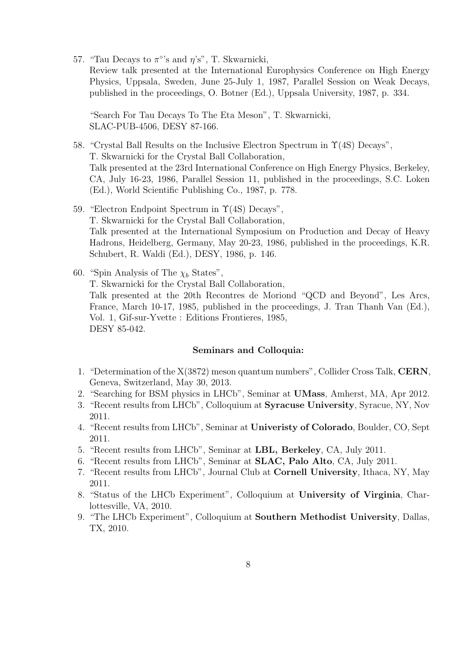57. "Tau Decays to  $\pi$ °'s and  $\eta$ 's", T. Skwarnicki, Review talk presented at the International Europhysics Conference on High Energy Physics, Uppsala, Sweden, June 25-July 1, 1987, Parallel Session on Weak Decays, published in the proceedings, O. Botner (Ed.), Uppsala University, 1987, p. 334.

"Search For Tau Decays To The Eta Meson", T. Skwarnicki, SLAC-PUB-4506, DESY 87-166.

- 58. "Crystal Ball Results on the Inclusive Electron Spectrum in Υ(4S) Decays", T. Skwarnicki for the Crystal Ball Collaboration, Talk presented at the 23rd International Conference on High Energy Physics, Berkeley, CA, July 16-23, 1986, Parallel Session 11, published in the proceedings, S.C. Loken (Ed.), World Scientific Publishing Co., 1987, p. 778.
- 59. "Electron Endpoint Spectrum in Υ(4S) Decays", T. Skwarnicki for the Crystal Ball Collaboration, Talk presented at the International Symposium on Production and Decay of Heavy Hadrons, Heidelberg, Germany, May 20-23, 1986, published in the proceedings, K.R. Schubert, R. Waldi (Ed.), DESY, 1986, p. 146.
- 60. "Spin Analysis of The  $\chi_b$  States", T. Skwarnicki for the Crystal Ball Collaboration, Talk presented at the 20th Recontres de Moriond "QCD and Beyond", Les Arcs, France, March 10-17, 1985, published in the proceedings, J. Tran Thanh Van (Ed.), Vol. 1, Gif-sur-Yvette : Editions Frontieres, 1985, DESY 85-042.

## Seminars and Colloquia:

- 1. "Determination of the X(3872) meson quantum numbers", Collider Cross Talk, CERN, Geneva, Switzerland, May 30, 2013.
- 2. "Searching for BSM physics in LHCb", Seminar at UMass, Amherst, MA, Apr 2012.
- 3. "Recent results from LHCb", Colloquium at Syracuse University, Syracue, NY, Nov 2011.
- 4. "Recent results from LHCb", Seminar at Univeristy of Colorado, Boulder, CO, Sept 2011.
- 5. "Recent results from LHCb", Seminar at LBL, Berkeley, CA, July 2011.
- 6. "Recent results from LHCb", Seminar at SLAC, Palo Alto, CA, July 2011.
- 7. "Recent results from LHCb", Journal Club at Cornell University, Ithaca, NY, May 2011.
- 8. "Status of the LHCb Experiment", Colloquium at University of Virginia, Charlottesville, VA, 2010.
- 9. "The LHCb Experiment", Colloquium at Southern Methodist University, Dallas, TX, 2010.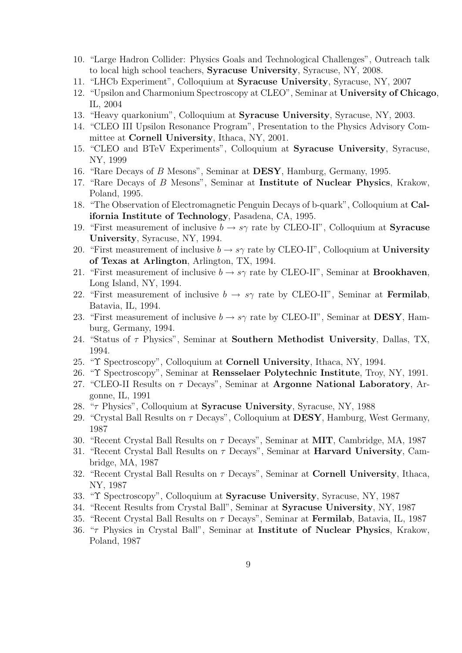- 10. "Large Hadron Collider: Physics Goals and Technological Challenges", Outreach talk to local high school teachers, Syracuse University, Syracuse, NY, 2008.
- 11. "LHCb Experiment", Colloquium at Syracuse University, Syracuse, NY, 2007
- 12. "Upsilon and Charmonium Spectroscopy at CLEO", Seminar at University of Chicago, IL, 2004
- 13. "Heavy quarkonium", Colloquium at Syracuse University, Syracuse, NY, 2003.
- 14. "CLEO III Upsilon Resonance Program", Presentation to the Physics Advisory Committee at Cornell University, Ithaca, NY, 2001.
- 15. "CLEO and BTeV Experiments", Colloquium at Syracuse University, Syracuse, NY, 1999
- 16. "Rare Decays of B Mesons", Seminar at DESY, Hamburg, Germany, 1995.
- 17. "Rare Decays of B Mesons", Seminar at Institute of Nuclear Physics, Krakow, Poland, 1995.
- 18. "The Observation of Electromagnetic Penguin Decays of b-quark", Colloquium at California Institute of Technology, Pasadena, CA, 1995.
- 19. "First measurement of inclusive  $b \to s\gamma$  rate by CLEO-II", Colloquium at **Syracuse** University, Syracuse, NY, 1994.
- 20. "First measurement of inclusive  $b \to s\gamma$  rate by CLEO-II", Colloquium at University of Texas at Arlington, Arlington, TX, 1994.
- 21. "First measurement of inclusive  $b \to s\gamma$  rate by CLEO-II", Seminar at **Brookhaven**, Long Island, NY, 1994.
- 22. "First measurement of inclusive  $b \to s\gamma$  rate by CLEO-II", Seminar at **Fermilab**, Batavia, IL, 1994.
- 23. "First measurement of inclusive  $b \to s\gamma$  rate by CLEO-II", Seminar at **DESY**, Hamburg, Germany, 1994.
- 24. "Status of  $\tau$  Physics", Seminar at **Southern Methodist University**, Dallas, TX, 1994.
- 25. "Υ Spectroscopy", Colloquium at Cornell University, Ithaca, NY, 1994.
- 26. "Υ Spectroscopy", Seminar at Rensselaer Polytechnic Institute, Troy, NY, 1991.
- 27. "CLEO-II Results on  $\tau$  Decays", Seminar at Argonne National Laboratory, Argonne, IL, 1991
- 28. " $\tau$  Physics", Colloquium at **Syracuse University**, Syracuse, NY, 1988
- 29. "Crystal Ball Results on  $\tau$  Decays", Colloquium at **DESY**, Hamburg, West Germany, 1987
- 30. "Recent Crystal Ball Results on  $\tau$  Decays", Seminar at **MIT**, Cambridge, MA, 1987
- 31. "Recent Crystal Ball Results on  $\tau$  Decays", Seminar at **Harvard University**, Cambridge, MA, 1987
- 32. "Recent Crystal Ball Results on  $\tau$  Decays", Seminar at **Cornell University**, Ithaca, NY, 1987
- 33. "Υ Spectroscopy", Colloquium at Syracuse University, Syracuse, NY, 1987
- 34. "Recent Results from Crystal Ball", Seminar at Syracuse University, NY, 1987
- 35. "Recent Crystal Ball Results on  $\tau$  Decays", Seminar at **Fermilab**, Batavia, IL, 1987
- 36. "τ Physics in Crystal Ball", Seminar at Institute of Nuclear Physics, Krakow, Poland, 1987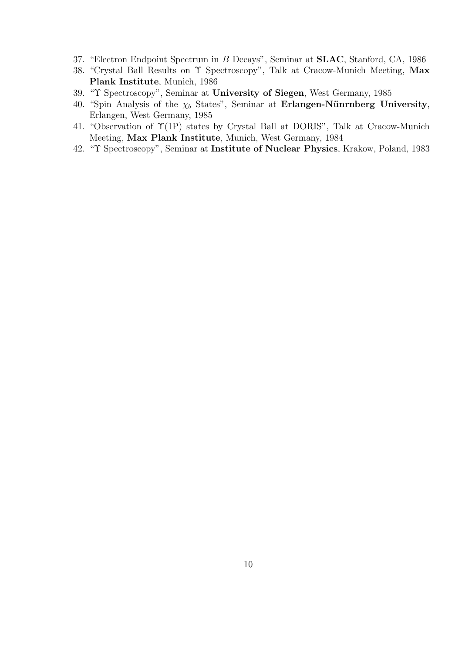- 37. "Electron Endpoint Spectrum in B Decays", Seminar at SLAC, Stanford, CA, 1986
- 38. "Crystal Ball Results on  $\Upsilon$  Spectroscopy", Talk at Cracow-Munich Meeting, Max Plank Institute, Munich, 1986
- 39. "Υ Spectroscopy", Seminar at University of Siegen, West Germany, 1985
- 40. "Spin Analysis of the  $\chi_b$  States", Seminar at Erlangen-Nünrnberg University, Erlangen, West Germany, 1985
- 41. "Observation of Υ(1P) states by Crystal Ball at DORIS", Talk at Cracow-Munich Meeting, Max Plank Institute, Munich, West Germany, 1984
- 42. "Υ Spectroscopy", Seminar at Institute of Nuclear Physics, Krakow, Poland, 1983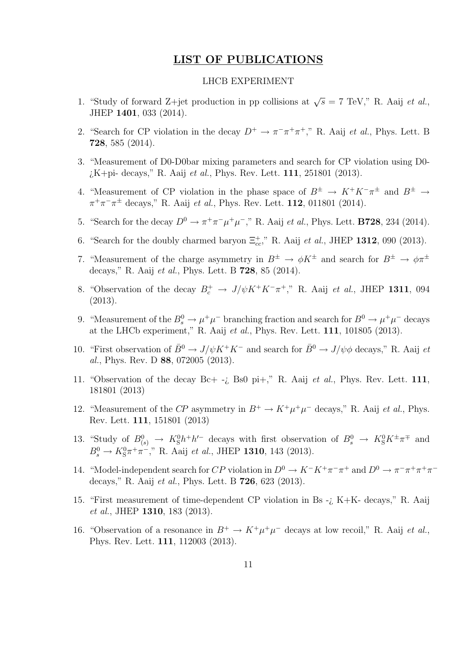# LIST OF PUBLICATIONS

## LHCB EXPERIMENT

- 1. "Study of forward Z+jet production in pp collisions at  $\sqrt{s} = 7$  TeV," R. Aaij *et al.*, JHEP 1401, 033 (2014).
- 2. "Search for CP violation in the decay  $D^+ \to \pi^- \pi^+ \pi^+$ ," R. Aaij *et al.*, Phys. Lett. B 728, 585 (2014).
- 3. "Measurement of D0-D0bar mixing parameters and search for CP violation using D0  $i$ K+pi- decays," R. Aaij et al., Phys. Rev. Lett. 111, 251801 (2013).
- 4. "Measurement of CP violation in the phase space of  $B^{\pm} \to K^+K^-\pi^{\pm}$  and  $B^{\pm} \to$  $\pi^{+}\pi^{-}\pi^{\pm}$  decays," R. Aaij *et al.*, Phys. Rev. Lett. **112**, 011801 (2014).
- 5. "Search for the decay  $D^0 \to \pi^+\pi^-\mu^+\mu^-$ ," R. Aaij *et al.*, Phys. Lett. **B728**, 234 (2014).
- 6. "Search for the doubly charmed baryon  $\Xi_{cc}^+$ ," R. Aaij et al., JHEP 1312, 090 (2013).
- 7. "Measurement of the charge asymmetry in  $B^{\pm} \to \phi K^{\pm}$  and search for  $B^{\pm} \to \phi \pi^{\pm}$ decays," R. Aaij et al., Phys. Lett. B 728, 85 (2014).
- 8. "Observation of the decay  $B_c^+ \to J/\psi K^+ K^- \pi^+$ ," R. Aaij et al., JHEP 1311, 094 (2013).
- 9. "Measurement of the  $B_s^0 \to \mu^+\mu^-$  branching fraction and search for  $B^0 \to \mu^+\mu^-$  decays at the LHCb experiment," R. Aaij et al., Phys. Rev. Lett. 111, 101805 (2013).
- 10. "First observation of  $\bar{B}^0 \to J/\psi K^+ K^-$  and search for  $\bar{B}^0 \to J/\psi \phi$  decays," R. Aaij et al., Phys. Rev. D 88, 072005 (2013).
- 11. "Observation of the decay  $Bc+ -i$ , Bs0 pi+," R. Aaij *et al.*, Phys. Rev. Lett. 111, 181801 (2013)
- 12. "Measurement of the CP asymmetry in  $B^+ \to K^+ \mu^+ \mu^-$  decays," R. Aaij *et al.*, Phys. Rev. Lett. 111, 151801 (2013)
- 13. "Study of  $B^0_{(s)} \to K_S^0 h^+ h'^-$  decays with first observation of  $B^0_s \to K_S^0 K^{\pm} \pi^{\mp}$  and  $B_s^0 \to K_S^0 \pi^+ \pi^-$ ," R. Aaij *et al.*, JHEP **1310**, 143 (2013).
- 14. "Model-independent search for CP violation in  $D^0 \to K^-K^+\pi^-\pi^+$  and  $D^0 \to \pi^-\pi^+\pi^+\pi^$ decays," R. Aaij et al., Phys. Lett. B 726, 623 (2013).
- 15. "First measurement of time-dependent CP violation in Bs -¿ K+K- decays," R. Aaij et al., JHEP 1310, 183 (2013).
- 16. "Observation of a resonance in  $B^+ \to K^+ \mu^+ \mu^-$  decays at low recoil," R. Aaij *et al.*, Phys. Rev. Lett. 111, 112003 (2013).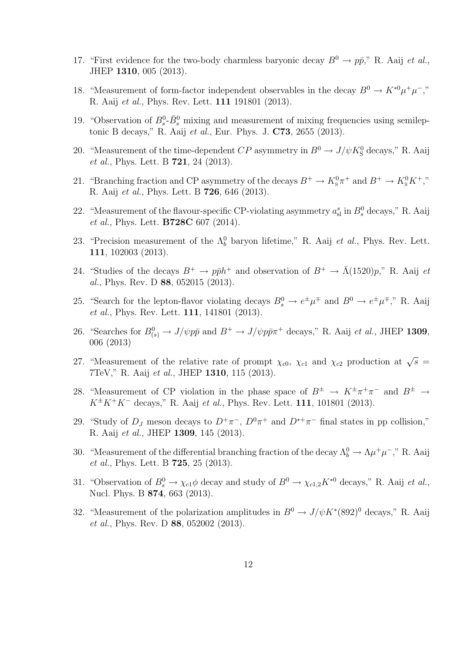- 17. "First evidence for the two-body charmless baryonic decay  $B^0 \to p\bar{p}$ ," R. Aaij *et al.*, JHEP 1310, 005 (2013).
- 18. "Measurement of form-factor independent observables in the decay  $B^0 \to K^{*0} \mu^+ \mu^-$ ," R. Aaij et al., Phys. Rev. Lett. 111 191801 (2013).
- 19. "Observation of  $B_s^0$ - $\bar{B}_s^0$  mixing and measurement of mixing frequencies using semileptonic B decays," R. Aaij et al., Eur. Phys. J. C73, 2655 (2013).
- 20. "Measurement of the time-dependent  $CP$  asymmetry in  $B^0 \to J/\psi K^0_S$  decays," R. Aaij et al., Phys. Lett. B **721**, 24 (2013).
- 21. "Branching fraction and CP asymmetry of the decays  $B^+ \to K^0_s \pi^+$  and  $B^+ \to K^0_s K^+$ ," R. Aaij et al., Phys. Lett. B 726, 646 (2013).
- 22. "Measurement of the flavour-specific CP-violating asymmetry  $a_{sl}^s$  in  $B_s^0$  decays," R. Aaij et al., Phys. Lett. **B728C** 607 (2014).
- 23. "Precision measurement of the  $\Lambda_b^0$  baryon lifetime," R. Aaij *et al.*, Phys. Rev. Lett. 111, 102003 (2013).
- 24. "Studies of the decays  $B^+ \to p\bar{p}h^+$  and observation of  $B^+ \to \bar{\Lambda}(1520)p$ ," R. Aaij et al., Phys. Rev. D 88, 052015 (2013).
- 25. "Search for the lepton-flavor violating decays  $B_s^0 \to e^{\pm} \mu^{\mp}$  and  $B^0 \to e^{\pm} \mu^{\mp}$ ," R. Aaij et al., Phys. Rev. Lett. 111, 141801 (2013).
- 26. "Searches for  $B^0_{(s)} \to J/\psi p\bar{p}$  and  $B^+ \to J/\psi p\bar{p}\pi^+$  decays," R. Aaij *et al.*, JHEP 1309, 006 (2013)
- 27. "Measurement of the relative rate of prompt  $\chi_{c0}$ ,  $\chi_{c1}$  and  $\chi_{c2}$  production at  $\sqrt{s}$ 7TeV," R. Aaij et al., JHEP 1310, 115 (2013).
- 28. "Measurement of CP violation in the phase space of  $B^{\pm} \to K^{\pm} \pi^+ \pi^-$  and  $B^{\pm} \to$  $K^{\pm}K^{+}K^{-}$  decays," R. Aaij et al., Phys. Rev. Lett. 111, 101801 (2013).
- 29. "Study of  $D_J$  meson decays to  $D^+\pi^-$ ,  $D^0\pi^+$  and  $D^{*+}\pi^-$  final states in pp collision," R. Aaij et al., JHEP 1309, 145 (2013).
- 30. "Measurement of the differential branching fraction of the decay  $\Lambda_b^0 \to \Lambda \mu^+ \mu^-$ ," R. Aaij et al., Phys. Lett. B 725, 25 (2013).
- 31. "Observation of  $B_s^0 \to \chi_{c1}\phi$  decay and study of  $B^0 \to \chi_{c1,2}K^{*0}$  decays," R. Aaij *et al.*, Nucl. Phys. B 874, 663 (2013).
- 32. "Measurement of the polarization amplitudes in  $B^0 \to J/\psi K^*(892)^0$  decays," R. Aaij et al., Phys. Rev. D 88, 052002 (2013).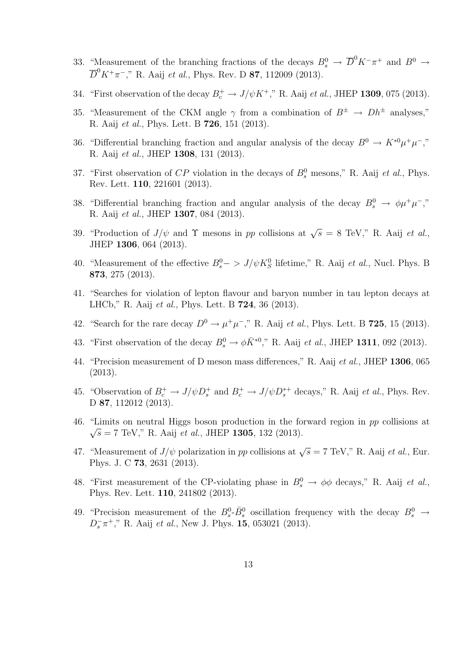- 33. "Measurement of the branching fractions of the decays  $B_s^0 \to \overline{D}^0 K^- \pi^+$  and  $B^0 \to$  $\overline{D}^0 K^+\pi^-$ ," R. Aaij *et al.*, Phys. Rev. D **87**, 112009 (2013).
- 34. "First observation of the decay  $B_c^+ \to J/\psi K^+$ ," R. Aaij *et al.*, JHEP **1309**, 075 (2013).
- 35. "Measurement of the CKM angle  $\gamma$  from a combination of  $B^{\pm} \rightarrow Dh^{\pm}$  analyses," R. Aaij et al., Phys. Lett. B 726, 151 (2013).
- 36. "Differential branching fraction and angular analysis of the decay  $B^0 \to K^{*0} \mu^+ \mu^-$ ," R. Aaij et al., JHEP 1308, 131 (2013).
- 37. "First observation of  $CP$  violation in the decays of  $B_s^0$  mesons," R. Aaij *et al.*, Phys. Rev. Lett. 110, 221601 (2013).
- 38. "Differential branching fraction and angular analysis of the decay  $B_s^0 \to \phi \mu^+ \mu^-$ "," R. Aaij et al., JHEP 1307, 084 (2013).
- 39. "Production of  $J/\psi$  and  $\Upsilon$  mesons in pp collisions at  $\sqrt{s} = 8$  TeV," R. Aaij et al., JHEP 1306, 064 (2013).
- 40. "Measurement of the effective  $B_s^0 \sim J/\psi K_S^0$  lifetime," R. Aaij *et al.*, Nucl. Phys. B 873, 275 (2013).
- 41. "Searches for violation of lepton flavour and baryon number in tau lepton decays at LHCb," R. Aaij et al., Phys. Lett. B 724, 36 (2013).
- 42. "Search for the rare decay  $D^0 \to \mu^+\mu^-$ ," R. Aaij *et al.*, Phys. Lett. B **725**, 15 (2013).
- 43. "First observation of the decay  $B_s^0 \to \phi \bar{K}^{*0}$ ," R. Aaij *et al.*, JHEP 1311, 092 (2013).
- 44. "Precision measurement of D meson mass differences," R. Aaij et al., JHEP 1306, 065 (2013).
- 45. "Observation of  $B_c^+ \to J/\psi D_s^+$  and  $B_c^+ \to J/\psi D_s^{*+}$  decays," R. Aaij *et al.*, Phys. Rev. D 87, 112012 (2013).
- 46. "Limits on neutral Higgs boson production in the forward region in pp collisions at  $\sqrt{s} = 7$  TeV," R. Aaij *et al.*, JHEP **1305**, 132 (2013).
- 47. "Measurement of  $J/\psi$  polarization in pp collisions at  $\sqrt{s} = 7$  TeV," R. Aaij et al., Eur. Phys. J. C 73, 2631 (2013).
- 48. "First measurement of the CP-violating phase in  $B_s^0 \to \phi \phi$  decays," R. Aaij *et al.*, Phys. Rev. Lett. 110, 241802 (2013).
- 49. "Precision measurement of the  $B_s^0$ - $\bar{B}_s^0$  oscillation frequency with the decay  $B_s^0 \rightarrow$  $D_s^- \pi^+$ ," R. Aaij et al., New J. Phys. 15, 053021 (2013).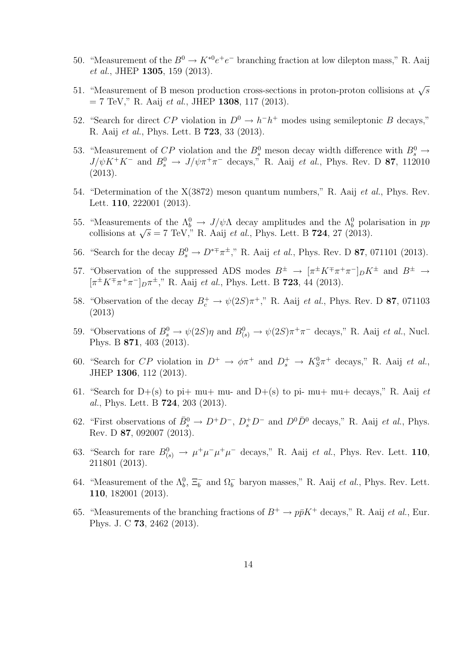- 50. "Measurement of the  $B^0 \to K^{*0}e^+e^-$  branching fraction at low dilepton mass," R. Aaij et al., JHEP 1305, 159 (2013).
- 51. "Measurement of B meson production cross-sections in proton-proton collisions at  $\sqrt{s}$  $= 7$  TeV," R. Aaij *et al.*, JHEP 1308, 117 (2013).
- 52. "Search for direct CP violation in  $D^0 \to h^-h^+$  modes using semileptonic B decays," R. Aaij et al., Phys. Lett. B 723, 33 (2013).
- 53. "Measurement of CP violation and the  $B_s^0$  meson decay width difference with  $B_s^0 \rightarrow$  $J/\psi K^+ K^-$  and  $B_s^0 \to J/\psi \pi^+ \pi^-$  decays," R. Aaij *et al.*, Phys. Rev. D **87**, 112010 (2013).
- 54. "Determination of the X(3872) meson quantum numbers," R. Aaij et al., Phys. Rev. Lett. **110**, 222001 (2013).
- 55. "Measurements of the  $\Lambda_b^0 \to J/\psi \Lambda$  decay amplitudes and the  $\Lambda_b^0$  polarisation in pp measurements of the  $\Lambda_b \to J/\psi \Lambda$  decay amplitudes and the  $\Lambda_b$  polarized collisions at  $\sqrt{s} = 7$  TeV," R. Aaij *et al.*, Phys. Lett. B **724**, 27 (2013).
- 56. "Search for the decay  $B_s^0 \to D^{*+} \pi^{\pm}$ ," R. Aaij *et al.*, Phys. Rev. D **87**, 071101 (2013).
- 57. "Observation of the suppressed ADS modes  $B^{\pm} \to [\pi^{\pm} K^{\mp} \pi^+ \pi^-]_D K^{\pm}$  and  $B^{\pm} \to$  $[\pi^{\pm} K^{\mp} \pi^+ \pi^-]_{D} \pi^{\pm}$ ," R. Aaij *et al.*, Phys. Lett. B **723**, 44 (2013).
- 58. "Observation of the decay  $B_c^+ \to \psi(2S)\pi^+$ ," R. Aaij *et al.*, Phys. Rev. D **87**, 071103 (2013)
- 59. "Observations of  $B_s^0 \to \psi(2S)\eta$  and  $B_{(s)}^0 \to \psi(2S)\pi^+\pi^-$  decays," R. Aaij *et al.*, Nucl. Phys. B 871, 403 (2013).
- 60. "Search for CP violation in  $D^+ \to \phi \pi^+$  and  $D_s^+ \to K_S^0 \pi^+$  decays," R. Aaij et al., JHEP 1306, 112 (2013).
- 61. "Search for D+(s) to pi+ mu+ mu- and D+(s) to pi- mu+ mu+ decays," R. Aaij  $et$ al., Phys. Lett. B 724, 203 (2013).
- 62. "First observations of  $\bar{B}_s^0 \to D^+D^-$ ,  $D_s^+D^-$  and  $D^0\bar{D}^0$  decays," R. Aaij *et al.*, Phys. Rev. D 87, 092007 (2013).
- 63. "Search for rare  $B^0_{(s)} \to \mu^+ \mu^- \mu^+ \mu^-$  decays," R. Aaij *et al.*, Phys. Rev. Lett. 110, 211801 (2013).
- 64. "Measurement of the  $\Lambda_b^0$ ,  $\Xi_b^-$  and  $\Omega_b^-$  baryon masses," R. Aaij *et al.*, Phys. Rev. Lett. 110, 182001 (2013).
- 65. "Measurements of the branching fractions of  $B^+ \to p\bar{p}K^+$  decays," R. Aaij *et al.*, Eur. Phys. J. C 73, 2462 (2013).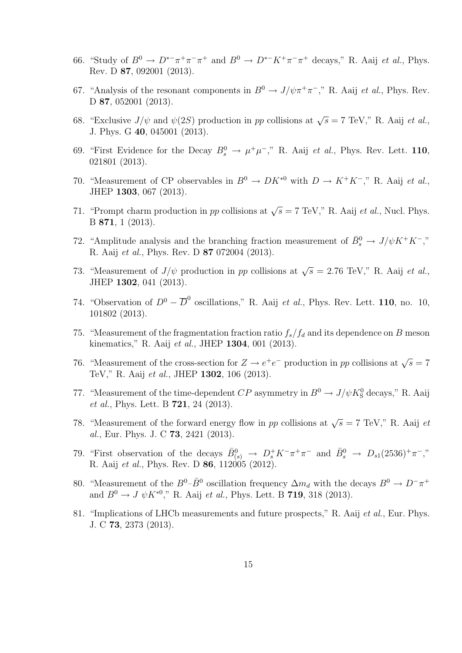- 66. "Study of  $B^0 \to D^{*-}\pi^+\pi^-\pi^+$  and  $B^0 \to D^{*-}K^+\pi^-\pi^+$  decays," R. Aaij *et al.*, Phys. Rev. D 87, 092001 (2013).
- 67. "Analysis of the resonant components in  $B^0 \to J/\psi \pi^+ \pi^-$ ," R. Aaij *et al.*, Phys. Rev. D 87, 052001 (2013).
- 68. "Exclusive  $J/\psi$  and  $\psi(2S)$  production in pp collisions at  $\sqrt{s} = 7$  TeV," R. Aaij *et al.*, J. Phys. G 40, 045001 (2013).
- 69. "First Evidence for the Decay  $B_s^0 \to \mu^+\mu^-$ ," R. Aaij *et al.*, Phys. Rev. Lett. 110, 021801 (2013).
- 70. "Measurement of CP observables in  $B^0 \to D K^{*0}$  with  $D \to K^+ K^-$ ," R. Aaij et al., JHEP 1303, 067 (2013).
- 71. "Prompt charm production in pp collisions at  $\sqrt{s} = 7$  TeV," R. Aaij *et al.*, Nucl. Phys. B 871, 1 (2013).
- 72. "Amplitude analysis and the branching fraction measurement of  $\bar{B}^0_s \to J/\psi K^+ K^-$ ," R. Aaij et al., Phys. Rev. D 87 072004 (2013).
- 73. "Measurement of  $J/\psi$  production in pp collisions at  $\sqrt{s} = 2.76$  TeV," R. Aaij et al., JHEP 1302, 041 (2013).
- 74. "Observation of  $D^0 \overline{D}^0$  oscillations," R. Aaij *et al.*, Phys. Rev. Lett. **110**, no. 10, 101802 (2013).
- 75. "Measurement of the fragmentation fraction ratio  $f_s/f_d$  and its dependence on B meson kinematics," R. Aaij et al., JHEP 1304, 001 (2013).
- 76. "Measurement of the cross-section for  $Z \to e^+e^-$  production in pp collisions at  $\sqrt{s} = 7$ TeV," R. Aaij et al., JHEP 1302, 106 (2013).
- 77. "Measurement of the time-dependent  $CP$  asymmetry in  $B^0 \to J/\psi K^0_S$  decays," R. Aaij et al., Phys. Lett. B **721**, 24 (2013).
- 78. "Measurement of the forward energy flow in pp collisions at  $\sqrt{s} = 7$  TeV," R. Aaij et al., Eur. Phys. J. C 73, 2421 (2013).
- 79. "First observation of the decays  $\bar{B}_{(s)}^0 \to D_s^+ K^- \pi^+ \pi^-$  and  $\bar{B}_s^0 \to D_{s1}(2536)^+ \pi^-,$ " R. Aaij et al., Phys. Rev. D **86**, 112005 (2012).
- 80. "Measurement of the  $B^0-\bar{B}^0$  oscillation frequency  $\Delta m_d$  with the decays  $B^0 \to D^-\pi^+$ and  $B^0 \to J \psi K^{*0}$ ," R. Aaij *et al.*, Phys. Lett. B **719**, 318 (2013).
- 81. "Implications of LHCb measurements and future prospects," R. Aaij et al., Eur. Phys. J. C 73, 2373 (2013).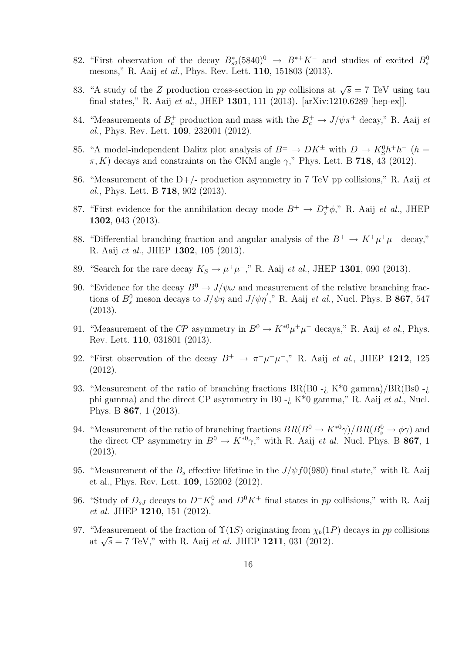- 82. "First observation of the decay  $B_{s2}^*(5840)^0 \rightarrow B^{*+}K^-$  and studies of excited  $B_s^0$ mesons," R. Aaij et al., Phys. Rev. Lett. 110, 151803 (2013).
- 83. "A study of the Z production cross-section in pp collisions at  $\sqrt{s} = 7$  TeV using tau final states," R. Aaij et al., JHEP 1301, 111 (2013). [arXiv:1210.6289 [hep-ex]].
- 84. "Measurements of  $B_c^+$  production and mass with the  $B_c^+ \to J/\psi \pi^+$  decay," R. Aaij et al., Phys. Rev. Lett. 109, 232001 (2012).
- 85. "A model-independent Dalitz plot analysis of  $B^{\pm} \to D K^{\pm}$  with  $D \to K_S^0 h^+ h^-$  ( $h =$  $\pi$ , K) decays and constraints on the CKM angle  $\gamma$ ," Phys. Lett. B 718, 43 (2012).
- 86. "Measurement of the D+/- production asymmetry in 7 TeV pp collisions," R. Aaij  $et$ al., Phys. Lett. B 718, 902 (2013).
- 87. "First evidence for the annihilation decay mode  $B^+ \to D_s^+ \phi$ ," R. Aaij *et al.*, JHEP 1302, 043 (2013).
- 88. "Differential branching fraction and angular analysis of the  $B^+ \to K^+ \mu^+ \mu^-$  decay," R. Aaij et al., JHEP 1302, 105 (2013).
- 89. "Search for the rare decay  $K_S \to \mu^+ \mu^-$ ," R. Aaij *et al.*, JHEP 1301, 090 (2013).
- 90. "Evidence for the decay  $B^0 \to J/\psi \omega$  and measurement of the relative branching fractions of  $B_s^0$  meson decays to  $J/\psi \eta$  and  $J/\psi \eta'$ ," R. Aaij *et al.*, Nucl. Phys. B **867**, 547 (2013).
- 91. "Measurement of the CP asymmetry in  $B^0 \to K^{*0} \mu^+ \mu^-$  decays," R. Aaij *et al.*, Phys. Rev. Lett. 110, 031801 (2013).
- 92. "First observation of the decay  $B^+ \to \pi^+ \mu^+ \mu^-$ ," R. Aaij *et al.*, JHEP 1212, 125 (2012).
- 93. "Measurement of the ratio of branching fractions  $BR(B0 i K^*0)$  gamma)/ $BR(Bs0 i K^*0)$ phi gamma) and the direct CP asymmetry in B0 - $\chi$  K<sup>\*</sup>0 gamma," R. Aaij et al., Nucl. Phys. B 867, 1 (2013).
- 94. "Measurement of the ratio of branching fractions  $BR(B^0 \to K^{*0}\gamma)/BR(B_s^0 \to \phi\gamma)$  and the direct CP asymmetry in  $B^0 \to K^{*0}\gamma$ ," with R. Aaij *et al.* Nucl. Phys. B **867**, 1 (2013).
- 95. "Measurement of the  $B_s$  effective lifetime in the  $J/\psi f0(980)$  final state," with R. Aaij et al., Phys. Rev. Lett. 109, 152002 (2012).
- 96. "Study of  $D_{sJ}$  decays to  $D^+K_s^0$  and  $D^0K^+$  final states in pp collisions," with R. Aaij et al. JHEP 1210, 151 (2012).
- 97. "Measurement of the fraction of  $\Upsilon(1S)$  originating from  $\chi_b(1P)$  decays in pp collisions weasurement of the Haction of  $\Gamma(13)$  originating from  $\chi_b(11)$ <br>at  $\sqrt{s} = 7$  TeV," with R. Aaij *et al.* JHEP 1211, 031 (2012).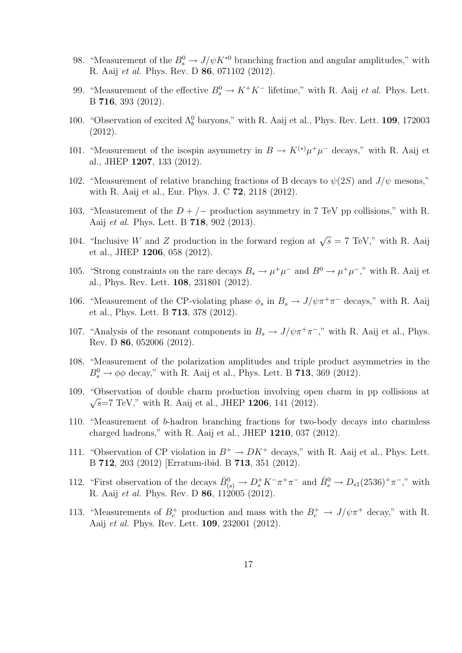- 98. "Measurement of the  $B_s^0 \to J/\psi K^{*0}$  branching fraction and angular amplitudes," with R. Aaij et al. Phys. Rev. D 86, 071102 (2012).
- 99. "Measurement of the effective  $B_s^0 \to K^+K^-$  lifetime," with R. Aaij *et al.* Phys. Lett. B 716, 393 (2012).
- 100. "Observation of excited  $\Lambda_b^0$  baryons," with R. Aaij et al., Phys. Rev. Lett. **109**, 172003 (2012).
- 101. "Measurement of the isospin asymmetry in  $B \to K^{(*)} \mu^+ \mu^-$  decays," with R. Aaij et al., JHEP 1207, 133 (2012).
- 102. "Measurement of relative branching fractions of B decays to  $\psi(2S)$  and  $J/\psi$  mesons," with R. Aaij et al., Eur. Phys. J. C 72, 2118 (2012).
- 103. "Measurement of the  $D + / -$  production asymmetry in 7 TeV pp collisions," with R. Aaij et al. Phys. Lett. B 718, 902 (2013).
- 104. "Inclusive W and Z production in the forward region at  $\sqrt{s} = 7$  TeV," with R. Aaij et al., JHEP 1206, 058 (2012).
- 105. "Strong constraints on the rare decays  $B_s \to \mu^+\mu^-$  and  $B^0 \to \mu^+\mu^-$ ," with R. Aaij et al., Phys. Rev. Lett. 108, 231801 (2012).
- 106. "Measurement of the CP-violating phase  $\phi_s$  in  $B_s \to J/\psi \pi^+ \pi^-$  decays," with R. Aaij et al., Phys. Lett. B 713, 378 (2012).
- 107. "Analysis of the resonant components in  $B_s \to J/\psi \pi^+ \pi^-$ ," with R. Aaij et al., Phys. Rev. D 86, 052006 (2012).
- 108. "Measurement of the polarization amplitudes and triple product asymmetries in the  $B_s^0 \rightarrow \phi \phi$  decay," with R. Aaij et al., Phys. Lett. B 713, 369 (2012).
- 109. "Observation of double charm production involving open charm in pp collisions at  $\sqrt{s}$ =7 TeV," with R. Aaij et al., JHEP 1206, 141 (2012).
- 110. "Measurement of b-hadron branching fractions for two-body decays into charmless charged hadrons," with R. Aaij et al., JHEP 1210, 037 (2012).
- 111. "Observation of CP violation in  $B^+ \to D K^+$  decays," with R. Aaij et al., Phys. Lett. B 712, 203 (2012) [Erratum-ibid. B 713, 351 (2012).
- 112. "First observation of the decays  $\bar{B}_{(s)}^0 \to D_s^+ K^- \pi^+ \pi^-$  and  $\bar{B}_s^0 \to D_{s1}(2536)^+ \pi^-$ ," with R. Aaij et al. Phys. Rev. D **86**, 112005 (2012).
- 113. "Measurements of  $B_c^+$  production and mass with the  $B_c^+ \to J/\psi \pi^+$  decay," with R. Aaij et al. Phys. Rev. Lett. 109, 232001 (2012).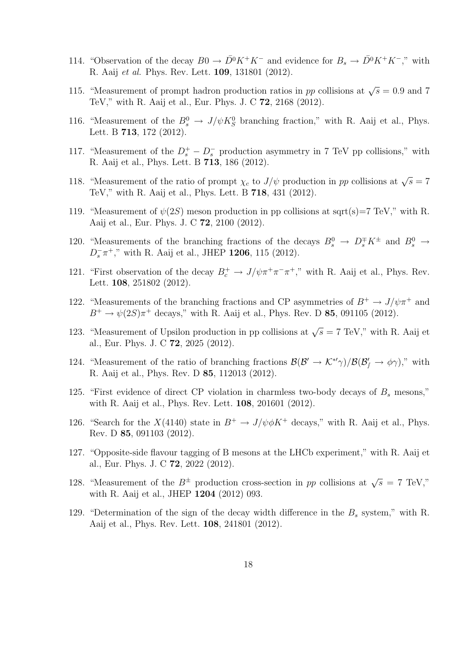- 114. "Observation of the decay  $B0 \to \bar{D}^0 K^+ K^-$  and evidence for  $B_s \to \bar{D}^0 K^+ K^-$ ," with R. Aaij et al. Phys. Rev. Lett. 109, 131801 (2012).
- 115. "Measurement of prompt hadron production ratios in pp collisions at  $\sqrt{s} = 0.9$  and 7 TeV," with R. Aaij et al., Eur. Phys. J. C 72, 2168 (2012).
- 116. "Measurement of the  $B_s^0 \to J/\psi K_S^0$  branching fraction," with R. Aaij et al., Phys. Lett. B 713, 172 (2012).
- 117. "Measurement of the  $D_s^+ D_s^-$  production asymmetry in 7 TeV pp collisions," with R. Aaij et al., Phys. Lett. B 713, 186 (2012).
- 118. "Measurement of the ratio of prompt  $\chi_c$  to  $J/\psi$  production in pp collisions at  $\sqrt{s} = 7$ TeV," with R. Aaij et al., Phys. Lett. B 718, 431 (2012).
- 119. "Measurement of  $\psi(2S)$  meson production in pp collisions at sqrt(s)=7 TeV," with R. Aaij et al., Eur. Phys. J. C 72, 2100 (2012).
- 120. "Measurements of the branching fractions of the decays  $B_s^0 \to D_s^{\pm} K^{\pm}$  and  $B_s^0 \to$  $D_s^- \pi^+$ ," with R. Aaij et al., JHEP 1206, 115 (2012).
- 121. "First observation of the decay  $B_c^+ \to J/\psi \pi^+ \pi^- \pi^+$ ," with R. Aaij et al., Phys. Rev. Lett. **108**, 251802 (2012).
- 122. "Measurements of the branching fractions and CP asymmetries of  $B^+ \to J/\psi \pi^+$  and  $B^{+} \to \psi(2S)\pi^{+}$  decays," with R. Aaij et al., Phys. Rev. D 85, 091105 (2012).
- 123. "Measurement of Upsilon production in pp collisions at  $\sqrt{s} = 7$  TeV," with R. Aaij et al., Eur. Phys. J. C 72, 2025 (2012).
- 124. "Measurement of the ratio of branching fractions  $\mathcal{B}(\mathcal{B}' \to \mathcal{K}^*\gamma)/\mathcal{B}(\mathcal{B}'_f \to \phi\gamma)$ ," with R. Aaij et al., Phys. Rev. D 85, 112013 (2012).
- 125. "First evidence of direct CP violation in charmless two-body decays of  $B_s$  mesons," with R. Aaij et al., Phys. Rev. Lett. 108, 201601 (2012).
- 126. "Search for the  $X(4140)$  state in  $B^+ \to J/\psi \phi K^+$  decays," with R. Aaij et al., Phys. Rev. D 85, 091103 (2012).
- 127. "Opposite-side flavour tagging of B mesons at the LHCb experiment," with R. Aaij et al., Eur. Phys. J. C 72, 2022 (2012).
- 128. "Measurement of the  $B^{\pm}$  production cross-section in pp collisions at  $\sqrt{s} = 7$  TeV," with R. Aaij et al., JHEP 1204 (2012) 093.
- 129. "Determination of the sign of the decay width difference in the  $B_s$  system," with R. Aaij et al., Phys. Rev. Lett. 108, 241801 (2012).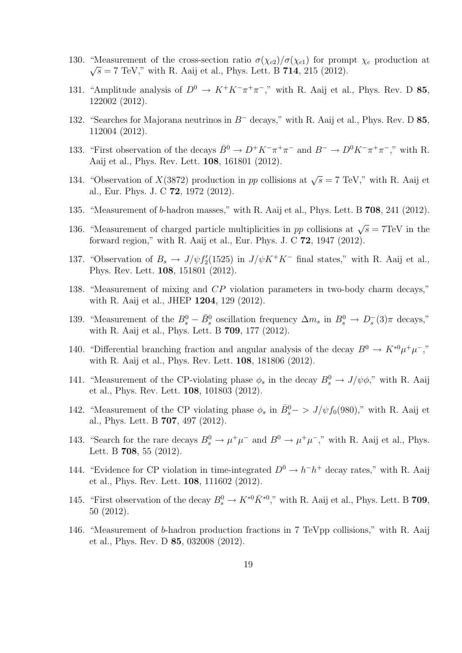- 130. "Measurement of the cross-section ratio  $\sigma(\chi_{c2})/\sigma(\chi_{c1})$  for prompt  $\chi_c$  production at  $\sqrt{s} = 7$  TeV," with R. Aaij et al., Phys. Lett. B 714, 215 (2012).
- 131. "Amplitude analysis of  $D^0 \to K^+K^-\pi^+\pi^-$ ," with R. Aaij et al., Phys. Rev. D 85, 122002 (2012).
- 132. "Searches for Majorana neutrinos in B<sup>−</sup> decays," with R. Aaij et al., Phys. Rev. D 85, 112004 (2012).
- 133. "First observation of the decays  $\bar{B}^0 \to D^+ K^- \pi^+ \pi^-$  and  $B^- \to D^0 K^- \pi^+ \pi^-$ ," with R. Aaij et al., Phys. Rev. Lett. 108, 161801 (2012).
- 134. "Observation of  $X(3872)$  production in pp collisions at  $\sqrt{s} = 7$  TeV," with R. Aaij et al., Eur. Phys. J. C 72, 1972 (2012).
- 135. "Measurement of b-hadron masses," with R. Aaij et al., Phys. Lett. B 708, 241 (2012).
- 136. "Measurement of charged particle multiplicities in pp collisions at  $\sqrt{s} = 7 \text{TeV}$  in the forward region," with R. Aaij et al., Eur. Phys. J. C 72, 1947 (2012).
- 137. "Observation of  $B_s \to J/\psi f'_2(1525)$  in  $J/\psi K^+ K^-$  final states," with R. Aaij et al., Phys. Rev. Lett. 108, 151801 (2012).
- 138. "Measurement of mixing and CP violation parameters in two-body charm decays," with R. Aaij et al., JHEP 1204, 129 (2012).
- 139. "Measurement of the  $B_s^0 \bar{B}_s^0$  oscillation frequency  $\Delta m_s$  in  $B_s^0 \to D_s^-(3)\pi$  decays," with R. Aaij et al., Phys. Lett. B 709, 177 (2012).
- 140. "Differential branching fraction and angular analysis of the decay  $B^0 \to K^{*0} \mu^+ \mu^-$ ," with R. Aaij et al., Phys. Rev. Lett. 108, 181806 (2012).
- 141. "Measurement of the CP-violating phase  $\phi_s$  in the decay  $B_s^0 \to J/\psi \phi$ ," with R. Aaij et al., Phys. Rev. Lett. 108, 101803 (2012).
- 142. "Measurement of the CP violating phase  $\phi_s$  in  $\bar{B}_s^0 \to J/\psi f_0(980)$ ," with R. Aaij et al., Phys. Lett. B 707, 497 (2012).
- 143. "Search for the rare decays  $B_s^0 \to \mu^+\mu^-$  and  $B^0 \to \mu^+\mu^-$ ," with R. Aaij et al., Phys. Lett. B 708, 55 (2012).
- 144. "Evidence for CP violation in time-integrated  $D^0 \to h^-h^+$  decay rates," with R. Aaij et al., Phys. Rev. Lett. 108, 111602 (2012).
- 145. "First observation of the decay  $B_s^0 \to K^{*0} \bar{K}^{*0}$ ," with R. Aaij et al., Phys. Lett. B 709, 50 (2012).
- 146. "Measurement of b-hadron production fractions in 7 TeVpp collisions," with R. Aaij et al., Phys. Rev. D 85, 032008 (2012).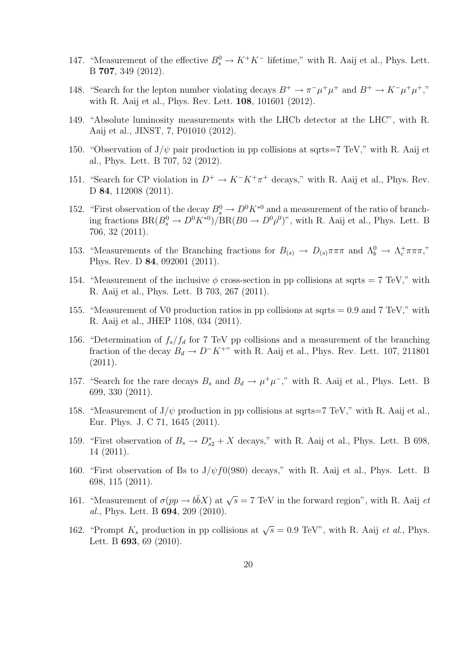- 147. "Measurement of the effective  $B_s^0 \to K^+K^-$  lifetime," with R. Aaij et al., Phys. Lett. B 707, 349 (2012).
- 148. "Search for the lepton number violating decays  $B^+ \to \pi^- \mu^+ \mu^+$  and  $B^+ \to K^- \mu^+ \mu^+$ ," with R. Aaij et al., Phys. Rev. Lett. 108, 101601 (2012).
- 149. "Absolute luminosity measurements with the LHCb detector at the LHC", with R. Aaij et al., JINST, 7, P01010 (2012).
- 150. "Observation of  $J/\psi$  pair production in pp collisions at sqrts=7 TeV," with R. Aaij et al., Phys. Lett. B 707, 52 (2012).
- 151. "Search for CP violation in  $D^+ \to K^- K^+ \pi^+$  decays," with R. Aaij et al., Phys. Rev. D 84, 112008 (2011).
- 152. "First observation of the decay  $B_s^0 \to D^0 K^{*0}$  and a measurement of the ratio of branching fractions  $BR(B_s^0 \to D^0 K^{*0})/BR(B_0 \to D^0 \rho^0)$ ", with R. Aaij et al., Phys. Lett. B 706, 32 (2011).
- 153. "Measurements of the Branching fractions for  $B_{(s)} \to D_{(s)} \pi \pi \pi$  and  $\Lambda_b^0 \to \Lambda_c^+ \pi \pi \pi$ ," Phys. Rev. D 84, 092001 (2011).
- 154. "Measurement of the inclusive  $\phi$  cross-section in pp collisions at sqrts = 7 TeV," with R. Aaij et al., Phys. Lett. B 703, 267 (2011).
- 155. "Measurement of V0 production ratios in pp collisions at sqrts  $= 0.9$  and 7 TeV," with R. Aaij et al., JHEP 1108, 034 (2011).
- 156. "Determination of  $f_s/f_d$  for 7 TeV pp collisions and a measurement of the branching fraction of the decay  $B_d \to D^-K^{+\nu}$  with R. Aaij et al., Phys. Rev. Lett. 107, 211801  $(2011).$
- 157. "Search for the rare decays  $B_s$  and  $B_d \to \mu^+\mu^-$ ," with R. Aaij et al., Phys. Lett. B 699, 330 (2011).
- 158. "Measurement of  $J/\psi$  production in pp collisions at sqrts=7 TeV," with R. Aaij et al., Eur. Phys. J. C 71, 1645 (2011).
- 159. "First observation of  $B_s \to D_{s2}^* + X$  decays," with R. Aaij et al., Phys. Lett. B 698, 14 (2011).
- 160. "First observation of Bs to  $J/\psi f0(980)$  decays," with R. Aaij et al., Phys. Lett. B 698, 115 (2011).
- 161. "Measurement of  $\sigma(pp \to b\bar{b}X)$  at  $\sqrt{s} = 7$  TeV in the forward region", with R. Aaij et al., Phys. Lett. B 694, 209 (2010).
- 162. "Prompt  $K_s$  production in pp collisions at  $\sqrt{s} = 0.9$  TeV", with R. Aaij *et al.*, Phys. Lett. B **693**, 69 (2010).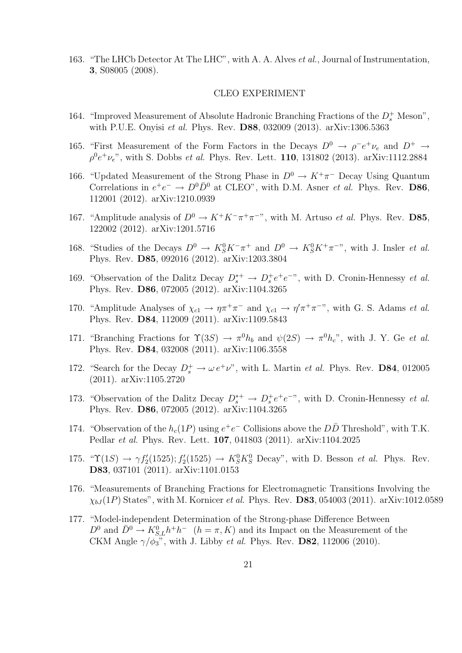163. "The LHCb Detector At The LHC", with A. A. Alves et al., Journal of Instrumentation, 3, S08005 (2008).

#### CLEO EXPERIMENT

- 164. "Improved Measurement of Absolute Hadronic Branching Fractions of the  $D_s^+$  Meson", with P.U.E. Onyisi et al. Phys. Rev. D88, 032009 (2013). arXiv:1306.5363
- 165. "First Measurement of the Form Factors in the Decays  $D^0 \to \rho^- e^+ \nu_e$  and  $D^+ \to$  $\rho^0 e^+ \nu_e$ ", with S. Dobbs *et al.* Phys. Rev. Lett. **110**, 131802 (2013). arXiv:1112.2884
- 166. "Updated Measurement of the Strong Phase in  $D^0 \to K^+\pi^-$  Decay Using Quantum Correlations in  $e^+e^- \to D^0\bar{D}^0$  at CLEO", with D.M. Asner *et al.* Phys. Rev. D86, 112001 (2012). arXiv:1210.0939
- 167. "Amplitude analysis of  $D^0 \to K^+K^-\pi^+\pi^{-}$ ", with M. Artuso *et al.* Phys. Rev. **D85**, 122002 (2012). arXiv:1201.5716
- 168. "Studies of the Decays  $D^0 \to K_S^0 K^-\pi^+$  and  $D^0 \to K_S^0 K^+\pi^{-}$ ", with J. Insler *et al.* Phys. Rev. D85, 092016 (2012). arXiv:1203.3804
- 169. "Observation of the Dalitz Decay  $D_s^{*+} \to D_s^+ e^+ e^{-\eta}$ , with D. Cronin-Hennessy *et al.* Phys. Rev. D86, 072005 (2012). arXiv:1104.3265
- 170. "Amplitude Analyses of  $\chi_{c1} \to \eta \pi^+ \pi^-$  and  $\chi_{c1} \to \eta' \pi^+ \pi^-$ ", with G. S. Adams *et al.* Phys. Rev. D84, 112009 (2011). arXiv:1109.5843
- 171. "Branching Fractions for  $\Upsilon(3S) \to \pi^0 h_b$  and  $\psi(2S) \to \pi^0 h_c$ ", with J. Y. Ge et al. Phys. Rev. D84, 032008 (2011). arXiv:1106.3558
- 172. "Search for the Decay  $D_s^+ \to \omega e^+ \nu$ ", with L. Martin *et al.* Phys. Rev. **D84**, 012005 (2011). arXiv:1105.2720
- 173. "Observation of the Dalitz Decay  $D_s^{*+} \to D_s^+ e^+ e^{-\eta}$ , with D. Cronin-Hennessy *et al.* Phys. Rev. D86, 072005 (2012). arXiv:1104.3265
- 174. "Observation of the  $h_c(1P)$  using  $e^+e^-$  Collisions above the  $D\overline{D}$  Threshold", with T.K. Pedlar et al. Phys. Rev. Lett. 107, 041803 (2011). arXiv:1104.2025
- 175. " $\Upsilon(1S) \rightarrow \gamma f'_2(1525); f'_2(1525) \rightarrow K_S^0 K_S^0$  Decay", with D. Besson *et al.* Phys. Rev. D83, 037101 (2011). arXiv:1101.0153
- 176. "Measurements of Branching Fractions for Electromagnetic Transitions Involving the  $\chi_{bJ}(1P)$  States", with M. Kornicer *et al.* Phys. Rev. **D83**, 054003 (2011). arXiv:1012.0589
- 177. "Model-independent Determination of the Strong-phase Difference Between  $D^0$  and  $\bar{D}^0 \to K_{S,L}^0 h^+ h^ (h = \pi, K)$  and its Impact on the Measurement of the CKM Angle  $\gamma/\phi_3$ <sup>37</sup>, with J. Libby *et al.* Phys. Rev. **D82**, 112006 (2010).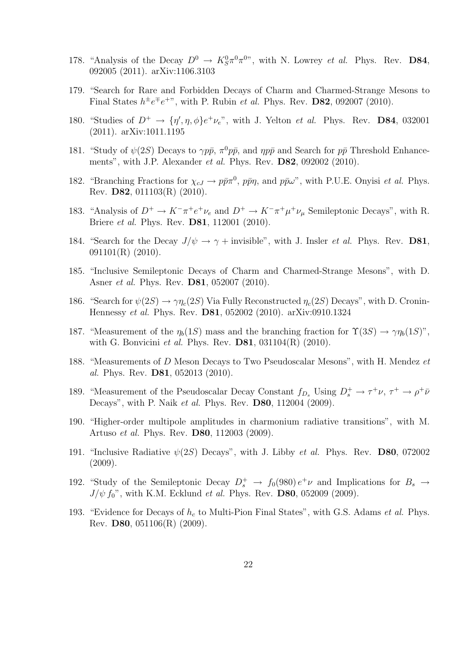- 178. "Analysis of the Decay  $D^0 \to K_S^0 \pi^0 \pi^0$ ", with N. Lowrey *et al.* Phys. Rev. **D84**, 092005 (2011). arXiv:1106.3103
- 179. "Search for Rare and Forbidden Decays of Charm and Charmed-Strange Mesons to Final States  $h^{\pm}e^{\mp}e^{+\nu}$ , with P. Rubin *et al.* Phys. Rev. **D82**, 092007 (2010).
- 180. "Studies of  $D^+ \to \{\eta', \eta, \phi\} e^+ \nu_e$ ", with J. Yelton *et al.* Phys. Rev. **D84**, 032001 (2011). arXiv:1011.1195
- 181. "Study of  $\psi(2S)$  Decays to  $\gamma p\bar{p}$ ,  $\pi^0 p\bar{p}$ , and  $\eta p\bar{p}$  and Search for  $p\bar{p}$  Threshold Enhancements", with J.P. Alexander et al. Phys. Rev. D82, 092002 (2010).
- 182. "Branching Fractions for  $\chi_{cJ} \to p\bar{p}\pi^0$ ,  $p\bar{p}\eta$ , and  $p\bar{p}\omega$ ", with P.U.E. Onyisi *et al.* Phys. Rev. D82, 011103(R) (2010).
- 183. "Analysis of  $D^+ \to K^-\pi^+e^+\nu_e$  and  $D^+ \to K^-\pi^+\mu^+\nu_\mu$  Semileptonic Decays", with R. Briere et al. Phys. Rev. D81, 112001 (2010).
- 184. "Search for the Decay  $J/\psi \rightarrow \gamma +$  invisible", with J. Insler *et al.* Phys. Rev. **D81**, 091101(R) (2010).
- 185. "Inclusive Semileptonic Decays of Charm and Charmed-Strange Mesons", with D. Asner et al. Phys. Rev. D81, 052007 (2010).
- 186. "Search for  $\psi(2S) \to \gamma \eta_c(2S)$  Via Fully Reconstructed  $\eta_c(2S)$  Decays", with D. Cronin-Hennessy et al. Phys. Rev. D81, 052002 (2010). arXiv:0910.1324
- 187. "Measurement of the  $\eta_b(1S)$  mass and the branching fraction for  $\Upsilon(3S) \to \gamma \eta_b(1S)$ ", with G. Bonvicini et al. Phys. Rev.  $D81$ ,  $031104(R)$  (2010).
- 188. "Measurements of D Meson Decays to Two Pseudoscalar Mesons", with H. Mendez et al. Phys. Rev. D81, 052013 (2010).
- 189. "Measurement of the Pseudoscalar Decay Constant  $f_{D_s}$  Using  $D_s^+ \to \tau^+\nu, \tau^+ \to \rho^+\bar{\nu}$ Decays", with P. Naik et al. Phys. Rev. D80, 112004 (2009).
- 190. "Higher-order multipole amplitudes in charmonium radiative transitions", with M. Artuso et al. Phys. Rev. D80, 112003 (2009).
- 191. "Inclusive Radiative  $\psi(2S)$  Decays", with J. Libby *et al.* Phys. Rev. **D80**, 072002 (2009).
- 192. "Study of the Semileptonic Decay  $D_s^+ \to f_0(980) e^+ \nu$  and Implications for  $B_s \to f_0(980)$  $J/\psi f_0$ ", with K.M. Ecklund *et al.* Phys. Rev. **D80**, 052009 (2009).
- 193. "Evidence for Decays of  $h_c$  to Multi-Pion Final States", with G.S. Adams *et al.* Phys. Rev. D80, 051106(R) (2009).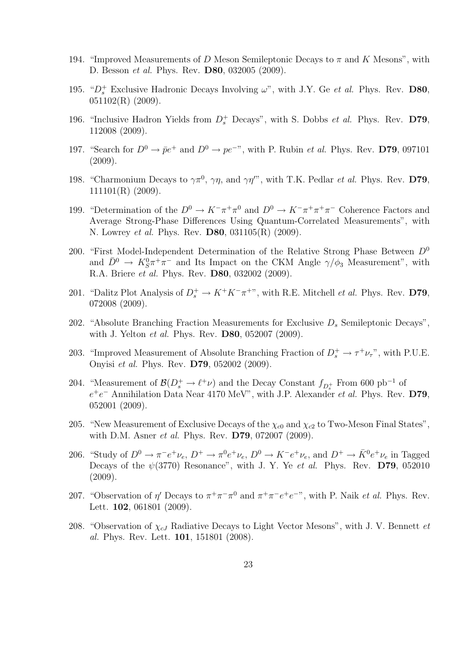- 194. "Improved Measurements of D Meson Semileptonic Decays to  $\pi$  and K Mesons", with D. Besson et al. Phys. Rev. D80, 032005 (2009).
- 195. " $D_s^+$  Exclusive Hadronic Decays Involving  $\omega$ ", with J.Y. Ge *et al.* Phys. Rev. **D80**,  $051102(R)$  (2009).
- 196. "Inclusive Hadron Yields from  $D_s^+$  Decays", with S. Dobbs *et al.* Phys. Rev. D79, 112008 (2009).
- 197. "Search for  $D^0 \to \bar{p}e^+$  and  $D^0 \to pe^{-v}$ , with P. Rubin *et al.* Phys. Rev. D79, 097101  $(2009).$
- 198. "Charmonium Decays to  $\gamma \pi^0$ ,  $\gamma \eta$ , and  $\gamma \eta''$ , with T.K. Pedlar *et al.* Phys. Rev. D79, 111101(R) (2009).
- 199. "Determination of the  $D^0 \to K^-\pi^+\pi^0$  and  $D^0 \to K^-\pi^+\pi^+\pi^-$  Coherence Factors and Average Strong-Phase Differences Using Quantum-Correlated Measurements", with N. Lowrey *et al.* Phys. Rev. **D80**, 031105(R) (2009).
- 200. "First Model-Independent Determination of the Relative Strong Phase Between  $D^0$ and  $\bar{D}^0 \to K_S^0 \pi^+ \pi^-$  and Its Impact on the CKM Angle  $\gamma/\phi_3$  Measurement", with R.A. Briere et al. Phys. Rev. D80, 032002 (2009).
- 201. "Dalitz Plot Analysis of  $D_s^+ \to K^+ K^- \pi^{+\nu}$ , with R.E. Mitchell *et al.* Phys. Rev. D79, 072008 (2009).
- 202. "Absolute Branching Fraction Measurements for Exclusive  $D_s$  Semileptonic Decays", with J. Yelton et al. Phys. Rev. D80, 052007 (2009).
- 203. "Improved Measurement of Absolute Branching Fraction of  $D_s^+ \to \tau^+ \nu_\tau$ ", with P.U.E. Onyisi et al. Phys. Rev. D79, 052002 (2009).
- 204. "Measurement of  $\mathcal{B}(D_s^+ \to \ell^+ \nu)$  and the Decay Constant  $f_{D_s^+}$  From 600 pb<sup>-1</sup> of  $e^+e^-$  Annihilation Data Near 4170 MeV", with J.P. Alexander *et al.* Phys. Rev. D79, 052001 (2009).
- 205. "New Measurement of Exclusive Decays of the  $\chi_{c0}$  and  $\chi_{c2}$  to Two-Meson Final States", with D.M. Asner *et al.* Phys. Rev. **D79**, 072007 (2009).
- 206. "Study of  $D^0 \to \pi^- e^+ \nu_e$ ,  $D^+ \to \pi^0 e^+ \nu_e$ ,  $D^0 \to K^- e^+ \nu_e$ , and  $D^+ \to \bar{K}^0 e^+ \nu_e$  in Tagged Decays of the  $\psi(3770)$  Resonance", with J. Y. Ye et al. Phys. Rev. D79, 052010  $(2009).$
- 207. "Observation of  $\eta'$  Decays to  $\pi^+\pi^-\pi^0$  and  $\pi^+\pi^-e^+e^{-\nu}$ , with P. Naik *et al.* Phys. Rev. Lett. **102**, 061801 (2009).
- 208. "Observation of  $\chi_{cJ}$  Radiative Decays to Light Vector Mesons", with J. V. Bennett et al. Phys. Rev. Lett. 101, 151801 (2008).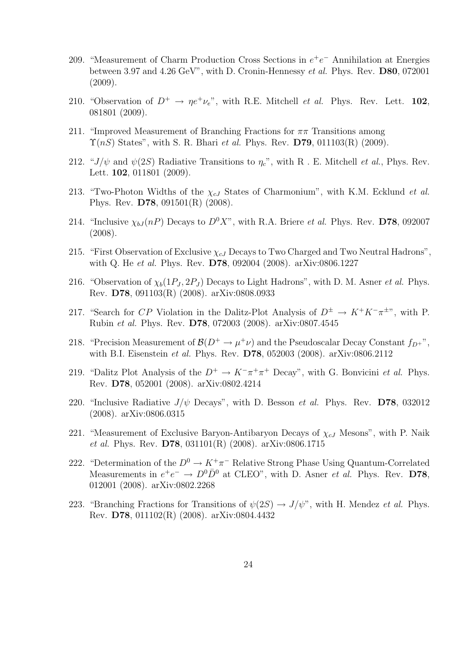- 209. "Measurement of Charm Production Cross Sections in  $e^+e^-$  Annihilation at Energies between 3.97 and 4.26 GeV", with D. Cronin-Hennessy et al. Phys. Rev. D80, 072001  $(2009).$
- 210. "Observation of  $D^+ \to \eta e^+ \nu_e$ ", with R.E. Mitchell *et al.* Phys. Rev. Lett. 102, 081801 (2009).
- 211. "Improved Measurement of Branching Fractions for  $\pi\pi$  Transitions among  $\Upsilon(nS)$  States", with S. R. Bhari *et al.* Phys. Rev. D79, 011103(R) (2009).
- 212. " $J/\psi$  and  $\psi(2S)$  Radiative Transitions to  $\eta_c$ ", with R . E. Mitchell *et al.*, Phys. Rev. Lett. **102**, 011801 (2009).
- 213. "Two-Photon Widths of the  $\chi_{cJ}$  States of Charmonium", with K.M. Ecklund *et al.* Phys. Rev. D78, 091501(R) (2008).
- 214. "Inclusive  $\chi_{bJ}(nP)$  Decays to  $D^0X$ ", with R.A. Briere *et al.* Phys. Rev. D78, 092007 (2008).
- 215. "First Observation of Exclusive  $\chi_{cJ}$  Decays to Two Charged and Two Neutral Hadrons", with Q. He et al. Phys. Rev. D78, 092004 (2008). arXiv:0806.1227
- 216. "Observation of  $\chi_b(1P_J, 2P_J)$  Decays to Light Hadrons", with D. M. Asner *et al.* Phys. Rev. D78, 091103(R) (2008). arXiv:0808.0933
- 217. "Search for CP Violation in the Dalitz-Plot Analysis of  $D^{\pm} \to K^+K^-\pi^{\pm}$ ", with P. Rubin et al. Phys. Rev. D78, 072003 (2008). arXiv:0807.4545
- 218. "Precision Measurement of  $\mathcal{B}(D^+ \to \mu^+\nu)$  and the Pseudoscalar Decay Constant  $f_{D^+}$ ", with B.I. Eisenstein et al. Phys. Rev. D78, 052003 (2008). arXiv:0806.2112
- 219. "Dalitz Plot Analysis of the  $D^+ \to K^-\pi^+\pi^+$  Decay", with G. Bonvicini *et al.* Phys. Rev. D78, 052001 (2008). arXiv:0802.4214
- 220. "Inclusive Radiative  $J/\psi$  Decays", with D. Besson *et al.* Phys. Rev. **D78**, 032012 (2008). arXiv:0806.0315
- 221. "Measurement of Exclusive Baryon-Antibaryon Decays of  $\chi_{cJ}$  Mesons", with P. Naik et al. Phys. Rev. D78, 031101(R) (2008). arXiv:0806.1715
- 222. "Determination of the  $D^0 \to K^+\pi^-$  Relative Strong Phase Using Quantum-Correlated Measurements in  $e^+e^- \to D^0\bar{D}^0$  at CLEO", with D. Asner *et al.* Phys. Rev. D78, 012001 (2008). arXiv:0802.2268
- 223. "Branching Fractions for Transitions of  $\psi(2S) \to J/\psi$ ", with H. Mendez *et al.* Phys. Rev. D78, 011102(R) (2008). arXiv:0804.4432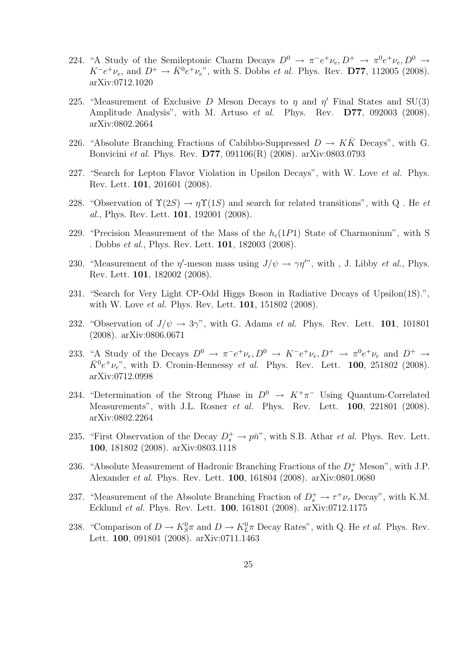- 224. "A Study of the Semileptonic Charm Decays  $D^0 \to \pi^- e^+ \nu_e, D^+ \to \pi^0 e^+ \nu_e, D^0 \to$  $K^-e^+\nu_e$ , and  $D^+ \to \bar{K}^0e^+\nu_e$ ", with S. Dobbs *et al.* Phys. Rev. **D77**, 112005 (2008). arXiv:0712.1020
- 225. "Measurement of Exclusive D Meson Decays to  $\eta$  and  $\eta'$  Final States and SU(3) Amplitude Analysis", with M. Artuso et al. Phys. Rev. **D77**, 092003 (2008). arXiv:0802.2664
- 226. "Absolute Branching Fractions of Cabibbo-Suppressed  $D \to K\bar{K}$  Decays", with G. Bonvicini et al. Phys. Rev. D77, 091106(R) (2008). arXiv:0803.0793
- 227. "Search for Lepton Flavor Violation in Upsilon Decays", with W. Love et al. Phys. Rev. Lett. 101, 201601 (2008).
- 228. "Observation of  $\Upsilon(2S) \to \eta \Upsilon(1S)$  and search for related transitions", with Q. He et al., Phys. Rev. Lett. 101, 192001 (2008).
- 229. "Precision Measurement of the Mass of the  $h_c(1P1)$  State of Charmonium", with S . Dobbs et al., Phys. Rev. Lett. 101, 182003 (2008).
- 230. "Measurement of the  $\eta'$ -meson mass using  $J/\psi \to \gamma \eta''$ , with, J. Libby *et al.*, Phys. Rev. Lett. 101, 182002 (2008).
- 231. "Search for Very Light CP-Odd Higgs Boson in Radiative Decays of Upsilon(1S).", with W. Love *et al.* Phys. Rev. Lett. **101**, 151802 (2008).
- 232. "Observation of  $J/\psi \rightarrow 3\gamma$ ", with G. Adams *et al.* Phys. Rev. Lett. **101**, 101801 (2008). arXiv:0806.0671
- 233. "A Study of the Decays  $D^0 \to \pi^- e^+ \nu_e, D^0 \to K^- e^+ \nu_e, D^+ \to \pi^0 e^+ \nu_e$  and  $D^+ \to$  $\bar{K}^0 e^+ \nu_e$ ", with D. Cronin-Hennessy et al. Phys. Rev. Lett. 100, 251802 (2008). arXiv:0712.0998
- 234. "Determination of the Strong Phase in  $D^0 \rightarrow K^+\pi^-$  Using Quantum-Correlated Measurements", with J.L. Rosner et al. Phys. Rev. Lett. 100, 221801 (2008). arXiv:0802.2264
- 235. "First Observation of the Decay  $D_s^+ \to p\bar{n}$ ", with S.B. Athar *et al.* Phys. Rev. Lett. 100, 181802 (2008). arXiv:0803.1118
- 236. "Absolute Measurement of Hadronic Branching Fractions of the  $D_s^+$  Meson", with J.P. Alexander et al. Phys. Rev. Lett. 100, 161804 (2008). arXiv:0801.0680
- 237. "Measurement of the Absolute Branching Fraction of  $D_s^+ \to \tau^+\nu_{\tau}$  Decay", with K.M. Ecklund et al. Phys. Rev. Lett. 100, 161801 (2008). arXiv:0712.1175
- 238. "Comparison of  $D \to K_S^0 \pi$  and  $D \to K_L^0 \pi$  Decay Rates", with Q. He *et al.* Phys. Rev. Lett. 100, 091801 (2008). arXiv:0711.1463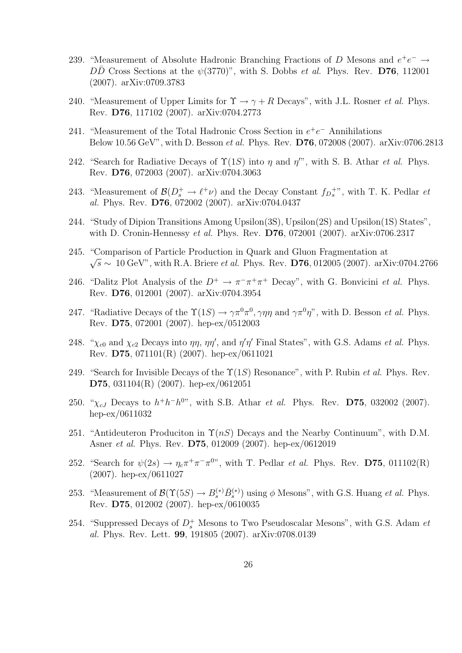- 239. "Measurement of Absolute Hadronic Branching Fractions of D Mesons and  $e^+e^- \rightarrow$  $D\overline{D}$  Cross Sections at the  $\psi(3770)$ ", with S. Dobbs *et al.* Phys. Rev. **D76**, 112001 (2007). arXiv:0709.3783
- 240. "Measurement of Upper Limits for  $\Upsilon \to \gamma + R$  Decays", with J.L. Rosner *et al.* Phys. Rev. D76, 117102 (2007). arXiv:0704.2773
- 241. "Measurement of the Total Hadronic Cross Section in  $e^+e^-$  Annihilations Below 10.56 GeV", with D. Besson et al. Phys. Rev. D76, 072008 (2007). arXiv:0706.2813
- 242. "Search for Radiative Decays of  $\Upsilon(1S)$  into  $\eta$  and  $\eta''$ , with S. B. Athar *et al.* Phys. Rev. D76, 072003 (2007). arXiv:0704.3063
- 243. "Measurement of  $\mathcal{B}(D_s^+ \to \ell^+ \nu)$  and the Decay Constant  $f_{D_s^+}$ ", with T. K. Pedlar et al. Phys. Rev. D76, 072002 (2007). arXiv:0704.0437
- 244. "Study of Dipion Transitions Among Upsilon(3S), Upsilon(2S) and Upsilon(1S) States", with D. Cronin-Hennessy et al. Phys. Rev. D76, 072001 (2007). arXiv:0706.2317
- 245. "Comparison of Particle Production in Quark and Gluon Fragmentation at  $\sqrt{s} \sim 10 \,\text{GeV}$ ", with R.A. Briere *et al.* Phys. Rev. **D76**, 012005 (2007). arXiv:0704.2766
- 246. "Dalitz Plot Analysis of the  $D^+ \to \pi^- \pi^+ \pi^+$  Decay", with G. Bonvicini *et al.* Phys. Rev. D76, 012001 (2007). arXiv:0704.3954
- 247. "Radiative Decays of the  $\Upsilon(1S) \to \gamma \pi^0 \pi^0$ ,  $\gamma \eta \eta$  and  $\gamma \pi^0 \eta$ ", with D. Besson *et al.* Phys. Rev. D75, 072001 (2007). hep-ex/0512003
- 248. " $\chi_{c0}$  and  $\chi_{c2}$  Decays into  $\eta\eta$ ,  $\eta\eta'$ , and  $\eta'\eta'$  Final States", with G.S. Adams *et al.* Phys. Rev. D75, 071101(R) (2007). hep-ex/0611021
- 249. "Search for Invisible Decays of the  $\Upsilon(1S)$  Resonance", with P. Rubin *et al.* Phys. Rev. D75, 031104(R) (2007). hep-ex/0612051
- 250. " $\chi_{cJ}$  Decays to  $h^{+}h^{-}h^{0}$ ", with S.B. Athar *et al.* Phys. Rev. **D75**, 032002 (2007). hep-ex/0611032
- 251. "Antideuteron Produciton in  $\Upsilon(nS)$  Decays and the Nearby Continuum", with D.M. Asner et al. Phys. Rev. D75, 012009 (2007). hep-ex/0612019
- 252. "Search for  $\psi(2s) \to \eta_c \pi^+ \pi^- \pi^{0}$ ", with T. Pedlar *et al.* Phys. Rev. D75, 011102(R) (2007). hep-ex/0611027
- 253. "Measurement of  $\mathcal{B}(\Upsilon(5S) \to B_s^{(*)} \bar{B}_s^{(*)})$  using  $\phi$  Mesons", with G.S. Huang *et al.* Phys. Rev. D75, 012002 (2007). hep-ex/0610035
- 254. "Suppressed Decays of  $D_s^+$  Mesons to Two Pseudoscalar Mesons", with G.S. Adam et al. Phys. Rev. Lett. 99, 191805 (2007). arXiv:0708.0139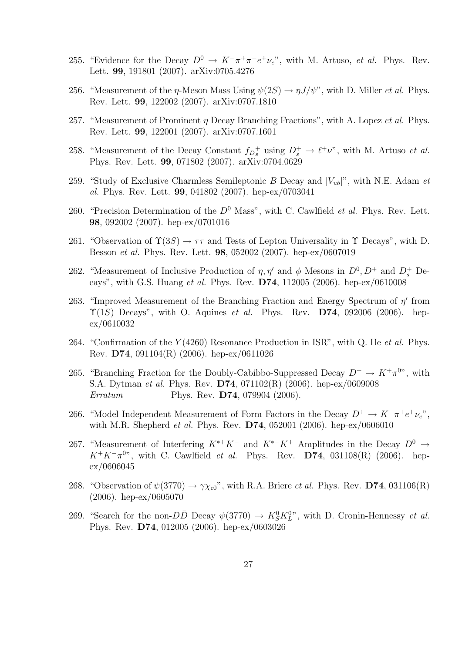- 255. "Evidence for the Decay  $D^0 \to K^-\pi^+\pi^-e^+\nu_e$ ", with M. Artuso, *et al.* Phys. Rev. Lett. 99, 191801 (2007). arXiv:0705.4276
- 256. "Measurement of the  $\eta$ -Meson Mass Using  $\psi(2S) \to \eta J/\psi$ ", with D. Miller *et al.* Phys. Rev. Lett. 99, 122002 (2007). arXiv:0707.1810
- 257. "Measurement of Prominent  $\eta$  Decay Branching Fractions", with A. Lopez *et al.* Phys. Rev. Lett. 99, 122001 (2007). arXiv:0707.1601
- 258. "Measurement of the Decay Constant  $f_{D_s^+}$  using  $D_s^+ \to \ell^+ \nu$ ", with M. Artuso *et al.* Phys. Rev. Lett. 99, 071802 (2007). arXiv:0704.0629
- 259. "Study of Exclusive Charmless Semileptonic B Decay and  $|V_{ub}|$ ", with N.E. Adam et al. Phys. Rev. Lett. 99, 041802 (2007). hep-ex/0703041
- 260. "Precision Determination of the  $D^0$  Mass", with C. Cawlfield *et al.* Phys. Rev. Lett. 98, 092002 (2007). hep-ex/0701016
- 261. "Observation of  $\Upsilon(3S) \to \tau\tau$  and Tests of Lepton Universality in  $\Upsilon$  Decays", with D. Besson et al. Phys. Rev. Lett. 98, 052002 (2007). hep-ex/0607019
- 262. "Measurement of Inclusive Production of  $\eta, \eta'$  and  $\phi$  Mesons in  $D^0, D^+$  and  $D_s^+$  Decays", with G.S. Huang et al. Phys. Rev. D74, 112005 (2006). hep-ex/0610008
- 263. "Improved Measurement of the Branching Fraction and Energy Spectrum of  $\eta'$  from  $\Upsilon(1S)$  Decays", with O. Aquines *et al.* Phys. Rev. **D74**, 092006 (2006). hepex/0610032
- 264. "Confirmation of the  $Y(4260)$  Resonance Production in ISR", with Q. He et al. Phys. Rev. D74, 091104(R) (2006). hep-ex/0611026
- 265. "Branching Fraction for the Doubly-Cabibbo-Suppressed Decay  $D^+ \to K^+\pi^0$ ", with S.A. Dytman et al. Phys. Rev. D74, 071102(R) (2006). hep-ex/0609008 Erratum Phys. Rev. **D74**, 079904 (2006).
- 266. "Model Independent Measurement of Form Factors in the Decay  $D^+ \to K^-\pi^+e^+\nu_e$ ", with M.R. Shepherd et al. Phys. Rev. D74, 052001 (2006). hep-ex/0606010
- 267. "Measurement of Interfering  $K^{*+}K^-$  and  $K^{*-}K^+$  Amplitudes in the Decay  $D^0 \rightarrow$  $K^+K^-\pi^{0}$ , with C. Cawlfield *et al.* Phys. Rev. **D74**, 031108(R) (2006). hepex/0606045
- 268. "Observation of  $\psi(3770) \rightarrow \gamma \chi_{c0}$ ", with R.A. Briere *et al.* Phys. Rev. D74, 031106(R) (2006). hep-ex/0605070
- 269. "Search for the non- $D\bar{D}$  Decay  $\psi(3770) \to K_S^0 K_L^{0}$ ", with D. Cronin-Hennessy *et al.* Phys. Rev. D74, 012005 (2006). hep-ex/0603026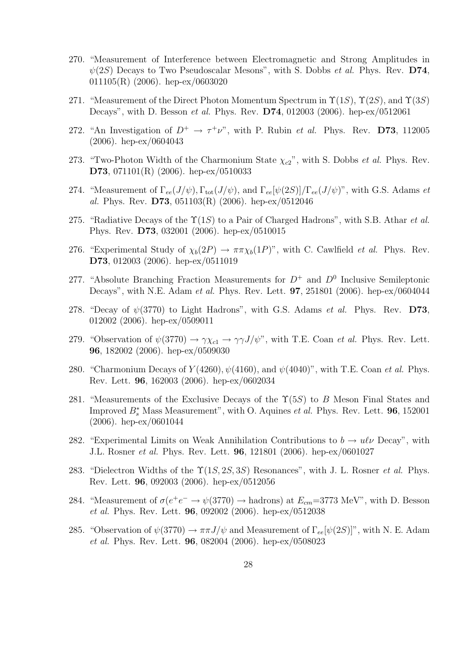- 270. "Measurement of Interference between Electromagnetic and Strong Amplitudes in  $\psi(2S)$  Decays to Two Pseudoscalar Mesons", with S. Dobbs *et al.* Phys. Rev. D74, 011105(R) (2006). hep-ex/0603020
- 271. "Measurement of the Direct Photon Momentum Spectrum in  $\Upsilon(1S)$ ,  $\Upsilon(2S)$ , and  $\Upsilon(3S)$ Decays", with D. Besson et al. Phys. Rev. D74, 012003 (2006). hep-ex/0512061
- 272. "An Investigation of  $D^+ \to \tau^+\nu$ ", with P. Rubin *et al.* Phys. Rev. **D73**, 112005 (2006). hep-ex/0604043
- 273. "Two-Photon Width of the Charmonium State  $\chi_{c2}$ ", with S. Dobbs *et al.* Phys. Rev. D73, 071101(R) (2006). hep-ex/0510033
- 274. "Measurement of  $\Gamma_{ee}(J/\psi)$ ,  $\Gamma_{tot}(J/\psi)$ , and  $\Gamma_{ee}[\psi(2S)]/\Gamma_{ee}(J/\psi)$ ", with G.S. Adams et al. Phys. Rev. D73, 051103(R) (2006). hep-ex/0512046
- 275. "Radiative Decays of the  $\Upsilon(1S)$  to a Pair of Charged Hadrons", with S.B. Athar *et al.* Phys. Rev. D73, 032001 (2006). hep-ex/0510015
- 276. "Experimental Study of  $\chi_b(2P) \to \pi \pi \chi_b(1P)$ ", with C. Cawlfield *et al.* Phys. Rev. D73, 012003 (2006). hep-ex/0511019
- 277. "Absolute Branching Fraction Measurements for  $D^+$  and  $D^0$  Inclusive Semileptonic Decays", with N.E. Adam et al. Phys. Rev. Lett. 97, 251801 (2006). hep-ex/0604044
- 278. "Decay of  $\psi(3770)$  to Light Hadrons", with G.S. Adams *et al.* Phys. Rev. D73, 012002 (2006). hep-ex/0509011
- 279. "Observation of  $\psi(3770) \to \gamma \chi_{c1} \to \gamma \gamma J/\psi$ ", with T.E. Coan *et al.* Phys. Rev. Lett. 96, 182002 (2006). hep-ex/0509030
- 280. "Charmonium Decays of  $Y(4260)$ ,  $\psi(4160)$ , and  $\psi(4040)$ ", with T.E. Coan et al. Phys. Rev. Lett. 96, 162003 (2006). hep-ex/0602034
- 281. "Measurements of the Exclusive Decays of the  $\Upsilon(5S)$  to B Meson Final States and Improved  $B_s^*$  Mass Measurement", with O. Aquines *et al.* Phys. Rev. Lett. **96**, 152001 (2006). hep-ex/0601044
- 282. "Experimental Limits on Weak Annihilation Contributions to  $b \to u\ell\nu$  Decay", with J.L. Rosner et al. Phys. Rev. Lett. 96, 121801 (2006). hep-ex/0601027
- 283. "Dielectron Widths of the  $\Upsilon(1S, 2S, 3S)$  Resonances", with J. L. Rosner *et al.* Phys. Rev. Lett. 96, 092003 (2006). hep-ex/0512056
- 284. "Measurement of  $\sigma(e^+e^- \to \psi(3770) \to \text{hadrons})$  at  $E_{cm} = 3773 \text{ MeV}$ ", with D. Besson et al. Phys. Rev. Lett. 96, 092002 (2006). hep-ex/0512038
- 285. "Observation of  $\psi(3770) \to \pi \pi J/\psi$  and Measurement of  $\Gamma_{ee}[\psi(2S)]$ ", with N. E. Adam et al. Phys. Rev. Lett. 96, 082004 (2006). hep-ex/0508023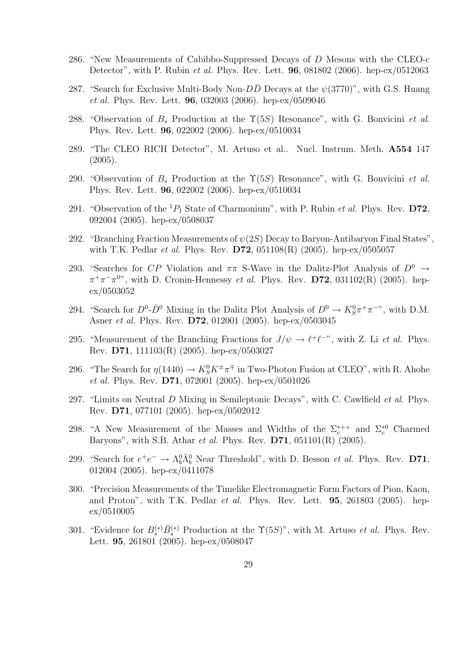- 286. "New Measurements of Cabibbo-Suppressed Decays of D Mesons with the CLEO-c Detector", with P. Rubin et al. Phys. Rev. Lett. 96, 081802 (2006). hep-ex/0512063
- 287. "Search for Exclusive Multi-Body Non- $D\overline{D}$  Decays at the  $\psi(3770)$ ", with G.S. Huang et al. Phys. Rev. Lett. 96, 032003 (2006). hep-ex/0509046
- 288. "Observation of  $B_s$  Production at the  $\Upsilon(5S)$  Resonance", with G. Bonvicini et al. Phys. Rev. Lett. 96, 022002 (2006). hep-ex/0510034
- 289. "The CLEO RICH Detector", M. Artuso et al.. Nucl. Instrum. Meth. A554 147 (2005).
- 290. "Observation of  $B_s$  Production at the  $\Upsilon(5S)$  Resonance", with G. Bonvicini et al. Phys. Rev. Lett. 96, 022002 (2006). hep-ex/0510034
- 291. "Observation of the  ${}^{1}P_{1}$  State of Charmonium", with P. Rubin *et al.* Phys. Rev. **D72**, 092004 (2005). hep-ex/0508037
- 292. "Branching Fraction Measurements of  $\psi(2S)$  Decay to Baryon-Antibaryon Final States", with T.K. Pedlar *et al.* Phys. Rev.  $D72$ ,  $051108(R)$  (2005). hep-ex/0505057
- 293. "Searches for CP Violation and  $\pi\pi$  S-Wave in the Dalitz-Plot Analysis of  $D^0 \rightarrow$  $\pi^+\pi^-\pi^{0}$ , with D. Cronin-Hennessy *et al.* Phys. Rev. D72, 031102(R) (2005). hepex/0503052
- 294. "Search for  $D^0$ - $\bar{D}^0$  Mixing in the Dalitz Plot Analysis of  $D^0 \to K_S^0 \pi^+ \pi^-$ ", with D.M. Asner et al. Phys. Rev. D72, 012001 (2005). hep-ex/0503045
- 295. "Measurement of the Branching Fractions for  $J/\psi \to \ell^+ \ell^-$ ", with Z. Li *et al.* Phys. Rev. D71, 111103(R) (2005). hep-ex/0503027
- 296. "The Search for  $\eta(1440) \to K_S^0 K^{\pm} \pi^{\mp}$  in Two-Photon Fusion at CLEO", with R. Ahohe et al. Phys. Rev. D71, 072001 (2005). hep-ex/0501026
- 297. "Limits on Neutral D Mixing in Semileptonic Decays", with C. Cawlfield *et al.* Phys. Rev. D71, 077101 (2005). hep-ex/0502012
- 298. "A New Measurement of the Masses and Widths of the  $\Sigma_c^{*++}$  and  $\Sigma_c^{*0}$  Charmed Baryons", with S.B. Athar et al. Phys. Rev. D71, 051101(R) (2005).
- 299. "Search for  $e^+e^- \to \Lambda_b^0 \bar{\Lambda}_b^0$  Near Threshold", with D. Besson *et al.* Phys. Rev. D71, 012004 (2005). hep-ex/0411078
- 300. "Precision Measurements of the Timelike Electromagnetic Form Factors of Pion, Kaon, and Proton", with T.K. Pedlar et al. Phys. Rev. Lett. 95, 261803 (2005). hepex/0510005
- 301. "Evidence for  $B_s^{(*)}\bar{B}_s^{(*)}$  Production at the  $\Upsilon(5S)$ ", with M. Artuso *et al.* Phys. Rev. Lett. 95, 261801 (2005). hep-ex/0508047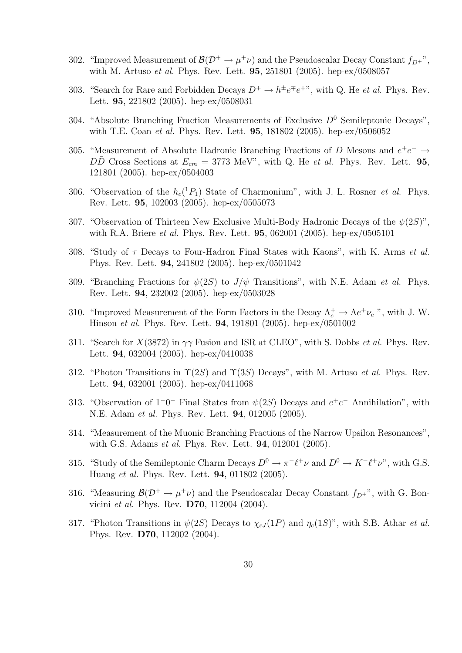- 302. "Improved Measurement of  $\mathcal{B}(\mathcal{D}^+ \to \mu^+\nu)$  and the Pseudoscalar Decay Constant  $f_{D^+}$ ", with M. Artuso et al. Phys. Rev. Lett. 95, 251801 (2005). hep-ex/0508057
- 303. "Search for Rare and Forbidden Decays  $D^+ \to h^{\pm}e^{\mp}e^{\mp}$ ", with Q. He *et al.* Phys. Rev. Lett. 95, 221802 (2005). hep-ex/0508031
- 304. "Absolute Branching Fraction Measurements of Exclusive  $D^0$  Semileptonic Decays", with T.E. Coan et al. Phys. Rev. Lett. 95, 181802 (2005). hep-ex/0506052
- 305. "Measurement of Absolute Hadronic Branching Fractions of D Mesons and  $e^+e^- \rightarrow$  $D\overline{D}$  Cross Sections at  $E_{cm} = 3773$  MeV", with Q. He et al. Phys. Rev. Lett. **95**, 121801 (2005). hep-ex/0504003
- 306. "Observation of the  $h_c(^1P_1)$  State of Charmonium", with J. L. Rosner *et al.* Phys. Rev. Lett. 95, 102003 (2005). hep-ex/0505073
- 307. "Observation of Thirteen New Exclusive Multi-Body Hadronic Decays of the  $\psi(2S)$ ", with R.A. Briere *et al.* Phys. Rev. Lett. **95**, 062001 (2005). hep-ex/0505101
- 308. "Study of  $\tau$  Decays to Four-Hadron Final States with Kaons", with K. Arms et al. Phys. Rev. Lett. 94, 241802 (2005). hep-ex/0501042
- 309. "Branching Fractions for  $\psi(2S)$  to  $J/\psi$  Transitions", with N.E. Adam *et al.* Phys. Rev. Lett. 94, 232002 (2005). hep-ex/0503028
- 310. "Improved Measurement of the Form Factors in the Decay  $\Lambda_c^+ \to \Lambda e^+ \nu_e$ ", with J.W. Hinson et al. Phys. Rev. Lett. 94, 191801 (2005). hep-ex/0501002
- 311. "Search for  $X(3872)$  in  $\gamma\gamma$  Fusion and ISR at CLEO", with S. Dobbs *et al.* Phys. Rev. Lett. 94, 032004 (2005). hep-ex/0410038
- 312. "Photon Transitions in  $\Upsilon(2S)$  and  $\Upsilon(3S)$  Decays", with M. Artuso *et al.* Phys. Rev. Lett. 94, 032001 (2005). hep-ex/0411068
- 313. "Observation of  $1^-0^-$  Final States from  $\psi(2S)$  Decays and  $e^+e^-$  Annihilation", with N.E. Adam et al. Phys. Rev. Lett. 94, 012005 (2005).
- 314. "Measurement of the Muonic Branching Fractions of the Narrow Upsilon Resonances", with G.S. Adams *et al.* Phys. Rev. Lett. **94**, 012001 (2005).
- 315. "Study of the Semileptonic Charm Decays  $D^0 \to \pi^- \ell^+ \nu$  and  $D^0 \to K^- \ell^+ \nu$ ", with G.S. Huang et al. Phys. Rev. Lett. 94, 011802 (2005).
- 316. "Measuring  $\mathcal{B}(\mathcal{D}^+ \to \mu^+\nu)$  and the Pseudoscalar Decay Constant  $f_{D^+}$ ", with G. Bonvicini et al. Phys. Rev. D70, 112004 (2004).
- 317. "Photon Transitions in  $\psi(2S)$  Decays to  $\chi_{cJ}(1P)$  and  $\eta_c(1S)$ ", with S.B. Athar *et al.* Phys. Rev. D70, 112002 (2004).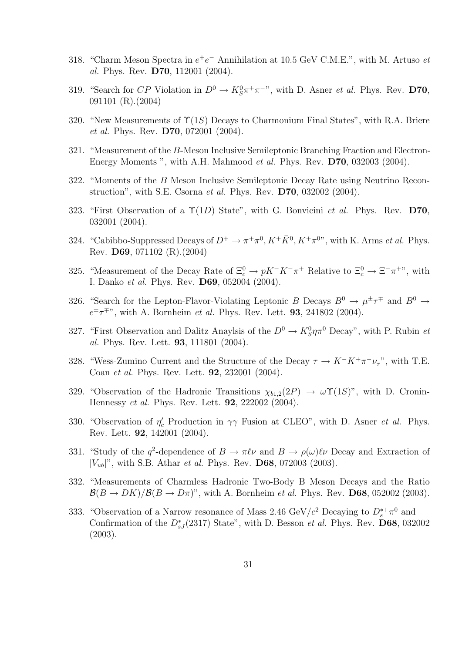- 318. "Charm Meson Spectra in  $e^+e^-$  Annihilation at 10.5 GeV C.M.E.", with M. Artuso et al. Phys. Rev. D70, 112001 (2004).
- 319. "Search for CP Violation in  $D^0 \to K_S^0 \pi^+ \pi^-$ ", with D. Asner *et al.* Phys. Rev. D70, 091101 (R).(2004)
- 320. "New Measurements of  $\Upsilon(1S)$  Decays to Charmonium Final States", with R.A. Briere et al. Phys. Rev. D70, 072001 (2004).
- 321. "Measurement of the B-Meson Inclusive Semileptonic Branching Fraction and Electron-Energy Moments ", with A.H. Mahmood et al. Phys. Rev. D70, 032003 (2004).
- 322. "Moments of the B Meson Inclusive Semileptonic Decay Rate using Neutrino Reconstruction", with S.E. Csorna et al. Phys. Rev. D70, 032002 (2004).
- 323. "First Observation of a  $\Upsilon(1D)$  State", with G. Bonvicini et al. Phys. Rev. D70, 032001 (2004).
- 324. "Cabibbo-Suppressed Decays of  $D^+ \to \pi^+\pi^0$ ,  $K^+\bar{K}^0$ ,  $K^+\pi^{0}$ ", with K. Arms *et al.* Phys. Rev. D69, 071102 (R).(2004)
- 325. "Measurement of the Decay Rate of  $\Xi_c^0 \to pK^-K^-\pi^+$  Relative to  $\Xi_c^0 \to \Xi^-\pi^+$ ", with I. Danko et al. Phys. Rev. D69, 052004 (2004).
- 326. "Search for the Lepton-Flavor-Violating Leptonic B Decays  $B^0 \to \mu^{\pm} \tau^{\mp}$  and  $B^0 \to \tau^{\pm}$  $e^{\pm} \tau^{\mp}$ ", with A. Bornheim *et al.* Phys. Rev. Lett. **93**, 241802 (2004).
- 327. "First Observation and Dalitz Anaylsis of the  $D^0 \to K_S^0 \eta \pi^0$  Decay", with P. Rubin *et* al. Phys. Rev. Lett. 93, 111801 (2004).
- 328. "Wess-Zumino Current and the Structure of the Decay  $\tau \to K^-K^+\pi^-\nu_\tau$ ", with T.E. Coan et al. Phys. Rev. Lett. 92, 232001 (2004).
- 329. "Observation of the Hadronic Transitions  $\chi_{b1,2}(2P) \rightarrow \omega \Upsilon(1S)$ ", with D. Cronin-Hennessy et al. Phys. Rev. Lett. 92, 222002 (2004).
- 330. "Observation of  $\eta_c'$  Production in  $\gamma\gamma$  Fusion at CLEO", with D. Asner *et al.* Phys. Rev. Lett. 92, 142001 (2004).
- 331. "Study of the q<sup>2</sup>-dependence of  $B \to \pi \ell \nu$  and  $B \to \rho(\omega)\ell \nu$  Decay and Extraction of  $|V_{ub}|^{\nu}$ , with S.B. Athar *et al.* Phys. Rev. **D68**, 072003 (2003).
- 332. "Measurements of Charmless Hadronic Two-Body B Meson Decays and the Ratio  $\mathcal{B}(B \to DK)/\mathcal{B}(B \to D\pi)$ ", with A. Bornheim *et al.* Phys. Rev. **D68**, 052002 (2003).
- 333. "Observation of a Narrow resonance of Mass 2.46 GeV/ $c^2$  Decaying to  $D_s^{*+}\pi^0$  and Confirmation of the  $D_{sJ}^*(2317)$  State", with D. Besson *et al.* Phys. Rev. **D68**, 032002 (2003).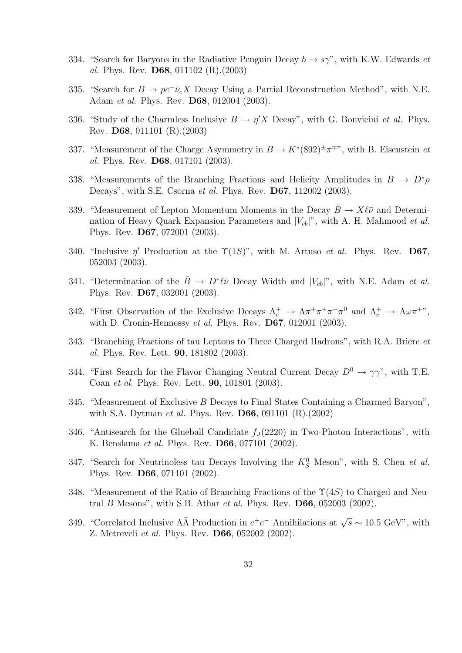- 334. "Search for Baryons in the Radiative Penguin Decay  $b \to s\gamma$ ", with K.W. Edwards *et* al. Phys. Rev. D68, 011102 (R).(2003)
- 335. "Search for  $B \to pe^- \bar{\nu}_e X$  Decay Using a Partial Reconstruction Method", with N.E. Adam et al. Phys. Rev. D68, 012004 (2003).
- 336. "Study of the Charmless Inclusive  $B \to \eta' X$  Decay", with G. Bonvicini *et al.* Phys. Rev. D68, 011101 (R).(2003)
- 337. "Measurement of the Charge Asymmetry in  $B \to K^*(892)^{\pm} \pi^{\mp}$ ", with B. Eisenstein et al. Phys. Rev. D68, 017101 (2003).
- 338. "Measurements of the Branching Fractions and Helicity Amplitudes in  $B \to D^*\rho$ Decays", with S.E. Csorna *et al.* Phys. Rev. **D67**, 112002 (2003).
- 339. "Measurement of Lepton Momentum Moments in the Decay  $\bar{B} \to X\ell\bar{\nu}$  and Determination of Heavy Quark Expansion Parameters and  $|V_{cb}|$ ", with A. H. Mahmood *et al.* Phys. Rev. D67, 072001 (2003).
- 340. "Inclusive  $\eta'$  Production at the  $\Upsilon(1S)$ ", with M. Artuso *et al.* Phys. Rev. D67, 052003 (2003).
- 341. "Determination of the  $\bar{B} \to D^*\ell\bar{\nu}$  Decay Width and  $|V_{cb}|$ ", with N.E. Adam *et al.* Phys. Rev. D67, 032001 (2003).
- 342. "First Observation of the Exclusive Decays  $\Lambda_c^+ \to \Lambda \pi^+ \pi^+ \pi^- \pi^0$  and  $\Lambda_c^+ \to \Lambda \omega \pi^+$ ", with D. Cronin-Hennessy et al. Phys. Rev. D67, 012001 (2003).
- 343. "Branching Fractions of tau Leptons to Three Charged Hadrons", with R.A. Briere et al. Phys. Rev. Lett. 90, 181802 (2003).
- 344. "First Search for the Flavor Changing Neutral Current Decay  $D^0 \to \gamma \gamma$ ", with T.E. Coan et al. Phys. Rev. Lett. 90, 101801 (2003).
- 345. "Measurement of Exclusive B Decays to Final States Containing a Charmed Baryon", with S.A. Dytman et al. Phys. Rev. D66, 091101 (R).(2002)
- 346. "Antisearch for the Glueball Candidate  $f_J(2220)$  in Two-Photon Interactions", with K. Benslama et al. Phys. Rev. D66, 077101 (2002).
- 347. "Search for Neutrinoless tau Decays Involving the  $K_S^0$  Meson", with S. Chen *et al.* Phys. Rev. D66, 071101 (2002).
- 348. "Measurement of the Ratio of Branching Fractions of the  $\Upsilon(4S)$  to Charged and Neutral B Mesons", with S.B. Athar et al. Phys. Rev.  $\mathbf{D66}$ , 052003 (2002).
- 349. "Correlated Inclusive  $\Lambda\bar{\Lambda}$  Production in  $e^+e^-$  Annihilations at  $\sqrt{s} \sim 10.5$  GeV", with Z. Metreveli et al. Phys. Rev. D66, 052002 (2002).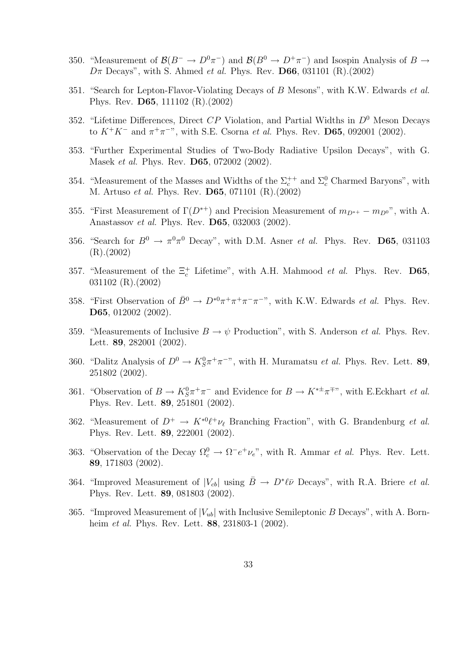- 350. "Measurement of  $\mathcal{B}(B^-\to D^0\pi^-)$  and  $\mathcal{B}(B^0\to D^+\pi^-)$  and Isospin Analysis of  $B\to$  $D\pi$  Decays", with S. Ahmed *et al.* Phys. Rev. **D66**, 031101 (R).(2002)
- 351. "Search for Lepton-Flavor-Violating Decays of B Mesons", with K.W. Edwards *et al.* Phys. Rev. D65, 111102 (R).(2002)
- 352. "Lifetime Differences, Direct  $CP$  Violation, and Partial Widths in  $D^0$  Meson Decays to  $K^+K^-$  and  $\pi^+\pi^-$ ", with S.E. Csorna *et al.* Phys. Rev. **D65**, 092001 (2002).
- 353. "Further Experimental Studies of Two-Body Radiative Upsilon Decays", with G. Masek et al. Phys. Rev. D65, 072002 (2002).
- 354. "Measurement of the Masses and Widths of the  $\Sigma_c^{++}$  and  $\Sigma_c^0$  Charmed Baryons", with M. Artuso et al. Phys. Rev. D65, 071101 (R).(2002)
- 355. "First Measurement of  $\Gamma(D^{*+})$  and Precision Measurement of  $m_{D^{*+}} m_{D^{0}}$ ", with A. Anastassov et al. Phys. Rev. D65, 032003 (2002).
- 356. "Search for  $B^0 \to \pi^0 \pi^0$  Decay", with D.M. Asner *et al.* Phys. Rev. **D65**, 031103 (R).(2002)
- 357. "Measurement of the  $\Xi_c^+$  Lifetime", with A.H. Mahmood *et al.* Phys. Rev. D65, 031102 (R).(2002)
- 358. "First Observation of  $\bar{B}^0 \to D^{*0} \pi^+ \pi^+ \pi^- \pi^-$ ", with K.W. Edwards *et al.* Phys. Rev. D65, 012002 (2002).
- 359. "Measurements of Inclusive  $B \to \psi$  Production", with S. Anderson *et al.* Phys. Rev. Lett. 89, 282001 (2002).
- 360. "Dalitz Analysis of  $D^0 \to K_S^0 \pi^+ \pi^-$ ", with H. Muramatsu *et al.* Phys. Rev. Lett. 89, 251802 (2002).
- 361. "Observation of  $B \to K_S^0 \pi^+ \pi^-$  and Evidence for  $B \to K^{*\pm} \pi^{\mp}$ ", with E.Eckhart *et al.* Phys. Rev. Lett. 89, 251801 (2002).
- 362. "Measurement of  $D^+ \to K^{*0}\ell^+\nu_\ell$  Branching Fraction", with G. Brandenburg *et al.* Phys. Rev. Lett. 89, 222001 (2002).
- 363. "Observation of the Decay  $\Omega_c^0 \to \Omega^- e^+ \nu_e$ ", with R. Ammar *et al.* Phys. Rev. Lett. 89, 171803 (2002).
- 364. "Improved Measurement of  $|V_{cb}|$  using  $\bar{B} \to D^*\ell\bar{\nu}$  Decays", with R.A. Briere *et al.* Phys. Rev. Lett. 89, 081803 (2002).
- 365. "Improved Measurement of  $|V_{ub}|$  with Inclusive Semileptonic B Decays", with A. Bornheim *et al.* Phys. Rev. Lett. **88**, 231803-1 (2002).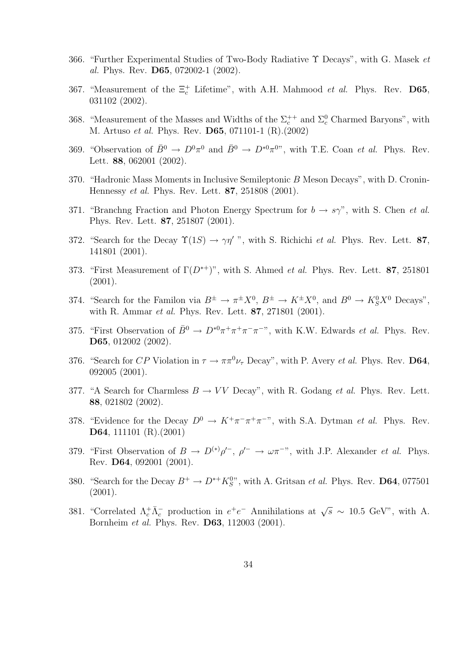- 366. "Further Experimental Studies of Two-Body Radiative Υ Decays", with G. Masek et al. Phys. Rev. D65, 072002-1 (2002).
- 367. "Measurement of the  $\Xi_c^+$  Lifetime", with A.H. Mahmood *et al.* Phys. Rev. **D65**, 031102 (2002).
- 368. "Measurement of the Masses and Widths of the  $\Sigma_c^{++}$  and  $\Sigma_c^0$  Charmed Baryons", with M. Artuso et al. Phys. Rev. D65, 071101-1 (R).(2002)
- 369. "Observation of  $\bar{B}^0 \to D^0 \pi^0$  and  $\bar{B}^0 \to D^{*0} \pi^{0}$ ", with T.E. Coan *et al.* Phys. Rev. Lett. 88, 062001 (2002).
- 370. "Hadronic Mass Moments in Inclusive Semileptonic B Meson Decays", with D. Cronin-Hennessy et al. Phys. Rev. Lett. 87, 251808 (2001).
- 371. "Branchng Fraction and Photon Energy Spectrum for  $b \to s\gamma$ ", with S. Chen *et al.* Phys. Rev. Lett. 87, 251807 (2001).
- 372. "Search for the Decay  $\Upsilon(1S) \to \gamma \eta'$ ", with S. Richichi *et al.* Phys. Rev. Lett. 87, 141801 (2001).
- 373. "First Measurement of  $\Gamma(D^{*+})$ ", with S. Ahmed *et al.* Phys. Rev. Lett. **87**, 251801 (2001).
- 374. "Search for the Familon via  $B^{\pm} \to \pi^{\pm} X^0$ ,  $B^{\pm} \to K^{\pm} X^0$ , and  $B^0 \to K_S^0 X^0$  Decays", with R. Ammar et al. Phys. Rev. Lett. 87, 271801 (2001).
- 375. "First Observation of  $\bar{B}^0 \to D^{*0} \pi^+ \pi^+ \pi^- \pi^-$ ", with K.W. Edwards *et al.* Phys. Rev. D65, 012002 (2002).
- 376. "Search for CP Violation in  $\tau \to \pi \pi^0 \nu_{\tau}$  Decay", with P. Avery *et al.* Phys. Rev. **D64**, 092005 (2001).
- 377. "A Search for Charmless  $B \to VV$  Decay", with R. Godang *et al.* Phys. Rev. Lett. 88, 021802 (2002).
- 378. "Evidence for the Decay  $D^0 \to K^+\pi^-\pi^+\pi^{-}$ ", with S.A. Dytman *et al.* Phys. Rev. D64, 111101 (R).(2001)
- 379. "First Observation of  $B \to D^{(*)} \rho'^{-}$ ,  $\rho'^{-} \to \omega \pi^{-}$ ", with J.P. Alexander *et al.* Phys. Rev. D64, 092001 (2001).
- 380. "Search for the Decay  $B^+ \to D^{*+} K_S^{0}$ ", with A. Gritsan *et al.* Phys. Rev. **D64**, 077501 (2001).
- 381. "Correlated  $\Lambda_c^+ \bar{\Lambda}_c^-$  production in  $e^+e^-$  Annihilations at  $\sqrt{s} \sim 10.5$  GeV", with A. Bornheim et al. Phys. Rev. D63, 112003 (2001).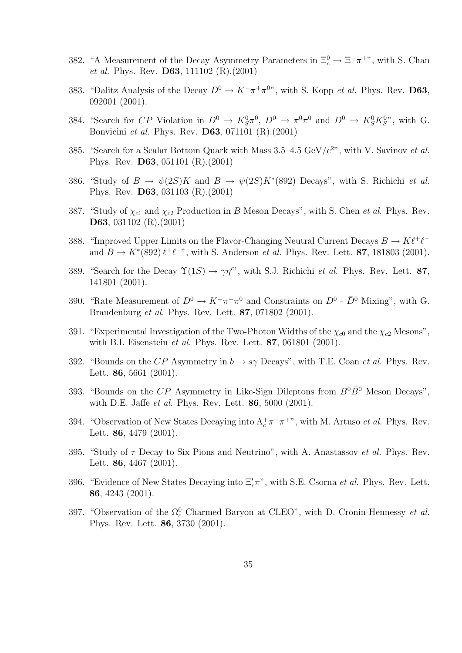- 382. "A Measurement of the Decay Asymmetry Parameters in  $\Xi_c^0 \to \Xi^- \pi^+$ ", with S. Chan et al. Phys. Rev. D63, 111102 (R).(2001)
- 383. "Dalitz Analysis of the Decay  $D^0 \to K^-\pi^+\pi^{0}$ ", with S. Kopp *et al.* Phys. Rev. **D63**, 092001 (2001).
- 384. "Search for CP Violation in  $D^0 \to K_S^0 \pi^0$ ,  $D^0 \to \pi^0 \pi^0$  and  $D^0 \to K_S^0 K_S^{0}$ ", with G. Bonvicini et al. Phys. Rev. D63, 071101 (R).(2001)
- 385. "Search for a Scalar Bottom Quark with Mass  $3.5-4.5 \text{ GeV}/c^2$ ", with V. Savinov et al. Phys. Rev. D63, 051101 (R).(2001)
- 386. "Study of  $B \to \psi(2S)K$  and  $B \to \psi(2S)K^*(892)$  Decays", with S. Richichi *et al.* Phys. Rev. D63, 031103 (R).(2001)
- 387. "Study of  $\chi_{c1}$  and  $\chi_{c2}$  Production in B Meson Decays", with S. Chen *et al.* Phys. Rev. D63, 031102 (R).(2001)
- 388. "Improved Upper Limits on the Flavor-Changing Neutral Current Decays  $B \to K\ell^+\ell^$ and  $B \to K^*(892) \ell^+ \ell^{-n}$ , with S. Anderson *et al.* Phys. Rev. Lett. **87**, 181803 (2001).
- 389. "Search for the Decay  $\Upsilon(1S) \to \gamma \eta''$ , with S.J. Richichi *et al.* Phys. Rev. Lett. 87, 141801 (2001).
- 390. "Rate Measurement of  $D^0 \to K^-\pi^+\pi^0$  and Constraints on  $D^0$   $\bar{D}^0$  Mixing", with G. Brandenburg et al. Phys. Rev. Lett. 87, 071802 (2001).
- 391. "Experimental Investigation of the Two-Photon Widths of the  $\chi_{c0}$  and the  $\chi_{c2}$  Mesons", with B.I. Eisenstein et al. Phys. Rev. Lett. 87, 061801 (2001).
- 392. "Bounds on the CP Asymmetry in  $b \to s\gamma$  Decays", with T.E. Coan *et al.* Phys. Rev. Lett. 86, 5661 (2001).
- 393. "Bounds on the CP Asymmetry in Like-Sign Dileptons from  $B^0\bar{B}^0$  Meson Decays", with D.E. Jaffe *et al.* Phys. Rev. Lett. **86**, 5000 (2001).
- 394. "Observation of New States Decaying into  $\Lambda_c^+\pi^-\pi^{+\nu}$ , with M. Artuso *et al.* Phys. Rev. Lett. 86, 4479 (2001).
- 395. "Study of  $\tau$  Decay to Six Pions and Neutrino", with A. Anastassov *et al.* Phys. Rev. Lett. 86, 4467 (2001).
- 396. "Evidence of New States Decaying into  $\Xi_c' \pi$ ", with S.E. Csorna *et al.* Phys. Rev. Lett. 86, 4243 (2001).
- 397. "Observation of the  $\Omega_c^0$  Charmed Baryon at CLEO", with D. Cronin-Hennessy *et al.* Phys. Rev. Lett. 86, 3730 (2001).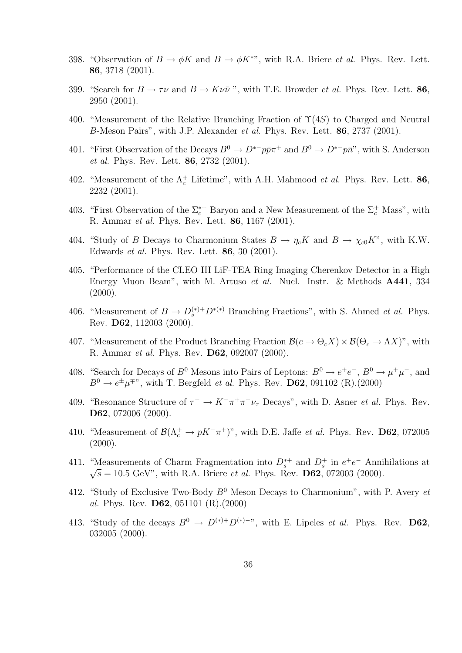- 398. "Observation of  $B \to \phi K$  and  $B \to \phi K^{*}$ ", with R.A. Briere *et al.* Phys. Rev. Lett. 86, 3718 (2001).
- 399. "Search for  $B \to \tau \nu$  and  $B \to K \nu \bar{\nu}$ ", with T.E. Browder *et al.* Phys. Rev. Lett. 86, 2950 (2001).
- 400. "Measurement of the Relative Branching Fraction of  $\Upsilon(4S)$  to Charged and Neutral B-Meson Pairs", with J.P. Alexander et al. Phys. Rev. Lett. 86, 2737 (2001).
- 401. "First Observation of the Decays  $B^0 \to D^{*-}p\bar{p}\pi^+$  and  $B^0 \to D^{*-}p\bar{n}$ ", with S. Anderson et al. Phys. Rev. Lett. 86, 2732 (2001).
- 402. "Measurement of the  $\Lambda_c^+$  Lifetime", with A.H. Mahmood *et al.* Phys. Rev. Lett. 86, 2232 (2001).
- 403. "First Observation of the  $\Sigma_c^{*+}$  Baryon and a New Measurement of the  $\Sigma_c^+$  Mass", with R. Ammar et al. Phys. Rev. Lett. 86, 1167 (2001).
- 404. "Study of B Decays to Charmonium States  $B \to \eta_c K$  and  $B \to \chi_{c0} K$ ", with K.W. Edwards et al. Phys. Rev. Lett. 86, 30 (2001).
- 405. "Performance of the CLEO III LiF-TEA Ring Imaging Cherenkov Detector in a High Energy Muon Beam", with M. Artuso et al. Nucl. Instr. & Methods A441, 334  $(2000).$
- 406. "Measurement of  $B \to D_s^{(*)+} D^{(*)}$  Branching Fractions", with S. Ahmed *et al.* Phys. Rev. D62, 112003 (2000).
- 407. "Measurement of the Product Branching Fraction  $\mathcal{B}(c \to \Theta_c X) \times \mathcal{B}(\Theta_c \to \Lambda X)$ ", with R. Ammar et al. Phys. Rev. D62, 092007 (2000).
- 408. "Search for Decays of  $B^0$  Mesons into Pairs of Leptons:  $B^0 \to e^+e^-$ ,  $B^0 \to \mu^+\mu^-$ , and  $B^0 \rightarrow e^{\pm} \mu^{\mp}$ ", with T. Bergfeld *et al.* Phys. Rev. **D62**, 091102 (R).(2000)
- 409. "Resonance Structure of  $\tau^- \to K^-\pi^+\pi^-\nu_\tau$  Decays", with D. Asner *et al.* Phys. Rev. D62, 072006 (2000).
- 410. "Measurement of  $\mathcal{B}(\Lambda_c^+ \to pK^-\pi^+)$ ", with D.E. Jaffe *et al.* Phys. Rev. **D62**, 072005  $(2000).$
- 411. "Measurements of Charm Fragmentation into  $D_s^{*+}$  and  $D_s^{+}$  in  $e^+e^-$  Annihilations at  $\sqrt{s} = 10.5 \text{ GeV}$ , with R.A. Briere *et al.* Phys. Rev. **D62**, 072003 (2000).
- 412. "Study of Exclusive Two-Body  $B^0$  Meson Decays to Charmonium", with P. Avery et al. Phys. Rev. D62, 051101 (R).(2000)
- 413. "Study of the decays  $B^0 \to D^{(*)+}D^{(*)-}$ ", with E. Lipeles *et al.* Phys. Rev. **D62**, 032005 (2000).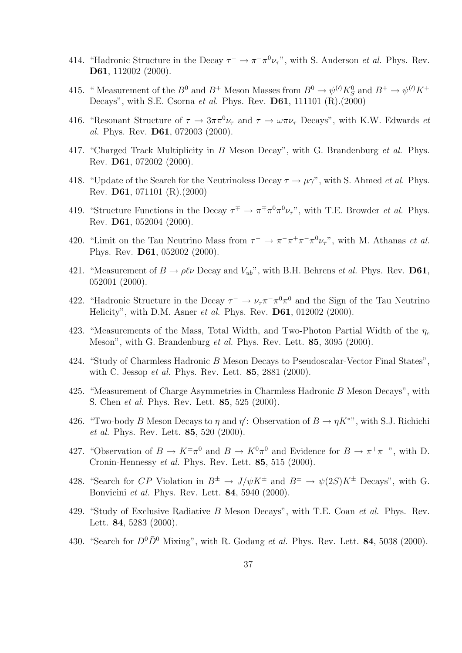- 414. "Hadronic Structure in the Decay  $\tau^- \to \pi^- \pi^0 \nu_\tau$ ", with S. Anderson *et al.* Phys. Rev. D61, 112002 (2000).
- 415. "Measurement of the  $B^0$  and  $B^+$  Meson Masses from  $B^0 \to \psi^{(\prime)} K^0_S$  and  $B^+ \to \psi^{(\prime)} K^+$ Decays", with S.E. Csorna et al. Phys. Rev.  $D61$ , 111101 (R).(2000)
- 416. "Resonant Structure of  $\tau \to 3\pi\pi^0\nu_\tau$  and  $\tau \to \omega\pi\nu_\tau$  Decays", with K.W. Edwards *et* al. Phys. Rev. D61, 072003 (2000).
- 417. "Charged Track Multiplicity in B Meson Decay", with G. Brandenburg et al. Phys. Rev. D61, 072002 (2000).
- 418. "Update of the Search for the Neutrinoless Decay  $\tau \to \mu \gamma$ ", with S. Ahmed *et al.* Phys. Rev. D61, 071101 (R).(2000)
- 419. "Structure Functions in the Decay  $\tau^{\mp} \to \pi^{\mp} \pi^0 \pi^0 \nu_{\tau}$ ", with T.E. Browder *et al.* Phys. Rev. D61, 052004 (2000).
- 420. "Limit on the Tau Neutrino Mass from  $\tau^- \to \pi^- \pi^+ \pi^- \pi^0 \nu_{\tau}$ ", with M. Athanas *et al.* Phys. Rev. D61, 052002 (2000).
- 421. "Measurement of  $B \to \rho \ell \nu$  Decay and  $V_{ub}$ ", with B.H. Behrens *et al.* Phys. Rev. **D61**, 052001 (2000).
- 422. "Hadronic Structure in the Decay  $\tau^- \to \nu_\tau \pi^- \pi^0 \pi^0$  and the Sign of the Tau Neutrino Helicity", with D.M. Asner *et al.* Phys. Rev. **D61**, 012002 (2000).
- 423. "Measurements of the Mass, Total Width, and Two-Photon Partial Width of the  $\eta_c$ Meson", with G. Brandenburg *et al.* Phys. Rev. Lett. **85**, 3095 (2000).
- 424. "Study of Charmless Hadronic B Meson Decays to Pseudoscalar-Vector Final States", with C. Jessop et al. Phys. Rev. Lett. 85, 2881 (2000).
- 425. "Measurement of Charge Asymmetries in Charmless Hadronic B Meson Decays", with S. Chen et al. Phys. Rev. Lett. 85, 525 (2000).
- 426. "Two-body B Meson Decays to  $\eta$  and  $\eta'$ : Observation of  $B \to \eta K^{**}$ , with S.J. Richichi et al. Phys. Rev. Lett. 85, 520 (2000).
- 427. "Observation of  $B \to K^{\pm} \pi^0$  and  $B \to K^0 \pi^0$  and Evidence for  $B \to \pi^+ \pi^-$ ", with D. Cronin-Hennessy et al. Phys. Rev. Lett. 85, 515 (2000).
- 428. "Search for CP Violation in  $B^{\pm} \to J/\psi K^{\pm}$  and  $B^{\pm} \to \psi(2S)K^{\pm}$  Decays", with G. Bonvicini et al. Phys. Rev. Lett. 84, 5940 (2000).
- 429. "Study of Exclusive Radiative B Meson Decays", with T.E. Coan et al. Phys. Rev. Lett. 84, 5283 (2000).
- 430. "Search for  $D^0\overline{D}{}^0$  Mixing", with R. Godang *et al.* Phys. Rev. Lett. **84**, 5038 (2000).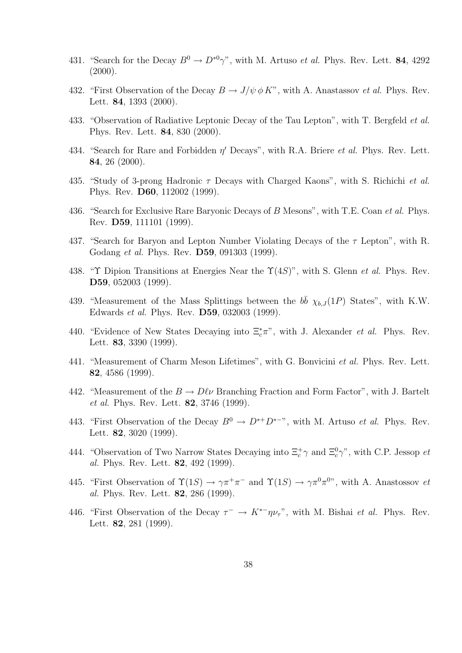- 431. "Search for the Decay  $B^0 \to D^{*0} \gamma$ ", with M. Artuso *et al.* Phys. Rev. Lett. **84**, 4292  $(2000).$
- 432. "First Observation of the Decay  $B \to J/\psi \, \phi K$ ", with A. Anastassov *et al.* Phys. Rev. Lett. 84, 1393 (2000).
- 433. "Observation of Radiative Leptonic Decay of the Tau Lepton", with T. Bergfeld *et al.* Phys. Rev. Lett. 84, 830 (2000).
- 434. "Search for Rare and Forbidden  $\eta'$  Decays", with R.A. Briere *et al.* Phys. Rev. Lett. 84, 26 (2000).
- 435. "Study of 3-prong Hadronic  $\tau$  Decays with Charged Kaons", with S. Richichi *et al.* Phys. Rev. D60, 112002 (1999).
- 436. "Search for Exclusive Rare Baryonic Decays of B Mesons", with T.E. Coan *et al.* Phys. Rev. D59, 111101 (1999).
- 437. "Search for Baryon and Lepton Number Violating Decays of the  $\tau$  Lepton", with R. Godang et al. Phys. Rev. D59, 091303 (1999).
- 438. "Υ Dipion Transitions at Energies Near the  $\Upsilon(4S)$ ", with S. Glenn *et al.* Phys. Rev. D59, 052003 (1999).
- 439. "Measurement of the Mass Splittings between the  $b\bar{b} \chi_{b,J}(1P)$  States", with K.W. Edwards et al. Phys. Rev. D59, 032003 (1999).
- 440. "Evidence of New States Decaying into  $\Xi_c^*\pi$ ", with J. Alexander *et al.* Phys. Rev. Lett. 83, 3390 (1999).
- 441. "Measurement of Charm Meson Lifetimes", with G. Bonvicini et al. Phys. Rev. Lett. 82, 4586 (1999).
- 442. "Measurement of the  $B \to D\ell\nu$  Branching Fraction and Form Factor", with J. Bartelt et al. Phys. Rev. Lett. 82, 3746 (1999).
- 443. "First Observation of the Decay  $B^0 \to D^{*+}D^{*-}$ ", with M. Artuso *et al.* Phys. Rev. Lett. 82, 3020 (1999).
- 444. "Observation of Two Narrow States Decaying into  $\Xi_c^+\gamma$  and  $\Xi_c^0\gamma$ ", with C.P. Jessop et al. Phys. Rev. Lett. 82, 492 (1999).
- 445. "First Observation of  $\Upsilon(1S) \to \gamma \pi^+ \pi^-$  and  $\Upsilon(1S) \to \gamma \pi^0 \pi^{0}$ ", with A. Anastossov et al. Phys. Rev. Lett. 82, 286 (1999).
- 446. "First Observation of the Decay  $\tau^- \to K^{*-} \eta \nu_{\tau}$ ", with M. Bishai *et al.* Phys. Rev. Lett. 82, 281 (1999).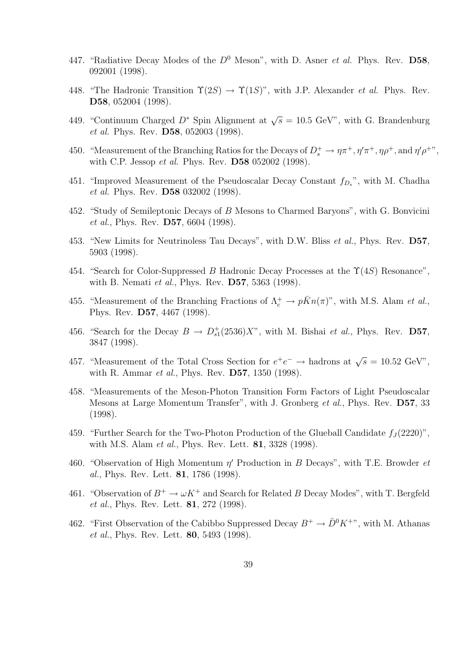- 447. "Radiative Decay Modes of the  $D^0$  Meson", with D. Asner *et al.* Phys. Rev. D58, 092001 (1998).
- 448. "The Hadronic Transition  $\Upsilon(2S) \to \Upsilon(1S)$ ", with J.P. Alexander *et al.* Phys. Rev. D58, 052004 (1998).
- 449. "Continuum Charged  $D^*$  Spin Alignment at  $\sqrt{s} = 10.5$  GeV", with G. Brandenburg et al. Phys. Rev. D58, 052003 (1998).
- 450. "Measurement of the Branching Ratios for the Decays of  $D_s^+ \to \eta \pi^+$ ,  $\eta' \pi^+$ ,  $\eta \rho^+$ , and  $\eta' \rho^{+}$ ", with C.P. Jessop et al. Phys. Rev. D58 052002 (1998).
- 451. "Improved Measurement of the Pseudoscalar Decay Constant  $f_{D_s}$ ", with M. Chadha et al. Phys. Rev. D58 032002 (1998).
- 452. "Study of Semileptonic Decays of B Mesons to Charmed Baryons", with G. Bonvicini et al., Phys. Rev. D57, 6604 (1998).
- 453. "New Limits for Neutrinoless Tau Decays", with D.W. Bliss et al., Phys. Rev. D57, 5903 (1998).
- 454. "Search for Color-Suppressed B Hadronic Decay Processes at the  $\Upsilon(4S)$  Resonance", with B. Nemati *et al.*, Phys. Rev. **D57**, 5363 (1998).
- 455. "Measurement of the Branching Fractions of  $\Lambda_c^+ \to p\bar{K}n(\pi)$ ", with M.S. Alam *et al.*, Phys. Rev. D57, 4467 (1998).
- 456. "Search for the Decay  $B \to D_{s1}^+(2536)X$ ", with M. Bishai *et al.*, Phys. Rev. **D57**, 3847 (1998).
- 457. "Measurement of the Total Cross Section for  $e^+e^- \to$  hadrons at  $\sqrt{s} = 10.52$  GeV", with R. Ammar *et al.*, Phys. Rev. **D57**, 1350 (1998).
- 458. "Measurements of the Meson-Photon Transition Form Factors of Light Pseudoscalar Mesons at Large Momentum Transfer", with J. Gronberg et al., Phys. Rev. D57, 33 (1998).
- 459. "Further Search for the Two-Photon Production of the Glueball Candidate  $f_J(2220)$ ", with M.S. Alam *et al.*, Phys. Rev. Lett. **81**, 3328 (1998).
- 460. "Observation of High Momentum  $\eta'$  Production in B Decays", with T.E. Browder et al., Phys. Rev. Lett. 81, 1786 (1998).
- 461. "Observation of  $B^+ \to \omega K^+$  and Search for Related B Decay Modes", with T. Bergfeld et al., Phys. Rev. Lett. 81, 272 (1998).
- 462. "First Observation of the Cabibbo Suppressed Decay  $B^+ \to \bar{D}^0 K^{+}$ ", with M. Athanas et al., Phys. Rev. Lett. 80, 5493 (1998).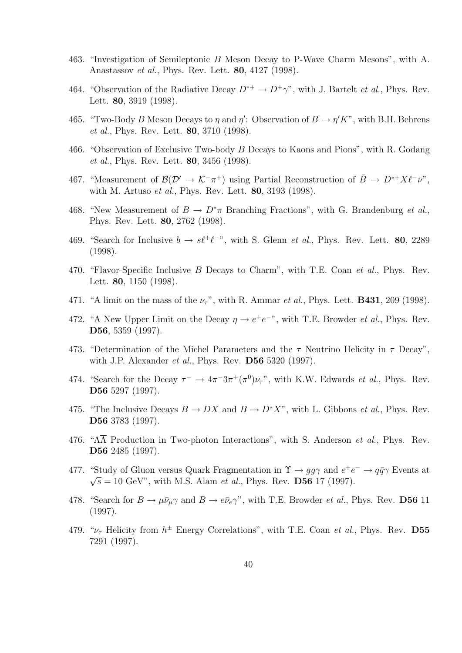- 463. "Investigation of Semileptonic B Meson Decay to P-Wave Charm Mesons", with A. Anastassov et al., Phys. Rev. Lett. 80, 4127 (1998).
- 464. "Observation of the Radiative Decay  $D^{*+} \to D^+\gamma$ ", with J. Bartelt *et al.*, Phys. Rev. Lett. 80, 3919 (1998).
- 465. "Two-Body B Meson Decays to  $\eta$  and  $\eta'$ : Observation of  $B \to \eta' K$ ", with B.H. Behrens et al., Phys. Rev. Lett. 80, 3710 (1998).
- 466. "Observation of Exclusive Two-body B Decays to Kaons and Pions", with R. Godang et al., Phys. Rev. Lett. 80, 3456 (1998).
- 467. "Measurement of  $\mathcal{B}(\mathcal{D}' \to \mathcal{K}^-\pi^+)$  using Partial Reconstruction of  $\bar{B} \to D^{*+}X\ell^-\bar{\nu}$ ", with M. Artuso et al., Phys. Rev. Lett. 80, 3193 (1998).
- 468. "New Measurement of  $B \to D^*\pi$  Branching Fractions", with G. Brandenburg *et al.*, Phys. Rev. Lett. 80, 2762 (1998).
- 469. "Search for Inclusive  $b \to s\ell^+\ell^-$ ", with S. Glenn *et al.*, Phys. Rev. Lett. **80**, 2289 (1998).
- 470. "Flavor-Specific Inclusive B Decays to Charm", with T.E. Coan et al., Phys. Rev. Lett. 80, 1150 (1998).
- 471. "A limit on the mass of the  $\nu_{\tau}$ ", with R. Ammar et al., Phys. Lett. **B431**, 209 (1998).
- 472. "A New Upper Limit on the Decay  $\eta \to e^+e^{-\eta}$ , with T.E. Browder *et al.*, Phys. Rev. D56, 5359 (1997).
- 473. "Determination of the Michel Parameters and the  $\tau$  Neutrino Helicity in  $\tau$  Decay", with J.P. Alexander *et al.*, Phys. Rev. **D56** 5320 (1997).
- 474. "Search for the Decay  $\tau^- \to 4\pi^- 3\pi^+ (\pi^0) \nu_\tau$ ", with K.W. Edwards *et al.*, Phys. Rev. D56 5297 (1997).
- 475. "The Inclusive Decays  $B \to DX$  and  $B \to D^*X$ ", with L. Gibbons *et al.*, Phys. Rev. D56 3783 (1997).
- 476. " $\Lambda \overline{\Lambda}$  Production in Two-photon Interactions", with S. Anderson *et al.*, Phys. Rev. D56 2485 (1997).
- 477. "Study of Gluon versus Quark Fragmentation in  $\Upsilon \to gg\gamma$  and  $e^+e^- \to q\bar{q}\gamma$  Events at  $\sqrt{s} = 10 \text{ GeV}$ ", with M.S. Alam *et al.*, Phys. Rev. **D56** 17 (1997).
- 478. "Search for  $B \to \mu \bar{\nu}_{\mu} \gamma$  and  $B \to e \bar{\nu}_{e} \gamma$ ", with T.E. Browder *et al.*, Phys. Rev. **D56** 11 (1997).
- 479. " $\nu_{\tau}$  Helicity from  $h^{\pm}$  Energy Correlations", with T.E. Coan *et al.*, Phys. Rev. **D55** 7291 (1997).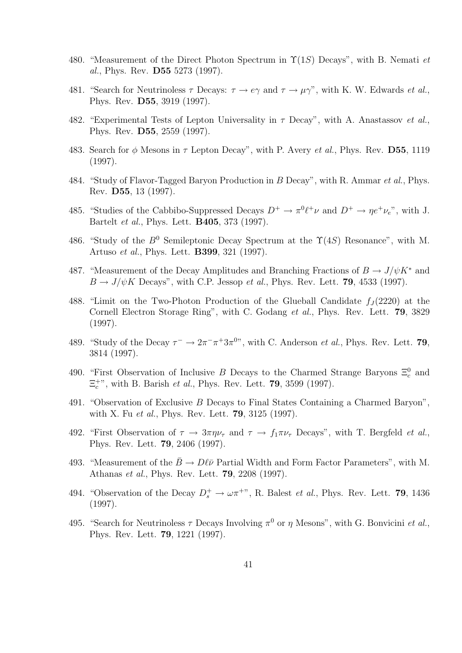- 480. "Measurement of the Direct Photon Spectrum in  $\Upsilon(1S)$  Decays", with B. Nemati et al., Phys. Rev. D55 5273 (1997).
- 481. "Search for Neutrinoless  $\tau$  Decays:  $\tau \to e\gamma$  and  $\tau \to \mu\gamma$ ", with K. W. Edwards *et al.*, Phys. Rev. D55, 3919 (1997).
- 482. "Experimental Tests of Lepton Universality in  $\tau$  Decay", with A. Anastassov *et al.*, Phys. Rev. D55, 2559 (1997).
- 483. Search for  $\phi$  Mesons in  $\tau$  Lepton Decay", with P. Avery *et al.*, Phys. Rev. **D55**, 1119 (1997).
- 484. "Study of Flavor-Tagged Baryon Production in B Decay", with R. Ammar et al., Phys. Rev. D55, 13 (1997).
- 485. "Studies of the Cabbibo-Suppressed Decays  $D^+ \to \pi^0 \ell^+ \nu$  and  $D^+ \to \eta e^+ \nu_e$ ", with J. Bartelt et al., Phys. Lett. B405, 373 (1997).
- 486. "Study of the  $B^0$  Semileptonic Decay Spectrum at the  $\Upsilon(4S)$  Resonance", with M. Artuso et al., Phys. Lett. B399, 321 (1997).
- 487. "Measurement of the Decay Amplitudes and Branching Fractions of  $B \to J/\psi K^*$  and  $B \to J/\psi K$  Decays", with C.P. Jessop et al., Phys. Rev. Lett. 79, 4533 (1997).
- 488. "Limit on the Two-Photon Production of the Glueball Candidate  $f_J(2220)$  at the Cornell Electron Storage Ring", with C. Godang et al., Phys. Rev. Lett. 79, 3829 (1997).
- 489. "Study of the Decay  $\tau^- \to 2\pi^-\pi^+3\pi^0$ ", with C. Anderson *et al.*, Phys. Rev. Lett. **79**, 3814 (1997).
- 490. "First Observation of Inclusive B Decays to the Charmed Strange Baryons  $\Xi_c^0$  and  $\Xi_c^{+\nu}$ , with B. Barish *et al.*, Phys. Rev. Lett. **79**, 3599 (1997).
- 491. "Observation of Exclusive B Decays to Final States Containing a Charmed Baryon", with X. Fu *et al.*, Phys. Rev. Lett. **79**, 3125 (1997).
- 492. "First Observation of  $\tau \to 3\pi \eta \nu_{\tau}$  and  $\tau \to f_1 \pi \nu_{\tau}$  Decays", with T. Bergfeld *et al.*, Phys. Rev. Lett. 79, 2406 (1997).
- 493. "Measurement of the  $\bar{B} \to D\ell\bar{\nu}$  Partial Width and Form Factor Parameters", with M. Athanas et al., Phys. Rev. Lett. 79, 2208 (1997).
- 494. "Observation of the Decay  $D_s^+ \to \omega \pi^{+}$ ", R. Balest *et al.*, Phys. Rev. Lett. **79**, 1436 (1997).
- 495. "Search for Neutrinoless  $\tau$  Decays Involving  $\pi^0$  or  $\eta$  Mesons", with G. Bonvicini *et al.*, Phys. Rev. Lett. 79, 1221 (1997).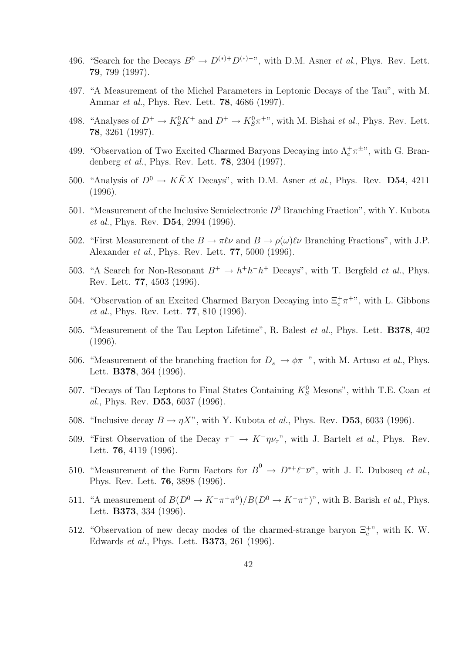- 496. "Search for the Decays  $B^0 \to D^{(*)+}D^{(*)-}$ ", with D.M. Asner *et al.*, Phys. Rev. Lett. 79, 799 (1997).
- 497. "A Measurement of the Michel Parameters in Leptonic Decays of the Tau", with M. Ammar et al., Phys. Rev. Lett. 78, 4686 (1997).
- 498. "Analyses of  $D^+ \to K_S^0 K^+$  and  $D^+ \to K_S^0 \pi^{++}$ ", with M. Bishai *et al.*, Phys. Rev. Lett. 78, 3261 (1997).
- 499. "Observation of Two Excited Charmed Baryons Decaying into  $\Lambda_c^+\pi^{\pm}$ ", with G. Brandenberg et al., Phys. Rev. Lett. 78, 2304 (1997).
- 500. "Analysis of  $D^0 \to K\bar K X$  Decays", with D.M. Asner *et al.*, Phys. Rev. D54, 4211 (1996).
- 501. "Measurement of the Inclusive Semielectronic  $D^0$  Branching Fraction", with Y. Kubota et al., Phys. Rev. D54, 2994 (1996).
- 502. "First Measurement of the  $B \to \pi \ell \nu$  and  $B \to \rho(\omega)\ell \nu$  Branching Fractions", with J.P. Alexander et al., Phys. Rev. Lett. 77, 5000 (1996).
- 503. "A Search for Non-Resonant  $B^+ \to h^+h^-h^+$  Decays", with T. Bergfeld *et al.*, Phys. Rev. Lett. 77, 4503 (1996).
- 504. "Observation of an Excited Charmed Baryon Decaying into  $\Xi_c^+\pi^{+\nu}$ , with L. Gibbons et al., Phys. Rev. Lett. 77, 810 (1996).
- 505. "Measurement of the Tau Lepton Lifetime", R. Balest et al., Phys. Lett. B378, 402 (1996).
- 506. "Measurement of the branching fraction for  $D_s^- \to \phi \pi^{-n}$ , with M. Artuso *et al.*, Phys. Lett. B378, 364 (1996).
- 507. "Decays of Tau Leptons to Final States Containing  $K_S^0$  Mesons", withh T.E. Coan et al., Phys. Rev. D53, 6037 (1996).
- 508. "Inclusive decay  $B \to \eta X$ ", with Y. Kubota *et al.*, Phys. Rev. **D53**, 6033 (1996).
- 509. "First Observation of the Decay  $\tau^- \to K^- \eta \nu_{\tau}$ ", with J. Bartelt *et al.*, Phys. Rev. Lett. 76, 4119 (1996).
- 510. "Measurement of the Form Factors for  $\overline{B}^0 \to D^{*+}\ell^-\overline{\nu}$ ", with J. E. Duboscq *et al.*, Phys. Rev. Lett. 76, 3898 (1996).
- 511. "A measurement of  $B(D^0 \to K^-\pi^+\pi^0)/B(D^0 \to K^-\pi^+)$ ", with B. Barish *et al.*, Phys. Lett. B373, 334 (1996).
- 512. "Observation of new decay modes of the charmed-strange baryon  $\Xi_c^{+\nu}$ , with K. W. Edwards et al., Phys. Lett. B373, 261 (1996).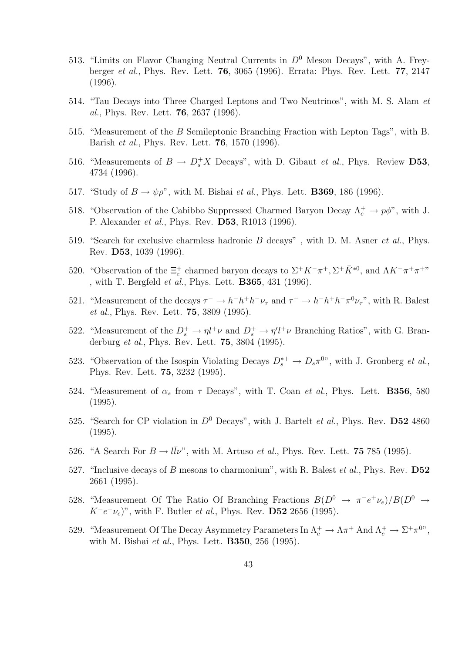- 513. "Limits on Flavor Changing Neutral Currents in  $D^0$  Meson Decays", with A. Freyberger et al., Phys. Rev. Lett. 76, 3065 (1996). Errata: Phys. Rev. Lett. 77, 2147 (1996).
- 514. "Tau Decays into Three Charged Leptons and Two Neutrinos", with M. S. Alam et al., Phys. Rev. Lett. 76, 2637 (1996).
- 515. "Measurement of the B Semileptonic Branching Fraction with Lepton Tags", with B. Barish et al., Phys. Rev. Lett. 76, 1570 (1996).
- 516. "Measurements of  $B \to D_s^+ X$  Decays", with D. Gibaut *et al.*, Phys. Review **D53**, 4734 (1996).
- 517. "Study of  $B \to \psi \rho$ ", with M. Bishai *et al.*, Phys. Lett. **B369**, 186 (1996).
- 518. "Observation of the Cabibbo Suppressed Charmed Baryon Decay  $\Lambda_c^+ \to p\phi$ ", with J. P. Alexander et al., Phys. Rev. D53, R1013 (1996).
- 519. "Search for exclusive charmless hadronic B decays", with D. M. Asner *et al.*, Phys. Rev. D53, 1039 (1996).
- 520. "Observation of the  $\Xi_c^+$  charmed baryon decays to  $\Sigma^+ K^- \pi^+, \Sigma^+ \bar{K}^{*0}$ , and  $\Lambda K^- \pi^+ \pi^+$ " , with T. Bergfeld *et al.*, Phys. Lett. **B365**, 431 (1996).
- 521. "Measurement of the decays  $\tau^- \to h^- h^+ h^- \nu_\tau$  and  $\tau^- \to h^- h^+ h^- \pi^0 \nu_\tau$ ", with R. Balest et al., Phys. Rev. Lett. 75, 3809 (1995).
- 522. "Measurement of the  $D_s^+ \to \eta l^+ \nu$  and  $D_s^+ \to \eta' l^+ \nu$  Branching Ratios", with G. Branderburg et al., Phys. Rev. Lett. 75, 3804 (1995).
- 523. "Observation of the Isospin Violating Decays  $D_s^{*+} \to D_s \pi^{0}$ ", with J. Gronberg *et al.*, Phys. Rev. Lett. 75, 3232 (1995).
- 524. "Measurement of  $\alpha_s$  from  $\tau$  Decays", with T. Coan et al., Phys. Lett. **B356**, 580 (1995).
- 525. "Search for CP violation in  $D^0$  Decays", with J. Bartelt *et al.*, Phys. Rev. **D52** 4860 (1995).
- 526. "A Search For  $B \to l\bar{l}\nu$ ", with M. Artuso *et al.*, Phys. Rev. Lett. **75** 785 (1995).
- 527. "Inclusive decays of B mesons to charmonium", with R. Balest *et al.*, Phys. Rev.  $\mathbf{D52}$ 2661 (1995).
- 528. "Measurement Of The Ratio Of Branching Fractions  $B(D^0 \rightarrow \pi^- e^+ \nu_e)/B(D^0 \rightarrow$  $K^-e^+\nu_e$ )", with F. Butler *et al.*, Phys. Rev. **D52** 2656 (1995).
- 529. "Measurement Of The Decay Asymmetry Parameters In  $\Lambda_c^+ \to \Lambda \pi^+$  And  $\Lambda_c^+ \to \Sigma^+ \pi^0$ ", with M. Bishai et al., Phys. Lett. B350, 256 (1995).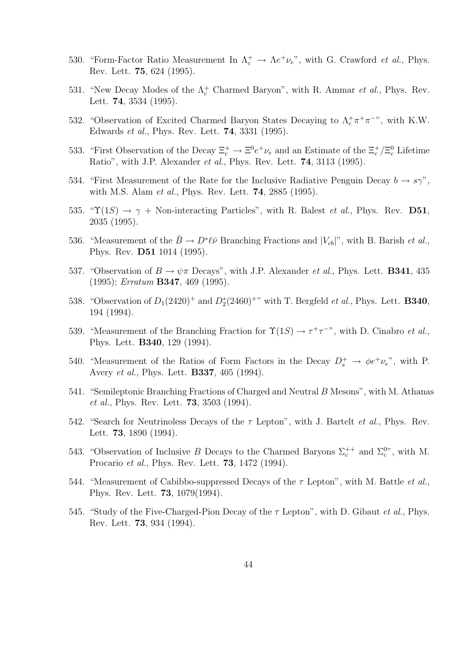- 530. "Form-Factor Ratio Measurement In  $\Lambda_c^+ \to \Lambda e^+ \nu_e$ ", with G. Crawford *et al.*, Phys. Rev. Lett. 75, 624 (1995).
- 531. "New Decay Modes of the  $\Lambda_c^+$  Charmed Baryon", with R. Ammar et al., Phys. Rev. Lett. 74, 3534 (1995).
- 532. "Observation of Excited Charmed Baryon States Decaying to  $\Lambda_c^+\pi^+\pi^-$ ", with K.W. Edwards et al., Phys. Rev. Lett. 74, 3331 (1995).
- 533. "First Observation of the Decay  $\Xi_c^+ \to \Xi^0 e^+ \nu_e$  and an Estimate of the  $\Xi_c^+/\Xi_c^0$  Lifetime Ratio", with J.P. Alexander et al., Phys. Rev. Lett. **74**, 3113 (1995).
- 534. "First Measurement of the Rate for the Inclusive Radiative Penguin Decay  $b \to s\gamma$ ", with M.S. Alam et al., Phys. Rev. Lett. 74, 2885 (1995).
- 535. " $\Upsilon(1S) \rightarrow \gamma + \text{Non-interacting Particles}$ ", with R. Balest *et al.*, Phys. Rev. **D51**, 2035 (1995).
- 536. "Measurement of the  $\bar{B} \to D^* \ell \bar{\nu}$  Branching Fractions and  $|V_{cb}|$ ", with B. Barish *et al.*, Phys. Rev. D51 1014 (1995).
- 537. "Observation of  $B \to \psi \pi$  Decays", with J.P. Alexander *et al.*, Phys. Lett. **B341**, 435 (1995); Erratum B347, 469 (1995).
- 538. "Observation of  $D_1(2420)^+$  and  $D_2^*(2460)^+$ " with T. Bergfeld *et al.*, Phys. Lett. **B340**, 194 (1994).
- 539. "Measurement of the Branching Fraction for  $\Upsilon(1S) \to \tau^+\tau^-$ ", with D. Cinabro *et al.*, Phys. Lett. B340, 129 (1994).
- 540. "Measurement of the Ratios of Form Factors in the Decay  $D_s^+ \to \phi e^+ \nu_e$ ", with P. Avery et al., Phys. Lett. B337, 405 (1994).
- 541. "Semileptonic Branching Fractions of Charged and Neutral B Mesons", with M. Athanas et al., Phys. Rev. Lett. 73, 3503 (1994).
- 542. "Search for Neutrinoless Decays of the  $\tau$  Lepton", with J. Bartelt *et al.*, Phys. Rev. Lett. 73, 1890 (1994).
- 543. "Observation of Inclusive B Decays to the Charmed Baryons  $\Sigma_c^{++}$  and  $\Sigma_c^{0}$ ", with M. Procario et al., Phys. Rev. Lett. 73, 1472 (1994).
- 544. "Measurement of Cabibbo-suppressed Decays of the  $\tau$  Lepton", with M. Battle *et al.*, Phys. Rev. Lett. 73, 1079(1994).
- 545. "Study of the Five-Charged-Pion Decay of the  $\tau$  Lepton", with D. Gibaut *et al.*, Phys. Rev. Lett. 73, 934 (1994).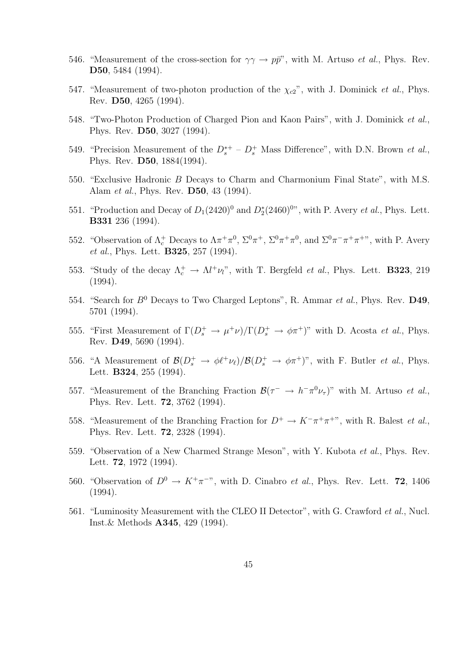- 546. "Measurement of the cross-section for  $\gamma\gamma \to p\bar{p}$ ", with M. Artuso *et al.*, Phys. Rev. D50, 5484 (1994).
- 547. "Measurement of two-photon production of the  $\chi_{c2}$ ", with J. Dominick *et al.*, Phys. Rev. D50, 4265 (1994).
- 548. "Two-Photon Production of Charged Pion and Kaon Pairs", with J. Dominick et al., Phys. Rev. D50, 3027 (1994).
- 549. "Precision Measurement of the  $D_s^{*+} D_s^+$  Mass Difference", with D.N. Brown *et al.*, Phys. Rev. D50, 1884(1994).
- 550. "Exclusive Hadronic B Decays to Charm and Charmonium Final State", with M.S. Alam et al., Phys. Rev. D50, 43 (1994).
- 551. "Production and Decay of  $D_1(2420)^0$  and  $D_2^*(2460)^{0}$ ", with P. Avery *et al.*, Phys. Lett. B331 236 (1994).
- 552. "Observation of  $Λ_c^+$  Decays to  $Λπ^+π^0$ ,  $\Sigma^0π^+$ ,  $\Sigma^0π^+π^0$ , and  $\Sigma^0π^-π^+π^+$ ", with P. Avery et al., Phys. Lett. **B325**, 257 (1994).
- 553. "Study of the decay  $\Lambda_c^+ \to \Lambda l^+ \nu_l$ ", with T. Bergfeld *et al.*, Phys. Lett. **B323**, 219 (1994).
- 554. "Search for  $B^0$  Decays to Two Charged Leptons", R. Ammar et al., Phys. Rev.  $D49$ , 5701 (1994).
- 555. "First Measurement of  $\Gamma(D_s^+ \to \mu^+\nu)/\Gamma(D_s^+ \to \phi\pi^+)$ " with D. Acosta *et al.*, Phys. Rev. D49, 5690 (1994).
- 556. "A Measurement of  $\mathcal{B}(D_s^+ \to \phi \ell^+ \nu_\ell)/\mathcal{B}(D_s^+ \to \phi \pi^+)$ ", with F. Butler *et al.*, Phys. Lett. B324, 255 (1994).
- 557. "Measurement of the Branching Fraction  $\mathcal{B}(\tau \to h^-\pi^0\nu_{\tau})$ " with M. Artuso *et al.*, Phys. Rev. Lett. 72, 3762 (1994).
- 558. "Measurement of the Branching Fraction for  $D^+ \to K^-\pi^+\pi^+$ ", with R. Balest *et al.*, Phys. Rev. Lett. 72, 2328 (1994).
- 559. "Observation of a New Charmed Strange Meson", with Y. Kubota et al., Phys. Rev. Lett. 72, 1972 (1994).
- 560. "Observation of  $D^0 \to K^+\pi^-$ ", with D. Cinabro *et al.*, Phys. Rev. Lett. **72**, 1406 (1994).
- 561. "Luminosity Measurement with the CLEO II Detector", with G. Crawford *et al.*, Nucl. Inst.& Methods A345, 429 (1994).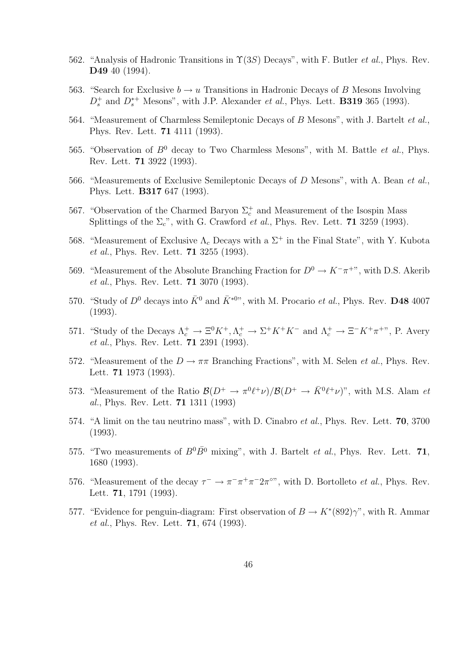- 562. "Analysis of Hadronic Transitions in  $\Upsilon(3S)$  Decays", with F. Butler *et al.*, Phys. Rev. D49 40 (1994).
- 563. "Search for Exclusive  $b \to u$  Transitions in Hadronic Decays of B Mesons Involving  $D_s^+$  and  $D_s^{*+}$  Mesons", with J.P. Alexander *et al.*, Phys. Lett. **B319** 365 (1993).
- 564. "Measurement of Charmless Semileptonic Decays of B Mesons", with J. Bartelt et al., Phys. Rev. Lett. 71 4111 (1993).
- 565. "Observation of  $B^0$  decay to Two Charmless Mesons", with M. Battle *et al.*, Phys. Rev. Lett. 71 3922 (1993).
- 566. "Measurements of Exclusive Semileptonic Decays of D Mesons", with A. Bean et al., Phys. Lett. B317 647 (1993).
- 567. "Observation of the Charmed Baryon  $\Sigma_c^+$  and Measurement of the Isospin Mass Splittings of the  $\Sigma_c$ ", with G. Crawford *et al.*, Phys. Rev. Lett. **71** 3259 (1993).
- 568. "Measurement of Exclusive  $\Lambda_c$  Decays with a  $\Sigma^+$  in the Final State", with Y. Kubota et al., Phys. Rev. Lett. 71 3255 (1993).
- 569. "Measurement of the Absolute Branching Fraction for  $D^0 \to K^-\pi^+$ ", with D.S. Akerib et al., Phys. Rev. Lett. 71 3070 (1993).
- 570. "Study of  $D^0$  decays into  $\bar{K}^0$  and  $\bar{K}^{*0}$ ", with M. Procario *et al.*, Phys. Rev. **D48** 4007 (1993).
- 571. "Study of the Decays  $\Lambda_c^+ \to \Xi^0 K^+$ ,  $\Lambda_c^+ \to \Sigma^+ K^+ K^-$  and  $\Lambda_c^+ \to \Xi^- K^+ \pi^+$ ", P. Avery et al., Phys. Rev. Lett. 71 2391 (1993).
- 572. "Measurement of the  $D \to \pi\pi$  Branching Fractions", with M. Selen *et al.*, Phys. Rev. Lett. 71 1973 (1993).
- 573. "Measurement of the Ratio  $\mathcal{B}(D^+\to \pi^0\ell^+\nu)/\mathcal{B}(D^+\to \bar{K}^0\ell^+\nu)$ ", with M.S. Alam et al., Phys. Rev. Lett. 71 1311 (1993)
- 574. "A limit on the tau neutrino mass", with D. Cinabro et al., Phys. Rev. Lett. 70, 3700 (1993).
- 575. "Two measurements of  $B^0\overline{B}{}^0$  mixing", with J. Bartelt *et al.*, Phys. Rev. Lett. 71, 1680 (1993).
- 576. "Measurement of the decay  $\tau^- \to \pi^- \pi^+ \pi^- 2 \pi^{\circ}$ ", with D. Bortolleto *et al.*, Phys. Rev. Lett. 71, 1791 (1993).
- 577. "Evidence for penguin-diagram: First observation of  $B \to K^*(892)\gamma$ ", with R. Ammar et al., Phys. Rev. Lett. 71, 674 (1993).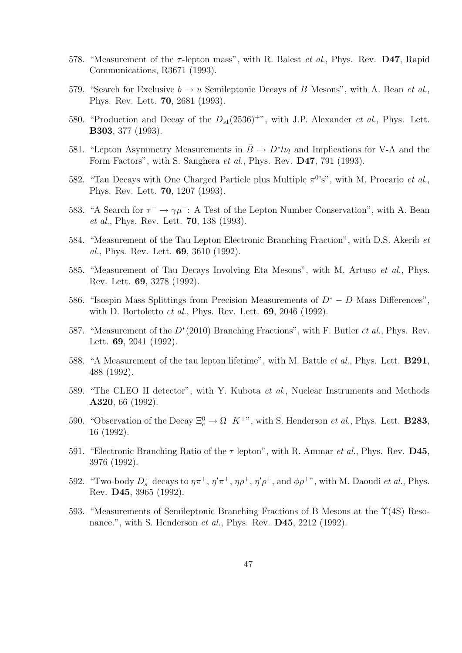- 578. "Measurement of the  $\tau$ -lepton mass", with R. Balest *et al.*, Phys. Rev. **D47**, Rapid Communications, R3671 (1993).
- 579. "Search for Exclusive  $b \to u$  Semileptonic Decays of B Mesons", with A. Bean *et al.*, Phys. Rev. Lett. 70, 2681 (1993).
- 580. "Production and Decay of the  $D_{s1}(2536)^{+\nu}$ , with J.P. Alexander *et al.*, Phys. Lett. B303, 377 (1993).
- 581. "Lepton Asymmetry Measurements in  $\bar{B} \to D^* l \nu_l$  and Implications for V-A and the Form Factors", with S. Sanghera et al., Phys. Rev. D47, 791 (1993).
- 582. "Tau Decays with One Charged Particle plus Multiple  $\pi^{0}$ 's", with M. Procario et al., Phys. Rev. Lett. 70, 1207 (1993).
- 583. "A Search for  $\tau^- \to \gamma \mu^-$ : A Test of the Lepton Number Conservation", with A. Bean et al., Phys. Rev. Lett. 70, 138 (1993).
- 584. "Measurement of the Tau Lepton Electronic Branching Fraction", with D.S. Akerib et al., Phys. Rev. Lett. 69, 3610 (1992).
- 585. "Measurement of Tau Decays Involving Eta Mesons", with M. Artuso et al., Phys. Rev. Lett. 69, 3278 (1992).
- 586. "Isospin Mass Splittings from Precision Measurements of  $D^* D$  Mass Differences", with D. Bortoletto et al., Phys. Rev. Lett. 69, 2046 (1992).
- 587. "Measurement of the  $D^*(2010)$  Branching Fractions", with F. Butler *et al.*, Phys. Rev. Lett. 69, 2041 (1992).
- 588. "A Measurement of the tau lepton lifetime", with M. Battle *et al.*, Phys. Lett. **B291**, 488 (1992).
- 589. "The CLEO II detector", with Y. Kubota et al., Nuclear Instruments and Methods A320, 66 (1992).
- 590. "Observation of the Decay  $\Xi_c^0 \to \Omega^- K^{+\nu}$ , with S. Henderson *et al.*, Phys. Lett. **B283**, 16 (1992).
- 591. "Electronic Branching Ratio of the  $\tau$  lepton", with R. Ammar *et al.*, Phys. Rev. **D45**, 3976 (1992).
- 592. "Two-body  $D_s^+$  decays to  $\eta \pi^+$ ,  $\eta' \pi^+$ ,  $\eta \rho^+$ ,  $\eta' \rho^+$ , and  $\phi \rho^{+}$ ", with M. Daoudi *et al.*, Phys. Rev. D45, 3965 (1992).
- 593. "Measurements of Semileptonic Branching Fractions of B Mesons at the Υ(4S) Resonance.", with S. Henderson *et al.*, Phys. Rev. **D45**, 2212 (1992).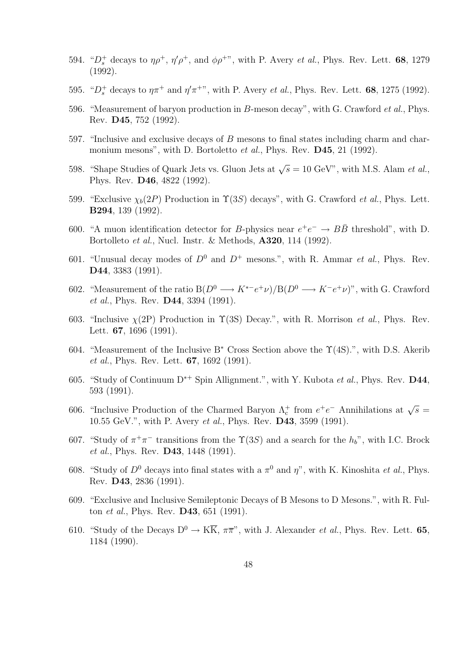- 594. " $D_s^+$  decays to  $\eta \rho^+$ ,  $\eta' \rho^+$ , and  $\phi \rho^{+}$ ", with P. Avery *et al.*, Phys. Rev. Lett. **68**, 1279 (1992).
- 595. " $D_s^+$  decays to  $\eta \pi^+$  and  $\eta' \pi^+$ ", with P. Avery *et al.*, Phys. Rev. Lett. **68**, 1275 (1992).
- 596. "Measurement of baryon production in B-meson decay", with G. Crawford et al., Phys. Rev. D45, 752 (1992).
- 597. "Inclusive and exclusive decays of B mesons to final states including charm and charmonium mesons", with D. Bortoletto *et al.*, Phys. Rev. **D45**, 21 (1992).
- 598. "Shape Studies of Quark Jets vs. Gluon Jets at  $\sqrt{s} = 10 \text{ GeV}$ ", with M.S. Alam *et al.*, Phys. Rev. D46, 4822 (1992).
- 599. "Exclusive  $\chi_b(2P)$  Production in  $\Upsilon(3S)$  decays", with G. Crawford *et al.*, Phys. Lett. B294, 139 (1992).
- 600. "A muon identification detector for B-physics near  $e^+e^- \rightarrow B\bar{B}$  threshold", with D. Bortolleto et al., Nucl. Instr. & Methods, A320, 114 (1992).
- 601. "Unusual decay modes of  $D^0$  and  $D^+$  mesons.", with R. Ammar *et al.*, Phys. Rev. D44, 3383 (1991).
- 602. "Measurement of the ratio  $B(D^0 \longrightarrow K^{*-}e^+\nu)/B(D^0 \longrightarrow K^-e^+\nu)$ ", with G. Crawford et al., Phys. Rev. **D44**, 3394 (1991).
- 603. "Inclusive  $\chi(2P)$  Production in  $\Upsilon(3S)$  Decay.", with R. Morrison *et al.*, Phys. Rev. Lett. 67, 1696 (1991).
- 604. "Measurement of the Inclusive B<sup>∗</sup> Cross Section above the Υ(4S).", with D.S. Akerib et al., Phys. Rev. Lett. 67, 1692 (1991).
- 605. "Study of Continuum D<sup>∗</sup><sup>+</sup> Spin Allignment.", with Y. Kubota et al., Phys. Rev. D44, 593 (1991).
- 606. "Inclusive Production of the Charmed Baryon  $\Lambda_c^+$  from  $e^+e^-$  Annihilations at  $\sqrt{s}$  = 10.55 GeV.", with P. Avery et al., Phys. Rev. D43, 3599 (1991).
- 607. "Study of  $\pi^+\pi^-$  transitions from the  $\Upsilon(3S)$  and a search for the  $h_b$ ", with I.C. Brock et al., Phys. Rev. D43, 1448 (1991).
- 608. "Study of  $D^0$  decays into final states with a  $\pi^0$  and  $\eta$ ", with K. Kinoshita *et al.*, Phys. Rev. D43, 2836 (1991).
- 609. "Exclusive and Inclusive Semileptonic Decays of B Mesons to D Mesons.", with R. Fulton et al., Phys. Rev. D43, 651 (1991).
- 610. "Study of the Decays  $D^0 \to K\overline{K}$ ,  $\pi\overline{\pi}$ ", with J. Alexander *et al.*, Phys. Rev. Lett. **65**, 1184 (1990).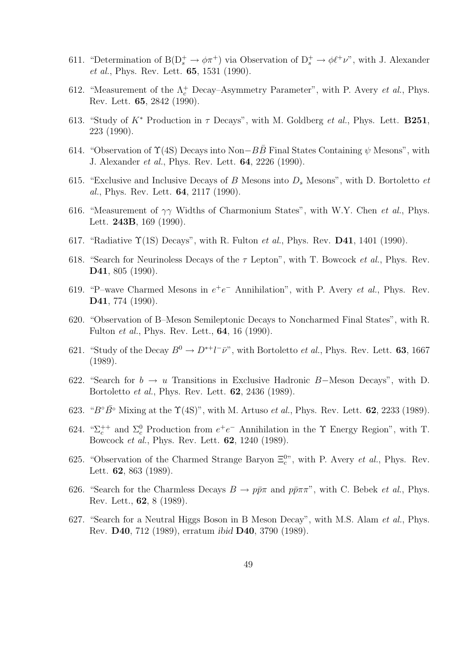- 611. "Determination of  $B(D_s^+\to \phi\pi^+)$  via Observation of  $D_s^+\to \phi\ell^+\nu$ ", with J. Alexander et al., Phys. Rev. Lett. 65, 1531 (1990).
- 612. "Measurement of the  $\Lambda_c^+$  Decay–Asymmetry Parameter", with P. Avery *et al.*, Phys. Rev. Lett. 65, 2842 (1990).
- 613. "Study of  $K^*$  Production in  $\tau$  Decays", with M. Goldberg *et al.*, Phys. Lett. **B251**, 223 (1990).
- 614. "Observation of  $\Upsilon(4S)$  Decays into Non–BB Final States Containing  $\psi$  Mesons", with J. Alexander et al., Phys. Rev. Lett. 64, 2226 (1990).
- 615. "Exclusive and Inclusive Decays of B Mesons into  $D_s$  Mesons", with D. Bortoletto et al., Phys. Rev. Lett. 64, 2117 (1990).
- 616. "Measurement of  $\gamma\gamma$  Widths of Charmonium States", with W.Y. Chen *et al.*, Phys. Lett. 243B, 169 (1990).
- 617. "Radiative  $\Upsilon(1S)$  Decays", with R. Fulton *et al.*, Phys. Rev. **D41**, 1401 (1990).
- 618. "Search for Neurinoless Decays of the  $\tau$  Lepton", with T. Bowcock *et al.*, Phys. Rev. D41, 805 (1990).
- 619. "P-wave Charmed Mesons in  $e^+e^-$  Annihilation", with P. Avery *et al.*, Phys. Rev. D41, 774 (1990).
- 620. "Observation of B–Meson Semileptonic Decays to Noncharmed Final States", with R. Fulton et al., Phys. Rev. Lett., 64, 16 (1990).
- 621. "Study of the Decay  $B^0 \to D^{*+}l^-\bar{\nu}$ ", with Bortoletto *et al.*, Phys. Rev. Lett. **63**, 1667 (1989).
- 622. "Search for  $b \to u$  Transitions in Exclusive Hadronic B–Meson Decays", with D. Bortoletto et al., Phys. Rev. Lett. 62, 2436 (1989).
- 623. " $B^{\circ} \bar{B}^{\circ}$  Mixing at the  $\Upsilon(4S)$ ", with M. Artuso *et al.*, Phys. Rev. Lett. **62**, 2233 (1989).
- 624. " $\Sigma_c^{++}$  and  $\Sigma_c^0$  Production from  $e^+e^-$  Annihilation in the  $\Upsilon$  Energy Region", with T. Bowcock et al., Phys. Rev. Lett. 62, 1240 (1989).
- 625. "Observation of the Charmed Strange Baryon  $\Xi_c^{0}$ ", with P. Avery *et al.*, Phys. Rev. Lett. 62, 863 (1989).
- 626. "Search for the Charmless Decays  $B \to p\bar{p}\pi$  and  $p\bar{p}\pi\pi$ ", with C. Bebek *et al.*, Phys. Rev. Lett., 62, 8 (1989).
- 627. "Search for a Neutral Higgs Boson in B Meson Decay", with M.S. Alam *et al.*, Phys. Rev. D40, 712 (1989), erratum ibid D40, 3790 (1989).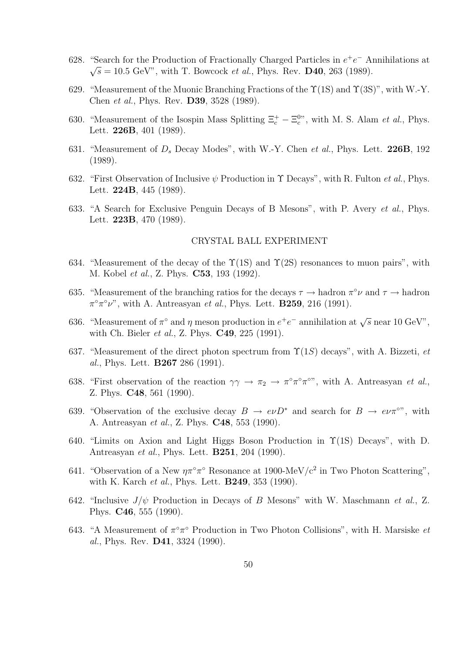- 628. "Search for the Production of Fractionally Charged Particles in  $e^+e^-$  Annihilations at  $\sqrt{s} = 10.5 \text{ GeV}$ , with T. Bowcock *et al.*, Phys. Rev. **D40**, 263 (1989).
- 629. "Measurement of the Muonic Branching Fractions of the  $\Upsilon(1S)$  and  $\Upsilon(3S)$ ", with W.-Y. Chen et al., Phys. Rev. D39, 3528 (1989).
- 630. "Measurement of the Isospin Mass Splitting  $\Xi_c^+ \Xi_c^{0}$ ", with M. S. Alam *et al.*, Phys. Lett. 226B, 401 (1989).
- 631. "Measurement of  $D_s$  Decay Modes", with W.-Y. Chen et al., Phys. Lett. 226B, 192 (1989).
- 632. "First Observation of Inclusive  $\psi$  Production in  $\Upsilon$  Decays", with R. Fulton *et al.*, Phys. Lett. 224B, 445 (1989).
- 633. "A Search for Exclusive Penguin Decays of B Mesons", with P. Avery et al., Phys. Lett. 223B, 470 (1989).

## CRYSTAL BALL EXPERIMENT

- 634. "Measurement of the decay of the  $\Upsilon(1S)$  and  $\Upsilon(2S)$  resonances to muon pairs", with M. Kobel et al., Z. Phys. C53, 193 (1992).
- 635. "Measurement of the branching ratios for the decays  $\tau \to$  hadron  $\pi^{\circ} \nu$  and  $\tau \to$  hadron  $\pi^{\circ} \pi^{\circ} \nu$ ", with A. Antreasyan et al., Phys. Lett. **B259**, 216 (1991).
- 636. "Measurement of  $\pi^{\circ}$  and  $\eta$  meson production in  $e^+e^-$  annihilation at  $\sqrt{s}$  near 10 GeV", with Ch. Bieler *et al.*, Z. Phys. **C49**, 225 (1991).
- 637. "Measurement of the direct photon spectrum from  $\Upsilon(1S)$  decays", with A. Bizzeti, et al., Phys. Lett. B267 286 (1991).
- 638. "First observation of the reaction  $\gamma\gamma \to \pi_2 \to \pi^{\circ}\pi^{\circ}\pi^{\circ}$ ", with A. Antreasyan *et al.*, Z. Phys. C48, 561 (1990).
- 639. "Observation of the exclusive decay  $B \to e\nu D^*$  and search for  $B \to e\nu \pi^{\circ}$ ", with A. Antreasyan et al., Z. Phys. C48, 553 (1990).
- 640. "Limits on Axion and Light Higgs Boson Production in  $\Upsilon(1S)$  Decays", with D. Antreasyan et al., Phys. Lett. B251, 204 (1990).
- 641. "Observation of a New  $\eta \pi^{\circ} \pi^{\circ}$  Resonance at 1900-MeV/c<sup>2</sup> in Two Photon Scattering", with K. Karch *et al.*, Phys. Lett. **B249**, 353 (1990).
- 642. "Inclusive  $J/\psi$  Production in Decays of B Mesons" with W. Maschmann et al., Z. Phys. C46, 555 (1990).
- 643. "A Measurement of  $\pi^{\circ}\pi^{\circ}$  Production in Two Photon Collisions", with H. Marsiske et al., Phys. Rev. D41, 3324 (1990).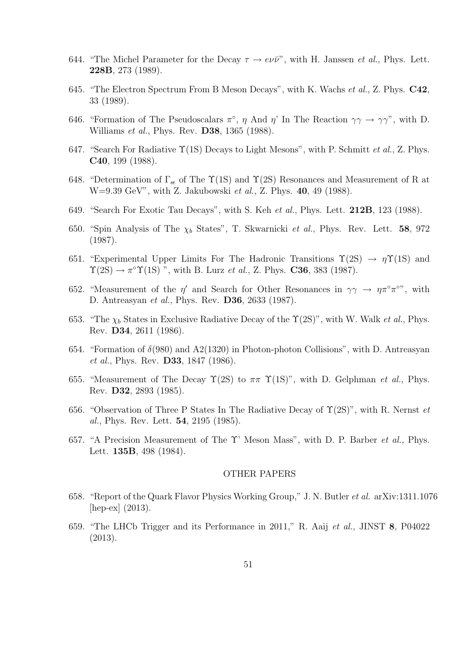- 644. "The Michel Parameter for the Decay  $\tau \to e\nu\bar{\nu}$ ", with H. Janssen *et al.*, Phys. Lett. 228B, 273 (1989).
- 645. "The Electron Spectrum From B Meson Decays", with K. Wachs et al., Z. Phys. C42, 33 (1989).
- 646. "Formation of The Pseudoscalars  $\pi^{\circ}$ ,  $\eta$  And  $\eta'$  In The Reaction  $\gamma\gamma \to \gamma\gamma''$ , with D. Williams *et al.*, Phys. Rev. **D38**, 1365 (1988).
- 647. "Search For Radiative  $\Upsilon(1S)$  Decays to Light Mesons", with P. Schmitt *et al.*, Z. Phys. C40, 199 (1988).
- 648. "Determination of  $\Gamma_{\alpha}$  of The  $\Upsilon(1S)$  and  $\Upsilon(2S)$  Resonances and Measurement of R at W=9.39 GeV", with Z. Jakubowski et al., Z. Phys. 40, 49 (1988).
- 649. "Search For Exotic Tau Decays", with S. Keh et al., Phys. Lett. 212B, 123 (1988).
- 650. "Spin Analysis of The  $\chi_b$  States", T. Skwarnicki *et al.*, Phys. Rev. Lett. **58**, 972 (1987).
- 651. "Experimental Upper Limits For The Hadronic Transitions  $\Upsilon(2S) \rightarrow \eta \Upsilon(1S)$  and  $\Upsilon(2S) \rightarrow \pi^{\circ} \Upsilon(1S)$  ", with B. Lurz *et al.*, Z. Phys. **C36**, 383 (1987).
- 652. "Measurement of the  $\eta'$  and Search for Other Resonances in  $\gamma\gamma \to \eta \pi^{\circ} \pi^{\circ}$ ", with D. Antreasyan et al., Phys. Rev. D36, 2633 (1987).
- 653. "The  $\chi_b$  States in Exclusive Radiative Decay of the  $\Upsilon(2S)$ ", with W. Walk *et al.*, Phys. Rev. D34, 2611 (1986).
- 654. "Formation of  $\delta(980)$  and  $A2(1320)$  in Photon-photon Collisions", with D. Antreasyan et al., Phys. Rev. **D33**, 1847 (1986).
- 655. "Measurement of The Decay  $\Upsilon(2S)$  to  $\pi\pi \Upsilon(1S)$ ", with D. Gelphman *et al.*, Phys. Rev. D32, 2893 (1985).
- 656. "Observation of Three P States In The Radiative Decay of  $\Upsilon(2S)$ ", with R. Nernst *et* al., Phys. Rev. Lett. 54, 2195 (1985).
- 657. "A Precision Measurement of The Υ' Meson Mass", with D. P. Barber et al., Phys. Lett. 135B, 498 (1984).

### OTHER PAPERS

- 658. "Report of the Quark Flavor Physics Working Group," J. N. Butler et al. arXiv:1311.1076 [hep-ex] (2013).
- 659. "The LHCb Trigger and its Performance in 2011," R. Aaij et al., JINST 8, P04022 (2013).